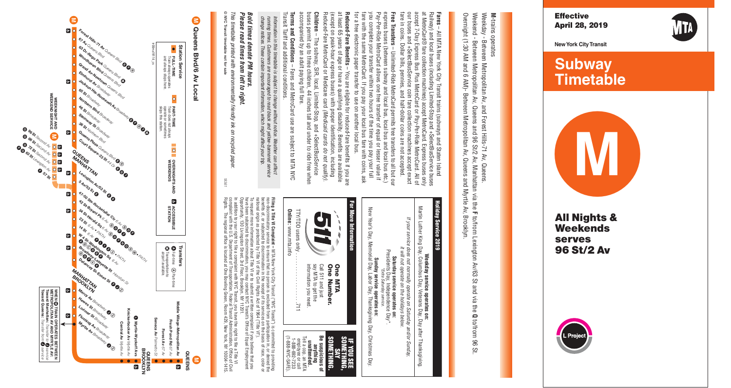

**New York City Transit**



**Subway Timetable** 



**All Nig h t s & Weekendsserves96St/2Av**

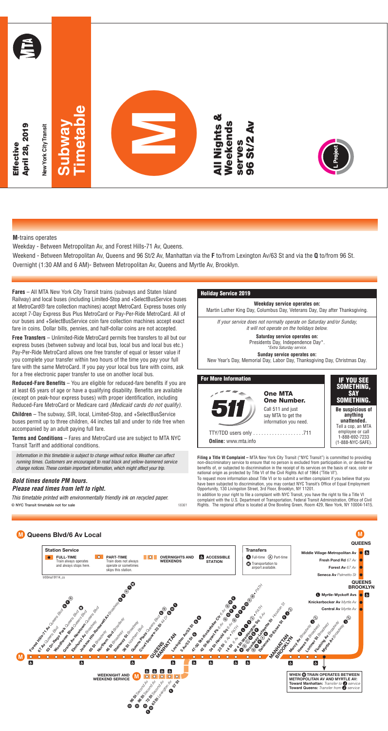**M**-trains operates

Weekday - Between Metropolitan Av, and Forest Hills-71 Av, Queens.

Weekend - Between Metropolitan Av, Queens and 96 St/2 Av, Manhattan via the **F** to/from Lexington Av/63 St and via the **Q** to/from 96 St. Overnight (1:30 AM and 6 AM)- Between Metropolitan Av, Queens and Myrtle Av, Brooklyn.

**Fares** – All MTA New York City Transit trains (subways and Staten Island Railway) and local buses (including Limited-Stop and +SelectBusService buses at MetroCard® fare collection machines) accept MetroCard. Express buses only accept 7-Day Express Bus Plus MetroCard or Pay-Per-Ride MetroCard. All of our buses and +SelectBusService coin fare collection machines accept exact fare in coins. Dollar bills, pennies, and half-dollar coins are not accepted.

**Free Transfers** – Unlimited-Ride MetroCard permits free transfers to all but our express buses (between subway and local bus, local bus and local bus etc.) Pay-Per-Ride MetroCard allows one free transfer of equal or lesser value if you complete your transfer within two hours of the time you pay your full fare with the same MetroCard. If you pay your local bus fare with coins, ask for a free electronic paper transfer to use on another local bus.

**Reduced-Fare Benefits** – You are eligible for reduced-fare benefits if you are at least 65 years of age or have a qualifying disability. Benefits are available (except on peak-hour express buses) with proper identification, including Reduced-Fare MetroCard or Medicare card (Medicaid cards do not qualify).

**Children** – The subway, SIR, local, Limited-Stop, and +SelectBusService buses permit up to three children, 44 inches tall and under to ride free when accompanied by an adult paying full fare.

**Terms and Conditions** – Fares and MetroCard use are subject to MTA NYC Transit Tariff and additional conditions.

Information in this timetable is subject to change without notice. Weather can affect running times. Customers are encouraged to read black and yellow-bannered service change notices. These contain important information, which might affect your trip.

### **Bold times denote PM hours. Please read times from left to right.**

This timetable printed with environmentally friendly ink on recycled paper. **© NYC Transit timetable not for sale** 18361

### **Holiday Service 2019**



**Filing a Title VI Complaint –** MTA New York City Transit ("NYC Transit") is committed to providing non-discriminatory service to ensure that no person is excluded from participation in, or denied the benefits of, or subjected to discrimination in the receipt of its services on the basis of race, color or national origin as protected by Title VI of the Civil Rights Act of 1964 ("Title VI").

To request more information about Title VI or to submit a written complaint if you believe that you have been subjected to discrimination, you may contact NYC Transit's Office of Equal Employment Opportunity, 130 Livingston Street, 3rd Floor, Brooklyn, NY 11201.

In addition to your right to file a complaint with NYC Transit, you have the right to file a Title VI complaint with the U.S. Department of Transportation, Federal Transit Administration, Office of Civil Rights. The regional office is located at One Bowling Green, Room 429, New York, NY 10004-1415.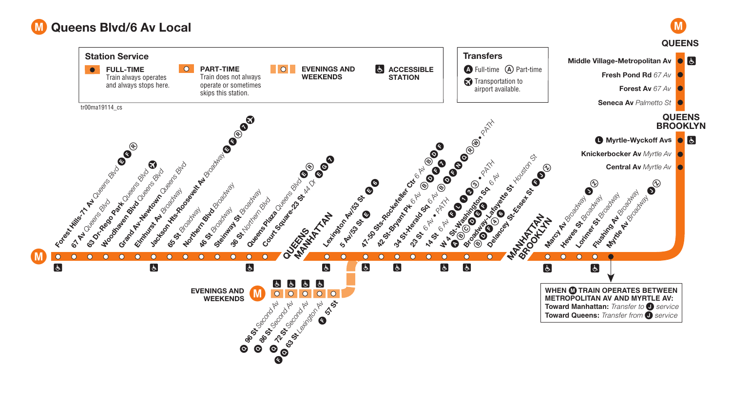# M **Queens Blvd/6 Av Local**



**M**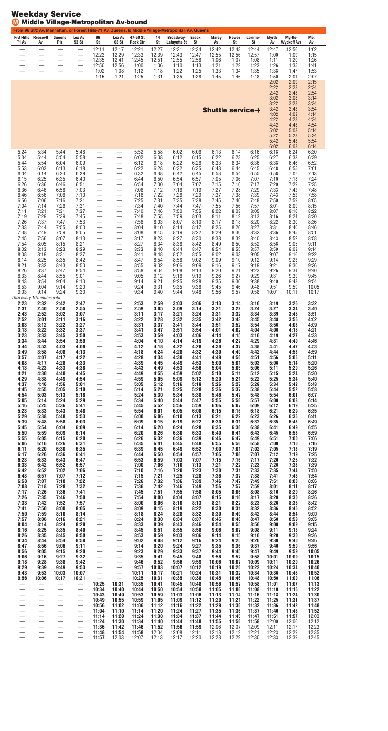|                                  | <b>Frst Hills Roosevit</b>                   | Queens                          | Lex Av                            | 96                                                                               | Lex Av                                               | 47-50 St                 | 14                      | From 96 St/2 Av, Manhattan, or Forest Hills-71 Av, Queens, to Middle Village-Metropolitan Av, Queens<br>Broadway- | Essex                   | <b>Marcy</b>            | <b>Hewes</b>            | Lorimer                 | <b>Myrtle</b>           | Myrtle-                     | Met                     |
|----------------------------------|----------------------------------------------|---------------------------------|-----------------------------------|----------------------------------------------------------------------------------|------------------------------------------------------|--------------------------|-------------------------|-------------------------------------------------------------------------------------------------------------------|-------------------------|-------------------------|-------------------------|-------------------------|-------------------------|-----------------------------|-------------------------|
| 71 Av                            | Av<br>$\overline{\phantom{0}}$               | Plz<br>$\overline{\phantom{0}}$ | 53 St                             | St<br>12:11                                                                      | 63 St<br>12:17                                       | <b>Rock Ctr</b><br>12:21 | St<br>12:27             | Lafayette St<br>12:31                                                                                             | St<br>12:34             | Av<br>12:42             | St<br>12:43             | St<br>12:44             | Av<br>12:47             | <b>Wyckoff Avs</b><br>12:56 | Av<br>1:02              |
| —                                | —                                            | $\overline{\phantom{0}}$        |                                   | 12:23<br>12:35<br>12:50                                                          | 12:29<br>12:41<br>12:56                              | 12:33<br>12:45<br>1:00   | 12:39<br>12:51<br>1:06  | 12:43<br>12:55<br>1:10                                                                                            | 12:47<br>12:58<br>1:13  | 12:55<br>1:06<br>1:21   | 12:56<br>1:07<br>1:22   | 12:57<br>1:08<br>1:23   | 1:00<br>1:11<br>1:26    | 1:09<br>1:20<br>1:35        | 1:15<br>1:26<br>1:41    |
|                                  |                                              |                                 | —                                 | 1:02<br>1:15                                                                     | 1:08<br>1:21                                         | 1:12<br>1:25             | 1:18<br>1:31            | 1:22<br>1:35                                                                                                      | 1:25<br>1:38            | 1:33<br>1:45            | 1:34<br>1:46            | 1:35<br>1:48            | 1:38<br>1:50<br>2:02    | 1:47<br>2:01<br>2:09        | 1:53<br>2:07<br>2:15    |
|                                  |                                              |                                 |                                   |                                                                                  |                                                      |                          |                         |                                                                                                                   |                         |                         |                         |                         | 2:22<br>2:42            | 2:28<br>2:48                | 2:34<br>2:54            |
|                                  |                                              |                                 |                                   |                                                                                  |                                                      |                          |                         |                                                                                                                   |                         | <b>Shuttle service→</b> |                         |                         | 3:02<br>3:22<br>3:42    | 3:08<br>3:28<br>3:48        | 3:14<br>3:34<br>3:54    |
|                                  |                                              |                                 |                                   |                                                                                  |                                                      |                          |                         |                                                                                                                   |                         |                         |                         |                         | 4:02<br>4:22            | 4:08<br>4:28                | 4:14<br>4:34            |
|                                  |                                              |                                 |                                   |                                                                                  |                                                      |                          |                         |                                                                                                                   |                         |                         |                         |                         | 4:42<br>5:02<br>5:22    | 4:48<br>5:08<br>5:28        | 4:54<br>5:14<br>5:34    |
|                                  |                                              |                                 |                                   |                                                                                  |                                                      |                          |                         |                                                                                                                   |                         |                         |                         |                         | 5:42<br>6:02            | 5:48<br>6:08                | 5:54<br>6:14            |
| 5:24<br>5:34<br>5:44             | 5:34<br>5:44<br>5:54                         | 5:44<br>5:54<br>6:04            | 5:48<br>5:58<br>6:09              | —<br>—                                                                           | —<br>—                                               | 5:52<br>6:02<br>6:12     | 5:58<br>6:08<br>6:18    | 6:02<br>6:12<br>6:22                                                                                              | 6:06<br>6:15<br>6:26    | 6:13<br>6:22<br>6:33    | 6:14<br>6:23<br>6:34    | 6:16<br>6:25<br>6:36    | 6:18<br>6:27<br>6:38    | 6:24<br>6:33<br>6:46        | 6:30<br>6:39<br>6:52    |
| 5:53<br>6:04                     | 6:03<br>6:14                                 | 6:13<br>6:24                    | 6:18<br>6:29                      | —                                                                                | —                                                    | 6:22<br>6:32             | 6:28<br>6:38            | 6:32<br>6:42                                                                                                      | 6:35<br>6:45            | 6:43<br>6:53            | 6:44<br>6:54            | 6:45<br>6:55            | 6:48<br>6:58            | 6:55<br>7:07                | 7:01<br>7:13            |
| 6:15<br>6:26<br>6:36             | 6:25<br>6:36<br>6:46                         | 6:35<br>6:46<br>6:58            | 6:40<br>6:51<br>7:03              | —<br>—<br>$\overline{\phantom{0}}$                                               | —<br>—                                               | 6:44<br>6:54<br>7:06     | 6:50<br>7:00<br>7:12    | 6:54<br>7:04<br>7:16                                                                                              | 6:57<br>7:07<br>7:19    | 7:05<br>7:15<br>7:27    | 7:06<br>7:16<br>7:28    | 7:07<br>7:17<br>7:29    | 7:10<br>7:20<br>7:33    | 7:18<br>7:29<br>7:42        | 7:24<br>7:35<br>7:48    |
| 6:46<br>6:56                     | 6:56<br>7:06                                 | 7:06<br>7:16                    | 7:10<br>7:21                      | —<br>—                                                                           | $\overline{\phantom{0}}$<br>—                        | 7:16<br>7:25             | 7:22<br>7:31            | 7:26<br>7:35                                                                                                      | 7:29<br>7:38            | 7:37<br>7:45            | 7:38<br>7:46            | 7:39<br>7:48            | 7:43<br>7:50            | 7:52<br>7:59                | 7:58<br>8:05            |
| 7:04<br>7:11<br>7:19             | 7:14<br>7:21<br>7:29                         | 7:26<br>7:31<br>7:39            | 7:31<br>7:37<br>7:45              | —<br>—                                                                           | $\overline{\phantom{0}}$<br>$\overline{\phantom{0}}$ | 7:34<br>7:40<br>7:48     | 7:40<br>7:46<br>7:55    | 7:44<br>7:50<br>7:59                                                                                              | 7:47<br>7:55<br>8:03    | 7:55<br>8:02<br>8:11    | 7:56<br>8:03<br>8:12    | 7:57<br>8:05<br>8:13    | 8:01<br>8:07<br>8:16    | 8:09<br>8:16<br>8:24        | 8:15<br>8:22<br>8:30    |
| 7:26<br>7:33                     | 7:37<br>7:44                                 | 7:47<br>7:55                    | 7:53<br>8:00                      | $\overline{\phantom{0}}$<br>—                                                    | $\overline{\phantom{0}}$<br>$\overline{\phantom{0}}$ | 7:56<br>8:04             | 8:03<br>8:10            | 8:07<br>8:14                                                                                                      | 8:10<br>8:17            | 8:17<br>8:25            | 8:18<br>8:26            | 8:20<br>8:27            | 8:22<br>8:31            | 8:30<br>8:40                | 8:36<br>8:46            |
| 7:38<br>7:45<br>7:54             | 7:49<br>7:56<br>8:05                         | 7:59<br>8:07<br>8:15            | 8:05<br>8:13<br>8:21              | —<br>—<br>—                                                                      | —                                                    | 8:08<br>8:17<br>8:27     | 8:15<br>8:23<br>8:34    | 8:19<br>8:27<br>8:38                                                                                              | 8:22<br>8:30<br>8:42    | 8:29<br>8:38<br>8:49    | 8:30<br>8:39<br>8:50    | 8:32<br>8:40<br>8:52    | 8:36<br>8:43<br>8:56    | 8:45<br>8:52<br>9:05        | 8:51<br>8:58<br>9:11    |
| 8:02<br>8:08                     | 8:13<br>8:19                                 | 8:23<br>8:31                    | 8:29<br>8:37                      | —                                                                                | $\overline{\phantom{0}}$<br>$\overline{\phantom{0}}$ | 8:33<br>8:41             | 8:40<br>8:48            | 8:44<br>8:52                                                                                                      | 8:47<br>8:55            | 8:54<br>9:02            | 8:55<br>9:03            | 8:57<br>9:05            | 8:59<br>9:07            | 9:08<br>9:16                | 9:14<br>9:22            |
| 8:14<br>8:21<br>8:26             | 8:25<br>8:32<br>8:37                         | 8:35<br>8:43<br>8:47            | 8:42<br>8:50<br>8:54              | $\overline{\phantom{0}}$<br>—<br>—                                               | $\overline{\phantom{0}}$<br>—                        | 8:47<br>8:55<br>8:58     | 8:54<br>9:02<br>9:04    | 8:58<br>9:06<br>9:08                                                                                              | 9:02<br>9:09<br>9:13    | 9:09<br>9:16<br>9:20    | 9:10<br>9:17<br>9:21    | 9:12<br>9:19<br>9:23    | 9:14<br>9:21<br>9:26    | 9:23<br>9:30<br>9:34        | 9:29<br>9:36<br>9:40    |
| 8:33<br>8:43                     | 8:44<br>8:54                                 | 8:55<br>9:04                    | 9:01<br>9:10                      | —                                                                                | —                                                    | 9:05<br>9:14             | 9:12<br>9:21            | 9:16<br>9:25                                                                                                      | 9:19<br>9:28            | 9:26<br>9:35            | 9:27<br>9:36            | 9:29<br>9:38            | 9:31<br>9:40            | 9:39<br>9:48                | 9:45<br>9:54            |
| 8:53<br>9:03                     | 9:04<br>9:14<br>Then every 10 minutes until: | 9:14<br>9:24                    | 9:20<br>9:30                      | —<br>—                                                                           | $\overline{\phantom{0}}$<br>$\overline{\phantom{0}}$ | 9:24<br>9:34             | 9:31<br>9:40            | 9:35<br>9:44                                                                                                      | 9:38<br>9:48            | 9:45<br>9:56            | 9:46<br>9:57            | 9:48<br>9:58            | 9:51<br>10:01           | 9:59<br>10:11               | 10:05<br>10:17          |
| 2:23<br>2:31                     | 2:32<br>2:40                                 | 2:42<br>2:50                    | 2:47<br>2:55                      |                                                                                  |                                                      | 2:53<br>2:59             | 2:59<br>3:05            | 3:03<br>3:09                                                                                                      | 3:06<br>3:14            | 3:13<br>3:21            | 3:14<br>3:22            | 3:16<br>3:24            | 3:19<br>3:27            | 3:26<br>3:34                | 3:32<br>3:40            |
| 2:43<br>2:52<br>3:03             | 2:52<br>3:01<br>3:12                         | 3:02<br>3:11<br>3:22            | 3:07<br>3:16<br>3:27              | $\overline{\phantom{0}}$<br>—                                                    | —                                                    | 3:11<br>3:22<br>3:31     | 3:17<br>3:28<br>3:37    | 3:21<br>3:32<br>3:41                                                                                              | 3:24<br>3:35<br>3:44    | 3:31<br>3:42<br>3:51    | 3:32<br>3:43<br>3:52    | 3:34<br>3:45<br>3:54    | 3:39<br>3:48<br>3:56    | 3:45<br>3:56<br>4:03        | 3:51<br>4:02<br>4:09    |
| 3:13<br>3:23                     | 3:22<br>3:33                                 | 3:32<br>3:45                    | 3:37<br>3:50                      | $\overline{\phantom{0}}$<br>—                                                    |                                                      | 3:41<br>3:53             | 3:47<br>3:59            | 3:51<br>4:03                                                                                                      | 3:54<br>4:06            | 4:01<br>4:14            | 4:02<br>4:15            | 4:04<br>4:16            | 4:06<br>4:19            | 4:15<br>4:27                | 4:21<br>4:33            |
| 3:34<br>3:44<br>3:49             | 3:44<br>3:53<br>3:58                         | 3:54<br>4:03<br>4:08            | 3:59<br>4:08<br>4:13              | $\overline{\phantom{0}}$<br>$\overline{\phantom{0}}$                             | $\overline{\phantom{0}}$                             | 4:04<br>4:12<br>4:18     | 4:10<br>4:18<br>4:24    | 4:14<br>4:22<br>4:28                                                                                              | 4:19<br>4:28<br>4:32    | 4:26<br>4:36<br>4:39    | 4:27<br>4:37<br>4:40    | 4:29<br>4:38<br>4:42    | 4:31<br>4:41<br>4:44    | 4:40<br>4:47<br>4:53        | 4:46<br>4:53<br>4:59    |
| 3:57<br>4:08<br>4:13             | 4:07<br>4:17<br>4:23                         | 4:17<br>4:28<br>4:33            | 4:22<br>4:33<br>4:38              | $\equiv$<br>$\overline{\phantom{0}}$                                             | $\equiv$<br>$\overline{\phantom{0}}$                 | 4:28<br>4:39<br>4:43     | 4:34<br>4:45<br>4:49    | 4:38<br>4:49<br>4:53                                                                                              | 4:41<br>4:53<br>4:56    | 4:49<br>5:00<br>5:04    | 4:50<br>5:01<br>5:05    | 4:51<br>5:03<br>5:06    | 4:56<br>5:06<br>5:11    | 5:05<br>5:14<br>5:20        | 5:11<br>5:20<br>5:26    |
| 4:21<br>4:29                     | 4:30<br>4:38                                 | 4:40<br>4:49                    | 4:45<br>4:54                      | —<br>$\overline{\phantom{0}}$                                                    | $\equiv$<br>$\equiv$                                 | 4:49<br>4:59             | 4:55<br>5:05            | 4:59<br>5:09                                                                                                      | 5:02<br>5:12            | 5:10<br>5:20            | 5:11<br>5:21            | 5:12<br>5:22            | 5:15<br>5:25            | 5:24<br>5:34                | 5:30<br>5:40            |
| 4:37<br>4:45<br>4:54             | 4:46<br>4:55<br>5:03                         | 4:56<br>5:05<br>5:13            | 5:01<br>5:10<br>5:18              | $\overline{\phantom{0}}$<br>$\overline{\phantom{0}}$<br>$\overline{\phantom{0}}$ | $\equiv$                                             | 5:05<br>5:14<br>5:24     | 5:12<br>5:21<br>5:30    | 5:16<br>5:25<br>5:34                                                                                              | 5:19<br>5:28<br>5:38    | 5:26<br>5:36<br>5:46    | 5:27<br>5:37<br>5:47    | 5:29<br>5:38<br>5:48    | 5:34<br>5:44<br>5:54    | 5:42<br>5:52<br>6:01        | 5:48<br>5:58<br>6:07    |
| 5:05<br>5:16                     | 5:14<br>5:25                                 | 5:24<br>5:36                    | 5:29<br>5:41                      | —<br>$\overline{\phantom{0}}$                                                    | $\overline{\phantom{0}}$<br>$\overline{\phantom{0}}$ | 5:34<br>5:45             | 5:40<br>5:52            | 5:44<br>5:56                                                                                                      | 5:47<br>5:59            | 5:55<br>6:06            | 5:56<br>6:07            | 5:57<br>6:09            | 6:00<br>6:12            | 6:08<br>6:19                | 6:14<br>6:25            |
| 5:23<br>5:29<br>5:39             | 5:33<br>5:38<br>5:48                         | 5:43<br>5:48<br>5:58            | 5:48<br>5:53<br>6:03              | $\overline{\phantom{0}}$<br>$\equiv$                                             | $\equiv$                                             | 5:54<br>6:00<br>6:09     | 6:01<br>6:06<br>6:15    | 6:05<br>6:10<br>6:19                                                                                              | 6:08<br>6:13<br>6:22    | 6:15<br>6:21<br>6:30    | 6:16<br>6:22<br>6:31    | 6:18<br>6:23<br>6:32    | 6:21<br>6:26<br>6:35    | 6:29<br>6:35<br>6:43        | 6:35<br>6:41<br>6:49    |
| 5:45<br>5:50                     | 5:54<br>5:59                                 | 6:04<br>6:09                    | 6:09<br>6:14                      | $\overline{\phantom{0}}$<br>$\overline{\phantom{0}}$                             | $\overline{\phantom{0}}$<br>$\equiv$                 | 6:14<br>6:20             | 6:20<br>6:26            | 6:24<br>6:30                                                                                                      | 6:28<br>6:33            | 6:35<br>6:40            | 6:36<br>6:41            | 6:38<br>6:43            | 6:41<br>6:45            | 6:49<br>6:53                | 6:55<br>6:59            |
| 5:55<br>6:06<br>6:11             | 6:05<br>6:16<br>6:20                         | 6:15<br>6:26<br>6:30            | 6:20<br>6:31<br>6:35              | —<br>$\equiv$                                                                    | $\equiv$                                             | 6:26<br>6:35<br>6:39     | 6:32<br>6:41<br>6:45    | 6:36<br>6:45<br>6:49                                                                                              | 6:39<br>6:48<br>6:52    | 6:46<br>6:55<br>7:00    | 6:47<br>6:56<br>7:01    | 6:49<br>6:58<br>7:02    | 6:51<br>7:00<br>7:05    | 7:00<br>7:10<br>7:13        | 7:06<br>7:16<br>7:19    |
| 6:17<br>6:23<br>6:33             | 6:26<br>6:33<br>6:42                         | 6:36<br>6:43<br>6:52            | 6:41<br>6:47<br>6:57              | —<br>—                                                                           | $\equiv$<br>$\overline{\phantom{0}}$                 | 6:44<br>6:53<br>7:00     | 6:50<br>6:59<br>7:06    | 6:54<br>7:03<br>7:10                                                                                              | 6:57<br>7:07<br>7:13    | 7:05<br>7:15<br>7:21    | 7:06<br>7:16<br>7:22    | 7:07<br>7:17<br>7:23    | 7:12<br>7:20<br>7:26    | 7:19<br>7:26<br>7:33        | 7:25<br>7:32<br>7:39    |
| 6:42<br>6:48                     | 6:52<br>6:57                                 | 7:02<br>7:07                    | 7:06<br>7:12                      | $\overline{\phantom{0}}$<br>$\overline{\phantom{0}}$                             | $\overline{\phantom{0}}$<br>$\overline{\phantom{0}}$ | 7:10<br>7:15             | 7:16<br>7:21            | 7:20<br>7:25                                                                                                      | 7:23<br>7:28            | 7:30<br>7:36            | 7:31<br>7:37            | 7:33<br>7:38            | 7:35<br>7:41            | 7:44<br>7:48                | 7:50<br>7:54            |
| 6:58<br>7:08<br>7:17             | 7:07<br>7:18<br>7:26                         | 7:18<br>7:28<br>7:36            | 7:22<br>7:32<br>7:41              | $\equiv$<br>$\overline{\phantom{0}}$                                             | $\equiv$<br>$\overline{\phantom{0}}$                 | 7:26<br>7:36<br>7:45     | 7:32<br>7:42<br>7:51    | 7:36<br>7:46<br>7:55                                                                                              | 7:39<br>7:49<br>7:58    | 7:46<br>7:56<br>8:05    | 7:47<br>7:57<br>8:06    | 7:49<br>7:59<br>8:08    | 7:51<br>8:01<br>8:10    | 8:00<br>8:11<br>8:20        | 8:06<br>8:17<br>8:26    |
| 7:26<br>7:33                     | 7:35<br>7:42                                 | 7:46<br>7:52                    | 7:50<br>7:57                      | $\overline{\phantom{0}}$<br>$\overline{\phantom{0}}$                             | $\equiv$                                             | 7:54<br>8:00             | 8:00<br>8:06            | 8:04<br>8:10                                                                                                      | 8:07<br>8:13            | 8:15<br>8:21            | 8:16<br>8:22            | 8:17<br>8:23            | 8:20<br>8:26            | 8:30<br>8:36                | 8:36<br>8:42            |
| 7:41<br>7:50<br>7:57             | 7:50<br>7:59<br>8:06                         | 8:00<br>8:10<br>8:16            | 8:05<br>8:14<br>8:21              | $\equiv$                                                                         | $\equiv$                                             | 8:09<br>8:18<br>8:24     | 8:15<br>8:24<br>8:30    | 8:19<br>8:28<br>8:34                                                                                              | 8:22<br>8:32<br>8:37    | 8:30<br>8:39<br>8:45    | 8:31<br>8:40<br>8:46    | 8:32<br>8:42<br>8:47    | 8:36<br>8:44<br>8:50    | 8:46<br>8:54<br>8:59        | 8:52<br>9:00<br>9:05    |
| 8:04<br>8:16                     | 8:14<br>8:25                                 | 8:24<br>8:35                    | 8:28<br>8:40                      | $\equiv$<br>$\overline{\phantom{0}}$                                             | $\equiv$<br>$\overline{\phantom{0}}$                 | 8:33<br>8:45             | 8:39<br>8:51            | 8:43<br>8:55                                                                                                      | 8:46<br>8:58            | 8:54<br>9:06            | 8:55<br>9:07            | 8:56<br>9:08            | 9:00<br>9:11            | 9:09<br>9:18                | 9:15<br>9:24            |
| 8:26<br>8:34<br>8:47             | 8:35<br>8:44<br>8:56                         | 8:45<br>8:54<br>9:06            | 8:50<br>8:58<br>9:11              | $\overline{\phantom{0}}$<br>$\overline{\phantom{0}}$                             | $\overline{\phantom{0}}$                             | 8:53<br>9:02<br>9:14     | 8:59<br>9:08<br>9:20    | 9:03<br>9:12<br>9:24                                                                                              | 9:06<br>9:16<br>9:27    | 9:14<br>9:24<br>9:35    | 9:15<br>9:25<br>9:36    | 9:16<br>9:26<br>9:37    | 9:20<br>9:30<br>9:40    | 9:30<br>9:40<br>9:50        | 9:36<br>9:46<br>9:56    |
| 8:56<br>9:06                     | 9:05<br>9:16                                 | 9:15<br>9:27                    | 9:20<br>9:32                      | $\equiv$<br>$\overline{\phantom{0}}$                                             | $\equiv$<br>$\overline{\phantom{0}}$                 | 9:23<br>9:35             | 9:29<br>9:41            | 9:33<br>9:45                                                                                                      | 9:37<br>9:48            | 9:44<br>9:56            | 9:45<br>9:57            | 9:47<br>9:58            | 9:49<br>10:01           | 9:59<br>10:09               | 10:05<br>10:15          |
| 9:18<br>9:29<br>9:43             | 9:28<br>9:39<br>9:53                         | 9:38<br>9:49<br>10:03           | 9:42<br>9:53<br>10:07             | $\overline{\phantom{0}}$                                                         | $\equiv$                                             | 9:46<br>9:57<br>10:11    | 9:52<br>10:03<br>10:17  | 9:56<br>10:07<br>10:21                                                                                            | 9:59<br>10:12<br>10:24  | 10:06<br>10:19<br>10:31 | 10:07<br>10:20<br>10:32 | 10:09<br>10:22<br>10:34 | 10:11<br>10:24<br>10:36 | 10:20<br>10:34<br>10:46     | 10:26<br>10:40<br>10:52 |
| 9:56<br>$\overline{\phantom{0}}$ | 10:06<br>$\equiv$                            | 10:17<br>$\equiv$               | 10:21<br>$\overline{\phantom{0}}$ | $\equiv$<br>10:25                                                                | $\equiv$<br>10:31                                    | 10:25<br>10:35           | 10:31<br>10:41          | 10:35<br>10:45                                                                                                    | 10:38<br>10:48          | 10:45<br>10:56          | 10:46<br>10:57          | 10:48<br>10:58          | 10:50<br>11:01          | 11:00<br>11:07              | 11:06<br>11:13          |
|                                  |                                              | $\overline{\phantom{0}}$        |                                   | 10:34<br>10:43<br>10:49                                                          | 10:40<br>10:49<br>10:55                              | 10:44<br>10:53<br>10:59  | 10:50<br>10:59<br>11:05 | 10:54<br>11:03<br>11:09                                                                                           | 10:58<br>11:06<br>11:12 | 11:05<br>11:13<br>11:20 | 11:06<br>11:14<br>11:21 | 11:08<br>11:16<br>11:22 | 11:10<br>11:18<br>11:25 | 11:16<br>11:24<br>11:31     | 11:22<br>11:30<br>11:37 |
|                                  | $\overline{\phantom{0}}$<br>—                | $\overline{\phantom{0}}$        |                                   | 10:56<br>11:04                                                                   | 11:02<br>11:10                                       | 11:06<br>11:14           | 11:12<br>11:20          | 11:16<br>11:24                                                                                                    | 11:22<br>11:27          | 11:29<br>11:35          | 11:30<br>11:36          | 11:32<br>11:37          | 11:36<br>11:40          | 11:42<br>11:46              | 11:48<br>11:52          |
| $\overline{\phantom{0}}$         | —<br>$\overline{\phantom{0}}$                |                                 | $\overline{\phantom{m}}$          | 11:14<br>11:24<br>11:36                                                          | 11:20<br>11:30<br>11:42                              | 11:24<br>11:34<br>11:46  | 11:30<br>11:40<br>11:52 | 11:34<br>11:44<br>11:56                                                                                           | 11:37<br>11:48<br>11:59 | 11:44<br>11:55<br>12:06 | 11:45<br>11:56<br>12:07 | 11:47<br>11:58<br>12:09 | 11:51<br>12:00<br>12:11 | 11:57<br>12:06<br>12:17     | 12:03<br>12:12<br>12:23 |

 — — — — **11:48 11:54 11:58** 12:04 12:08 12:11 12:18 12:19 12:21 12:23 12:29 12:35 — — — — **11:57** 12:03 12:07 12:13 12:17 12:20 12:28 12:29 12:30 12:33 12:39 12:45

## **Weekday Service** M **Middle Village-Metropolitan Av-bound**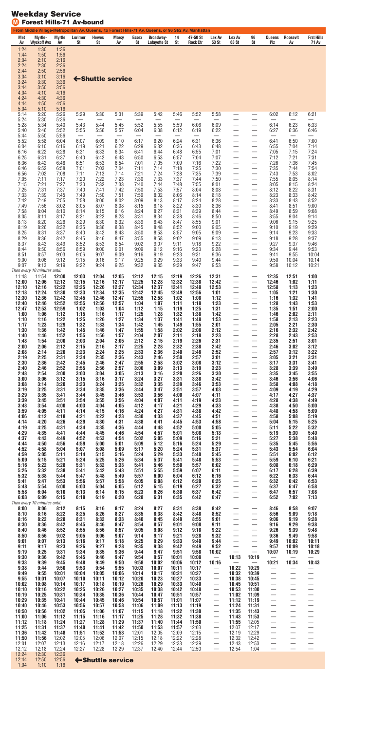### **Weekday Service** M **Forest Hills-71 Av-bound**

| St<br>Av<br><b>Wyckoff Avs</b><br>Av<br>St<br>Av<br>St<br><b>Lafayette St</b><br>St<br><b>Rock Ctr</b><br>53 St<br>63 St<br>Plz<br>71 Av<br>St<br>Av<br>1:24<br>1:30<br>1:36<br>1:50<br>1:44<br>1:56<br>2:04<br>2:10<br>2:16<br>2:24<br>2:30<br>2:36<br>2:50<br>2:56<br>2:44<br>3:04<br>3:10<br>3:16<br>← Shuttle service<br>3:24<br>3:30<br>3:36<br>3:44<br>3:50<br>3:56<br>4:04<br>4:10<br>4:16<br>4:24<br>4:30<br>4:36<br>4:44<br>4:50<br>4:56<br>5:04<br>5:10<br>5:16<br>5:14<br>5:20<br>5:26<br>5:29<br>5:30<br>5:31<br>5:39<br>5:42<br>5:46<br>5:52<br>5:58<br>6:02<br>6:12<br>6:21<br>5:24<br>5:30<br>5:36<br>—<br>5:28<br>5:52<br>5:55<br>6:23<br>6:33<br>5:34<br>5:40<br>5:43<br>5:44<br>5:45<br>5:59<br>6:06<br>6:09<br>6:14<br>—<br>$\overline{\phantom{0}}$<br>5:40<br>5:46<br>5:52<br>5:55<br>5:56<br>5:57<br>6:04<br>6:08<br>6:19<br>6:22<br>6:27<br>6:36<br>6:12<br>6:46<br>—<br>5:44<br>5:50<br>5:56<br>$\overline{\phantom{0}}$<br>$\overbrace{\phantom{12322111}}$<br>$\overline{\phantom{0}}$<br>—<br>—<br>—<br>6:07<br>6:09<br>6:10<br>6:17<br>6:20<br>6:24<br>6:36<br>6:50<br>7:00<br>5:52<br>5:58<br>6:04<br>6:31<br>6:41<br>—<br>—<br>7:14<br>6:04<br>6:10<br>6:16<br>6:19<br>6:21<br>6:22<br>6:29<br>6:32<br>6:36<br>6:43<br>6:48<br>6:55<br>7:04<br>—<br>6:33<br>6:34<br>7:24<br>6:22<br>6:28<br>6:31<br>6:44<br>6:55<br>7:01<br>7:05<br>7:15<br>6:16<br>6:41<br>6:48<br>$\overline{\phantom{0}}$<br>$\overbrace{\phantom{12333}}$<br>6:25<br>6:31<br>7:21<br>7:31<br>6:37<br>6:40<br>6:42<br>6:50<br>6:53<br>6:57<br>7:04<br>7:07<br>7:12<br>6:43<br>6:36<br>6:42<br>6:48<br>6:51<br>6:53<br>6:54<br>7:01<br>7:05<br>7:16<br>7:22<br>7:26<br>7:36<br>7:45<br>7:09<br>$\overline{\phantom{0}}$<br>—<br>7:54<br>6:46<br>6:52<br>7:03<br>7:14<br>7:18<br>7:25<br>7:30<br>7:35<br>7:44<br>6:58<br>7:01<br>7:04<br>7:11<br>$\overline{\phantom{0}}$<br>7:13<br>7:21<br>7:24<br>7:28<br>7:35<br>7:39<br>7:53<br>8:02<br>6:56<br>7:02<br>7:08<br>7:11<br>7:14<br>7:43<br>—<br>8:14<br>7:05<br>7:11<br>7:17<br>7:20<br>7:22<br>7:23<br>7:30<br>7:33<br>7:37<br>7:44<br>7:50<br>7:55<br>8:05<br>$\overline{\phantom{0}}$<br>$\overbrace{\phantom{13333}}$<br>7:15<br>7:21<br>7:30<br>7:32<br>7:33<br>7:55<br>8:05<br>8:15<br>8:24<br>7:27<br>7:40<br>7:44<br>7:48<br>8:01<br>—<br>7:25<br>7:42<br>7:53<br>8:22<br>8:31<br>7:31<br>7:37<br>7:40<br>7:41<br>7:50<br>7:57<br>8:04<br>8:08<br>8:12<br>$\overline{\phantom{0}}$<br>—<br>8:33<br>7:33<br>7:39<br>7:45<br>7:49<br>7:50<br>7:51<br>7:59<br>8:02<br>8:06<br>8:14<br>8:18<br>8:23<br>8:42<br>—<br>7:42<br>8:52<br>7:49<br>7:55<br>7:58<br>8:00<br>8:02<br>8:09<br>8:13<br>8:24<br>8:28<br>8:33<br>8:43<br>8:17<br>$\overline{\phantom{0}}$<br>—<br>7:49<br>8:22<br>8:30<br>7:56<br>8:02<br>8:05<br>8:07<br>8:08<br>8:15<br>8:18<br>8:36<br>8:41<br>8:51<br>9:00<br>—<br>—<br>7:58<br>8:31<br>8:39<br>8:59<br>8:04<br>8:10<br>8:14<br>8:15<br>8:16<br>8:24<br>8:27<br>8:44<br>8:49<br>9:08<br>—<br>8:21<br>8:22<br>8:23<br>8:31<br>8:34<br>8:38<br>9:14<br>8:05<br>8:11<br>8:17<br>8:46<br>8:50<br>8:55<br>9:04<br>$\overline{\phantom{0}}$<br>$\overbrace{\phantom{12333}}$<br>8:20<br>8:29<br>8:30<br>8:32<br>8:39<br>8:55<br>9:25<br>8:13<br>8:26<br>8:43<br>8:47<br>9:01<br>9:06<br>9:15<br>—<br>—<br>8:19<br>8:26<br>8:32<br>8:35<br>8:36<br>8:38<br>8:45<br>8:48<br>8:52<br>9:00<br>9:05<br>9:10<br>9:19<br>9:29<br>$\overline{\phantom{0}}$<br>$\overline{\phantom{0}}$<br>9:23<br>9:33<br>8:25<br>8:31<br>8:37<br>8:42<br>8:50<br>8:57<br>9:05<br>9:14<br>8:40<br>8:43<br>8:53<br>9:09<br>—<br>8:29<br>8:36<br>9:09<br>9:28<br>9:37<br>8:42<br>8:45<br>8:46<br>8:47<br>8:55<br>8:58<br>9:02<br>9:13<br>9:18<br>—<br>9:37<br>8:37<br>8:43<br>8:49<br>8:52<br>8:53<br>8:54<br>9:02<br>9:07<br>9:11<br>9:18<br>9:22<br>9:27<br>9:46<br>$\overline{\phantom{0}}$<br>9:23<br>9:53<br>8:44<br>8:50<br>8:56<br>8:59<br>9:00<br>9:01<br>9:09<br>9:12<br>9:16<br>9:28<br>9:34<br>9:44<br>—<br>9:31<br>8:51<br>8:57<br>9:03<br>9:06<br>9:07<br>9:09<br>9:16<br>9:19<br>9:23<br>9:36<br>9:41<br>9:55<br>10:04<br>$\overline{\phantom{0}}$<br>—<br>9:00<br>9:06<br>9:12<br>9:15<br>9:16<br>9:17<br>9:25<br>9:29<br>9:33<br>9:40<br>9:44<br>9:50<br>10:04<br>10:14<br>—<br>—<br>9:07<br>9:13<br>9:22<br>9:24<br>9:25<br>9:32<br>9:35<br>9:39<br>9:47<br>9:53<br>9:58<br>10:21<br>9:19<br>10:12<br>$\overline{\phantom{0}}$<br>Then every 10 minutes until:<br>11:48<br>11:54<br>12:00<br>12:03<br>12:04<br>12:05<br>12:12<br>12:15<br>12:19<br>12:26<br>12:31<br>12:35<br>12:51<br>1:00<br>—<br>—<br>12:00<br>12:06<br>12:12<br>12:15<br>12:16<br>12:17<br>12:25<br>12:28<br>12:32<br>12:38<br>12:42<br>12:46<br>1:02<br>1:11<br>12:10<br>12:22<br>12:25<br>12:26<br>12:27<br>12:34<br>12:37<br>12:53<br>1:23<br>12:16<br>12:41<br>12:48<br>12:58<br>1:13<br>12:18<br>12:24<br>12:33<br>12:34<br>1:30<br>12:30<br>12:35<br>12:42<br>12:45<br>12:49<br>12:56<br>1:01<br>1:05<br>1:21<br>—<br>—<br>12:30<br>1:32<br>12:36<br>12:42<br>12:45<br>12:46<br>12:47<br>12:55<br>12:58<br>1:02<br>1:08<br>1:12<br>1:16<br>1:41<br>12:40<br>12:46<br>12:52<br>12:55<br>12:56<br>12:57<br>1:04<br>1:07<br>1:18<br>1:23<br>1:43<br>1:53<br>1:11<br>1:28<br>$\overline{\phantom{0}}$<br>$\overbrace{\phantom{12333}}$<br>12:53<br>1:31<br>12:47<br>12:59<br>1:02<br>1:03<br>1:04<br>1:12<br>1:15<br>1:19<br>1:25<br>1:35<br>1:51<br>2:00<br>2:11<br>1:06<br>1:12<br>1:25<br>1:32<br>1:38<br>2:02<br>1:00<br>1:15<br>1:16<br>1:17<br>1:28<br>1:42<br>1:46<br>2:23<br>1:22<br>1:26<br>1:27<br>1:34<br>1:37<br>2:13<br>1:10<br>1:16<br>1:25<br>1:41<br>1:48<br>1:53<br>1:58<br>$\overline{\phantom{0}}$<br>$\overbrace{\phantom{12333}}$<br>2:30<br>1:23<br>1:29<br>1:32<br>1:33<br>1:34<br>1:45<br>1:49<br>1:55<br>2:01<br>2:21<br>1:17<br>1:42<br>2:05<br>1:58<br>2:32<br>2:42<br>1:30<br>1:36<br>1:42<br>1:45<br>1:46<br>1:47<br>1:55<br>2:02<br>2:08<br>2:12<br>2:16<br>—<br>2:53<br>1:56<br>2:11<br>2:18<br>2:23<br>2:43<br>1:40<br>1:46<br>1:52<br>1:55<br>1:57<br>2:04<br>2:07<br>2:28<br>$\overline{\phantom{0}}$<br>—<br>2:51<br>3:01<br>1:54<br>2:00<br>2:03<br>2:04<br>2:05<br>2:12<br>2:15<br>2:19<br>2:26<br>2:31<br>2:35<br>1:48<br>$\overline{\phantom{0}}$<br>2:06<br>2:16<br>2:28<br>2:32<br>2:38<br>3:02<br>3:12<br>2:00<br>2:12<br>2:15<br>2:17<br>2:25<br>2:42<br>—<br>2:46<br>$\overbrace{\phantom{13333}}$<br>3:12<br>3:22<br>2:08<br>2:14<br>2:20<br>2:23<br>2:24<br>2:25<br>2:33<br>2:36<br>2:40<br>2:46<br>2:52<br>2:57<br>2:19<br>2:25<br>2:31<br>2:34<br>2:35<br>2:36<br>2:50<br>3:01<br>$\overline{\phantom{0}}$<br>3:21<br>3:31<br>2:43<br>2:46<br>2:57<br>3:05<br>3:31<br>3:41<br>2:30<br>2:36<br>2:42<br>2:45<br>2:46<br>2:47<br>2:55<br>2:58<br>3:02<br>3:08<br>3:12<br>—<br>3:17<br>2:52<br>2:55<br>2:56<br>2:57<br>3:13<br>3:19<br>3:23<br>3:39<br>3:49<br>2:40<br>2:46<br>3:06<br>3:09<br>$\equiv$<br>3:28<br>2:54<br>3:04<br>3:16<br>3:20<br>3:26<br>3:45<br>3:55<br>2:48<br>3:00<br>3:03<br>3:05<br>3:13<br>3:30<br>3:35<br>—<br>3:06<br>3:15<br>3:16<br>3:17<br>3:24<br>3:31<br>3:38<br>3:56<br>4:06<br>3:00<br>3:12<br>3:27<br>3:42<br>3:46<br>—<br>3:23<br>3:24<br>3:25<br>3:32<br>3:35<br>3:39<br>3:53<br>3:58<br>4:08<br>4:18<br>3:08<br>3:14<br>3:20<br>3:46<br>$\overbrace{\phantom{12333}}$<br>3:19<br>3:25<br>3:34<br>3:35<br>3:36<br>3:51<br>4:19<br>4:29<br>3:31<br>3:44<br>3:47<br>3:57<br>4:03<br>$\overline{\phantom{0}}$<br>4:09<br>—<br>4:27<br>4:37<br>3:29<br>3:35<br>3:41<br>3:44<br>3:45<br>3:46<br>3:53<br>3:56<br>4:00<br>4:07<br>4:11<br>4:17<br>$\equiv$<br>4:19<br>4:38<br>4:49<br>3:39<br>3:45<br>3:51<br>3:54<br>3:55<br>3:56<br>4:04<br>4:07<br>4:11<br>4:23<br>4:28<br>4:04<br>4:17<br>4:21<br>4:29<br>4:33<br>4:50<br>5:00<br>3:48<br>3:54<br>4:00<br>4:03<br>4:05<br>4:12<br>4:38<br>—<br>$\overline{\phantom{0}}$<br>4:05<br>4:15<br>4:27<br>4:38<br>4:58<br>5:09<br>3:59<br>4:11<br>4:14<br>4:16<br>4:24<br>4:31<br>4:42<br>4:48<br>$\overbrace{\phantom{13333}}$<br>4:22<br>4:33<br>5:19<br>4:12<br>4:21<br>4:23<br>4:30<br>4:37<br>4:45<br>4:51<br>4:58<br>5:08<br>4:06<br>4:18<br>$\overline{\phantom{0}}$<br>—<br>4:20<br>4:29<br>4:30<br>4:31<br>4:41<br>$\overline{\phantom{0}}$<br>5:15<br>5:25<br>4:14<br>4:26<br>4:38<br>4:45<br>4:53<br>4:58<br>5:04<br>4:25<br>4:35<br>5:22<br>5:32<br>4:19<br>4:31<br>4:34<br>4:36<br>4:44<br>4:48<br>4:52<br>5:00<br>5:05<br>—<br>5:11<br>5:40<br>5:30<br>4:29<br>4:35<br>4:41<br>4:44<br>4:45<br>4:46<br>4:54<br>4:57<br>5:01<br>5:08<br>5:13<br>$\equiv$<br>5:19<br>4:53<br>5:09<br>5:38<br>5:48<br>4:37<br>4:43<br>4:49<br>4:52<br>4:54<br>5:02<br>5:05<br>5:16<br>5:21<br>5:27<br>4:50<br>5:00<br>5:09<br>5:24<br>5:35<br>5:45<br>5:56<br>4:44<br>4:56<br>4:59<br>5:01<br>5:12<br>5:16<br>5:29<br>—<br>4:58<br>5:20<br>5:24<br>5:31<br>5:37<br>5:54<br>6:04<br>4:52<br>5:04<br>5:07<br>5:08<br>5:09<br>5:17<br>5:43<br>$\overbrace{\phantom{12333}}$<br>5:05<br>5:14<br>5:15<br>5:24<br>5:29<br>5:33<br>5:40<br>6:02<br>6:12<br>4:59<br>5:11<br>5:16<br>5:45<br>—<br>5:51<br>—<br>5:37<br>6:10<br>6:21<br>5:09<br>5:15<br>5:21<br>5:24<br>5:25<br>5:26<br>5:34<br>5:41<br>5:48<br>5:53<br>5:59<br>$\overline{\phantom{0}}$<br>6:29<br>5:22<br>5:32<br>5:33<br>5:50<br>6:18<br>5:16<br>5:28<br>5:31<br>5:41<br>5:46<br>5:57<br>6:02<br>6:08<br>6:39<br>5:32<br>5:42<br>6:07<br>6:28<br>5:26<br>5:38<br>5:41<br>5:43<br>5:51<br>5:55<br>5:59<br>6:11<br>6:17<br>—<br>5:38<br>6:33<br>6:44<br>5:32<br>5:44<br>5:47<br>5:48<br>5:49<br>5:57<br>6:00<br>6:04<br>6:12<br>6:16<br>6:22<br>$\overbrace{\phantom{12333}}$<br>5:41<br>5:47<br>5:56<br>5:57<br>5:58<br>6:20<br>6:25<br>6:32<br>6:42<br>6:53<br>5:53<br>6:05<br>6:08<br>6:12<br>—<br>—<br>6:27<br>6:32<br>$\overline{\phantom{0}}$<br>6:47<br>6:58<br>5:48<br>5:54<br>6:00<br>6:03<br>6:04<br>6:05<br>6:12<br>6:15<br>6:19<br>6:37<br>6:57<br>7:08<br>5:58<br>6:04<br>6:10<br>6:13<br>6:14<br>6:15<br>6:23<br>6:26<br>6:30<br>6:37<br>6:42<br>6:47<br>7:13<br>6:09<br>6:03<br>6:15<br>6:18<br>6:19<br>6:20<br>6:28<br>6:31<br>6:35<br>6:42<br>6:47<br>6:52<br>7:02<br>Then every 10 minutes until:<br>8:06<br>8:16<br>8:24<br>8:27<br>8:31<br>8:38<br>8:42<br>8:58<br>9:07<br>8:00<br>8:12<br>8:15<br>8:17<br>8:46<br>$\overline{\phantom{0}}$<br>9:09<br>9:18<br>8:10<br>8:16<br>8:22<br>8:25<br>8:26<br>8:27<br>8:35<br>8:38<br>8:42<br>8:48<br>8:52<br>8:56<br>8:32<br>9:19<br>9:28<br>8:16<br>8:22<br>8:31<br>8:33<br>8:49<br>8:55<br>9:01<br>9:06<br>8:28<br>8:40<br>8:45<br>$\overline{\phantom{0}}$<br>8:42<br>8:47<br>9:29<br>9:38<br>8:30<br>8:36<br>8:45<br>8:46<br>8:54<br>8:57<br>9:01<br>9:08<br>9:11<br>$\overline{\phantom{0}}$<br>9:16<br>9:39<br>9:48<br>8:40<br>8:46<br>8:52<br>8:55<br>8:56<br>8:57<br>9:05<br>9:08<br>9:12<br>9:18<br>9:22<br>9:26<br>—<br>9:58<br>8:56<br>9:17<br>9:28<br>9:32<br>8:50<br>9:02<br>9:05<br>9:06<br>9:07<br>9:14<br>9:21<br>9:36<br>9:49<br>$\overline{\phantom{0}}$<br>9:07<br>9:17<br>9:18<br>9:25<br>9:29<br>9:33<br>$\overline{\phantom{0}}$<br>10:02<br>10:11<br>9:01<br>9:13<br>9:16<br>9:40<br>9:44<br>9:49<br>9:17<br>9:27<br>9:28<br>9:35<br>9:38<br>9:49<br>10:09<br>10:18<br>9:11<br>9:23<br>9:26<br>9:42<br>9:52<br>9:57<br>$\overbrace{\phantom{13333}}$<br>$\overline{\phantom{0}}$<br>9:25<br>9:31<br>9:34<br>9:35<br>9:36<br>9:47<br>9:51<br>10:29<br>9:19<br>9:44<br>9:58<br>10:02<br>10:07<br>10:19<br>9:36<br>9:57<br>10:01<br>10:13<br>10:19<br>9:30<br>9:42<br>9:45<br>9:46<br>9:47<br>9:54<br>10:08<br>10:21<br>10:34<br>9:33<br>9:39<br>9:45<br>9:48<br>9:49<br>9:50<br>9:58<br>10:02<br>10:06<br>10:12<br>10:16<br>10:43<br>$\overline{\phantom{m}}$<br>$\overline{\phantom{m}}$<br>10:22<br>9:44<br>9:53<br>9:54<br>9:55<br>10:29<br>9:38<br>9:50<br>10:03<br>10:07<br>10:11<br>10:17<br>10:27<br>9:49<br>9:55<br>10:05<br>10:17<br>10:21<br>10:32<br>10:39<br>10:01<br>10:04<br>10:06<br>10:14<br>$\overline{\phantom{0}}$<br>$\overline{\phantom{0}}$<br>10:33<br>10:38<br>10:01<br>10:12<br>10:23<br>10:27<br>10:45<br>9:55<br>10:07<br>10:10<br>10:11<br>10:20<br>$\qquad \qquad -$<br>$\qquad \qquad -$<br>10:19<br>10:26<br>10:33<br>10:40<br>10:51<br>10:08<br>10:14<br>10:18<br>10:29<br>10:45<br>10:02<br>10:17<br>$\overline{\phantom{0}}$<br>—<br>10:26<br>10:27<br>10:35<br>10:38<br>10:53<br>10:10<br>10:16<br>10:22<br>10:25<br>10:42<br>10:48<br>11:00<br>10:31<br>10:35<br>10:51<br>11:02<br>10:19<br>10:25<br>10:34<br>10:36<br>10:44<br>10:47<br>10:57<br>11:09<br>10:29<br>10:41<br>10:44<br>10:54<br>10:57<br>11:07<br>11:19<br>10:35<br>10:45<br>10:46<br>11:01<br>11:12<br>$\equiv$<br>$\equiv$<br>$\overline{\phantom{a}}$<br>10:40<br>10:53<br>10:56<br>10:58<br>11:06<br>11:19<br>11:24<br>11:31<br>10:46<br>10:57<br>11:09<br>11:13<br>10:50<br>10:56<br>11:02<br>11:05<br>11:06<br>11:07<br>11:15<br>11:18<br>11:22<br>11:30<br>11:35<br>11:43<br>$\overline{\phantom{0}}$<br>$\overline{\phantom{0}}$<br>11:00<br>11:06<br>11:12<br>11:15<br>11:16<br>11:17<br>11:25<br>11:28<br>11:32<br>11:38<br>$\overline{\phantom{0}}$<br>11:43<br>11:53<br>11:50<br>$\overline{\phantom{0}}$<br>11:12<br>11:18<br>11:24<br>11:27<br>11:28<br>11:29<br>11:37<br>11:40<br>11:44<br>$\overline{\phantom{0}}$<br>11:55<br>12:05 |     |         |               |         |       |              |       | From Middle Village-Metropolitan Av, Queens, to Forest Hills-71 Av, Queens, or 96 St/2 Av, Manhattan |       |          |                      |        |       |                      |          |                                      |
|-------------------------------------------------------------------------------------------------------------------------------------------------------------------------------------------------------------------------------------------------------------------------------------------------------------------------------------------------------------------------------------------------------------------------------------------------------------------------------------------------------------------------------------------------------------------------------------------------------------------------------------------------------------------------------------------------------------------------------------------------------------------------------------------------------------------------------------------------------------------------------------------------------------------------------------------------------------------------------------------------------------------------------------------------------------------------------------------------------------------------------------------------------------------------------------------------------------------------------------------------------------------------------------------------------------------------------------------------------------------------------------------------------------------------------------------------------------------------------------------------------------------------------------------------------------------------------------------------------------------------------------------------------------------------------------------------------------------------------------------------------------------------------------------------------------------------------------------------------------------------------------------------------------------------------------------------------------------------------------------------------------------------------------------------------------------------------------------------------------------------------------------------------------------------------------------------------------------------------------------------------------------------------------------------------------------------------------------------------------------------------------------------------------------------------------------------------------------------------------------------------------------------------------------------------------------------------------------------------------------------------------------------------------------------------------------------------------------------------------------------------------------------------------------------------------------------------------------------------------------------------------------------------------------------------------------------------------------------------------------------------------------------------------------------------------------------------------------------------------------------------------------------------------------------------------------------------------------------------------------------------------------------------------------------------------------------------------------------------------------------------------------------------------------------------------------------------------------------------------------------------------------------------------------------------------------------------------------------------------------------------------------------------------------------------------------------------------------------------------------------------------------------------------------------------------------------------------------------------------------------------------------------------------------------------------------------------------------------------------------------------------------------------------------------------------------------------------------------------------------------------------------------------------------------------------------------------------------------------------------------------------------------------------------------------------------------------------------------------------------------------------------------------------------------------------------------------------------------------------------------------------------------------------------------------------------------------------------------------------------------------------------------------------------------------------------------------------------------------------------------------------------------------------------------------------------------------------------------------------------------------------------------------------------------------------------------------------------------------------------------------------------------------------------------------------------------------------------------------------------------------------------------------------------------------------------------------------------------------------------------------------------------------------------------------------------------------------------------------------------------------------------------------------------------------------------------------------------------------------------------------------------------------------------------------------------------------------------------------------------------------------------------------------------------------------------------------------------------------------------------------------------------------------------------------------------------------------------------------------------------------------------------------------------------------------------------------------------------------------------------------------------------------------------------------------------------------------------------------------------------------------------------------------------------------------------------------------------------------------------------------------------------------------------------------------------------------------------------------------------------------------------------------------------------------------------------------------------------------------------------------------------------------------------------------------------------------------------------------------------------------------------------------------------------------------------------------------------------------------------------------------------------------------------------------------------------------------------------------------------------------------------------------------------------------------------------------------------------------------------------------------------------------------------------------------------------------------------------------------------------------------------------------------------------------------------------------------------------------------------------------------------------------------------------------------------------------------------------------------------------------------------------------------------------------------------------------------------------------------------------------------------------------------------------------------------------------------------------------------------------------------------------------------------------------------------------------------------------------------------------------------------------------------------------------------------------------------------------------------------------------------------------------------------------------------------------------------------------------------------------------------------------------------------------------------------------------------------------------------------------------------------------------------------------------------------------------------------------------------------------------------------------------------------------------------------------------------------------------------------------------------------------------------------------------------------------------------------------------------------------------------------------------------------------------------------------------------------------------------------------------------------------------------------------------------------------------------------------------------------------------------------------------------------------------------------------------------------------------------------------------------------------------------------------------------------------------------------------------------------------------------------------------------------------------------------------------------------------------------------------------------------------------------------------------------------------------------------------------------------------------------------------------------------------------------------------------------------------------------------------------------------------------------------------------------------------------------------------------------------------------------------------------------------------------------------------------------------------------------------------------------------------------------------------------------------------------------------------------------------------------------------------------------------------------------------------------------------------------------------------------------------------------------------------------------------------------------------------------------------------------------------------------------------------------------------------------------------------------------------------------------------------------------------------------------------------------------------------------------------------------------------------------------------------------------------------------------------------------------------------------------------------------------------------------------------------------------------------------------------------------------------------------------------------------------------------------------------------------------------------------------------------------------------------------------------------------------------------------------------------------------------------------------------------------------------------------------------------------------------------------------------------------------------------------------------------------------------------------------------------------------------------------------------------------------------------------------------------------------------------------------------------------------------------------------------------------------------------------------------------------------------------------------------------------------------------------------------------------------------------------------------------------------------------------------------------------------------------------------------------------------------------------------------------------------------------------------------------------------------------------------------------------------------------------------------------------------------------------------------------------------------------------------------------------------------------------------------------------------------------------------------------------------------------------------------------------------------------------------------------------------------------------------------------------------------------------------------------------------------------------------------------------------------------------------------------------------------------------------------------------------------------------------------------------------------------------------------------------------------------------------------------------------------------------------------------------------------------------------------------------------------------------------------------------------------------------------------------------------------------------------------------------------------------------------------------------------------------------------------------------------------------------------------------------------------------------------------------------------------------------------------------------------------------------------------------------------------------------------------------------------------------------------------------------------------------------------------------------------------------------------------------------------------------------------------------------------------------------------------------------|-----|---------|---------------|---------|-------|--------------|-------|------------------------------------------------------------------------------------------------------|-------|----------|----------------------|--------|-------|----------------------|----------|--------------------------------------|
|                                                                                                                                                                                                                                                                                                                                                                                                                                                                                                                                                                                                                                                                                                                                                                                                                                                                                                                                                                                                                                                                                                                                                                                                                                                                                                                                                                                                                                                                                                                                                                                                                                                                                                                                                                                                                                                                                                                                                                                                                                                                                                                                                                                                                                                                                                                                                                                                                                                                                                                                                                                                                                                                                                                                                                                                                                                                                                                                                                                                                                                                                                                                                                                                                                                                                                                                                                                                                                                                                                                                                                                                                                                                                                                                                                                                                                                                                                                                                                                                                                                                                                                                                                                                                                                                                                                                                                                                                                                                                                                                                                                                                                                                                                                                                                                                                                                                                                                                                                                                                                                                                                                                                                                                                                                                                                                                                                                                                                                                                                                                                                                                                                                                                                                                                                                                                                                                                                                                                                                                                                                                                                                                                                                                                                                                                                                                                                                                                                                                                                                                                                                                                                                                                                                                                                                                                                                                                                                                                                                                                                                                                                                                                                                                                                                                                                                                                                                                                                                                                                                                                                                                                                                                                                                                                                                                                                                                                                                                                                                                                                                                                                                                                                                                                                                                                                                                                                                                                                                                                                                                                                                                                                                                                                                                                                                                                                                                                                                                                                                                                                                                                                                                                                                                                                                                                                                                                                                                                                                                                                                                                                                                                                                                                                                                                                                                                                                                                                                                                                                                                                                                                                                                                                                                                                                                                                                                                                                                                                                                                                                                                                                                                                                                                                                                                                                                                                                                                                                                                                                                                                                                                                                                                                                                                                                                                                                                                                                                                                                                                                                                                                                                                                                                                                                                                                                                                                                                                                                                                                                                                                                                                                                                                                                                                                                                                                                                                                                                                                                                                                                                                                                                                                                                                                                                                                                                                                                                                                                                                                                                                                                                                                                                                                                                                                                       | Met | Myrtle- | <b>Myrtle</b> | Lorimer | Hewes | <b>Marcy</b> | Essex | Broadway-                                                                                            | 14    | 47-50 St | Lex Av               | Lex Av | 96    | Queens               | Roosevlt | <b>Frst Hills</b>                    |
|                                                                                                                                                                                                                                                                                                                                                                                                                                                                                                                                                                                                                                                                                                                                                                                                                                                                                                                                                                                                                                                                                                                                                                                                                                                                                                                                                                                                                                                                                                                                                                                                                                                                                                                                                                                                                                                                                                                                                                                                                                                                                                                                                                                                                                                                                                                                                                                                                                                                                                                                                                                                                                                                                                                                                                                                                                                                                                                                                                                                                                                                                                                                                                                                                                                                                                                                                                                                                                                                                                                                                                                                                                                                                                                                                                                                                                                                                                                                                                                                                                                                                                                                                                                                                                                                                                                                                                                                                                                                                                                                                                                                                                                                                                                                                                                                                                                                                                                                                                                                                                                                                                                                                                                                                                                                                                                                                                                                                                                                                                                                                                                                                                                                                                                                                                                                                                                                                                                                                                                                                                                                                                                                                                                                                                                                                                                                                                                                                                                                                                                                                                                                                                                                                                                                                                                                                                                                                                                                                                                                                                                                                                                                                                                                                                                                                                                                                                                                                                                                                                                                                                                                                                                                                                                                                                                                                                                                                                                                                                                                                                                                                                                                                                                                                                                                                                                                                                                                                                                                                                                                                                                                                                                                                                                                                                                                                                                                                                                                                                                                                                                                                                                                                                                                                                                                                                                                                                                                                                                                                                                                                                                                                                                                                                                                                                                                                                                                                                                                                                                                                                                                                                                                                                                                                                                                                                                                                                                                                                                                                                                                                                                                                                                                                                                                                                                                                                                                                                                                                                                                                                                                                                                                                                                                                                                                                                                                                                                                                                                                                                                                                                                                                                                                                                                                                                                                                                                                                                                                                                                                                                                                                                                                                                                                                                                                                                                                                                                                                                                                                                                                                                                                                                                                                                                                                                                                                                                                                                                                                                                                                                                                                                                                                                                                                                                       |     |         |               |         |       |              |       |                                                                                                      |       |          |                      |        |       |                      |          |                                      |
|                                                                                                                                                                                                                                                                                                                                                                                                                                                                                                                                                                                                                                                                                                                                                                                                                                                                                                                                                                                                                                                                                                                                                                                                                                                                                                                                                                                                                                                                                                                                                                                                                                                                                                                                                                                                                                                                                                                                                                                                                                                                                                                                                                                                                                                                                                                                                                                                                                                                                                                                                                                                                                                                                                                                                                                                                                                                                                                                                                                                                                                                                                                                                                                                                                                                                                                                                                                                                                                                                                                                                                                                                                                                                                                                                                                                                                                                                                                                                                                                                                                                                                                                                                                                                                                                                                                                                                                                                                                                                                                                                                                                                                                                                                                                                                                                                                                                                                                                                                                                                                                                                                                                                                                                                                                                                                                                                                                                                                                                                                                                                                                                                                                                                                                                                                                                                                                                                                                                                                                                                                                                                                                                                                                                                                                                                                                                                                                                                                                                                                                                                                                                                                                                                                                                                                                                                                                                                                                                                                                                                                                                                                                                                                                                                                                                                                                                                                                                                                                                                                                                                                                                                                                                                                                                                                                                                                                                                                                                                                                                                                                                                                                                                                                                                                                                                                                                                                                                                                                                                                                                                                                                                                                                                                                                                                                                                                                                                                                                                                                                                                                                                                                                                                                                                                                                                                                                                                                                                                                                                                                                                                                                                                                                                                                                                                                                                                                                                                                                                                                                                                                                                                                                                                                                                                                                                                                                                                                                                                                                                                                                                                                                                                                                                                                                                                                                                                                                                                                                                                                                                                                                                                                                                                                                                                                                                                                                                                                                                                                                                                                                                                                                                                                                                                                                                                                                                                                                                                                                                                                                                                                                                                                                                                                                                                                                                                                                                                                                                                                                                                                                                                                                                                                                                                                                                                                                                                                                                                                                                                                                                                                                                                                                                                                                                                                       |     |         |               |         |       |              |       |                                                                                                      |       |          |                      |        |       |                      |          |                                      |
|                                                                                                                                                                                                                                                                                                                                                                                                                                                                                                                                                                                                                                                                                                                                                                                                                                                                                                                                                                                                                                                                                                                                                                                                                                                                                                                                                                                                                                                                                                                                                                                                                                                                                                                                                                                                                                                                                                                                                                                                                                                                                                                                                                                                                                                                                                                                                                                                                                                                                                                                                                                                                                                                                                                                                                                                                                                                                                                                                                                                                                                                                                                                                                                                                                                                                                                                                                                                                                                                                                                                                                                                                                                                                                                                                                                                                                                                                                                                                                                                                                                                                                                                                                                                                                                                                                                                                                                                                                                                                                                                                                                                                                                                                                                                                                                                                                                                                                                                                                                                                                                                                                                                                                                                                                                                                                                                                                                                                                                                                                                                                                                                                                                                                                                                                                                                                                                                                                                                                                                                                                                                                                                                                                                                                                                                                                                                                                                                                                                                                                                                                                                                                                                                                                                                                                                                                                                                                                                                                                                                                                                                                                                                                                                                                                                                                                                                                                                                                                                                                                                                                                                                                                                                                                                                                                                                                                                                                                                                                                                                                                                                                                                                                                                                                                                                                                                                                                                                                                                                                                                                                                                                                                                                                                                                                                                                                                                                                                                                                                                                                                                                                                                                                                                                                                                                                                                                                                                                                                                                                                                                                                                                                                                                                                                                                                                                                                                                                                                                                                                                                                                                                                                                                                                                                                                                                                                                                                                                                                                                                                                                                                                                                                                                                                                                                                                                                                                                                                                                                                                                                                                                                                                                                                                                                                                                                                                                                                                                                                                                                                                                                                                                                                                                                                                                                                                                                                                                                                                                                                                                                                                                                                                                                                                                                                                                                                                                                                                                                                                                                                                                                                                                                                                                                                                                                                                                                                                                                                                                                                                                                                                                                                                                                                                                                                                       |     |         |               |         |       |              |       |                                                                                                      |       |          |                      |        |       |                      |          |                                      |
|                                                                                                                                                                                                                                                                                                                                                                                                                                                                                                                                                                                                                                                                                                                                                                                                                                                                                                                                                                                                                                                                                                                                                                                                                                                                                                                                                                                                                                                                                                                                                                                                                                                                                                                                                                                                                                                                                                                                                                                                                                                                                                                                                                                                                                                                                                                                                                                                                                                                                                                                                                                                                                                                                                                                                                                                                                                                                                                                                                                                                                                                                                                                                                                                                                                                                                                                                                                                                                                                                                                                                                                                                                                                                                                                                                                                                                                                                                                                                                                                                                                                                                                                                                                                                                                                                                                                                                                                                                                                                                                                                                                                                                                                                                                                                                                                                                                                                                                                                                                                                                                                                                                                                                                                                                                                                                                                                                                                                                                                                                                                                                                                                                                                                                                                                                                                                                                                                                                                                                                                                                                                                                                                                                                                                                                                                                                                                                                                                                                                                                                                                                                                                                                                                                                                                                                                                                                                                                                                                                                                                                                                                                                                                                                                                                                                                                                                                                                                                                                                                                                                                                                                                                                                                                                                                                                                                                                                                                                                                                                                                                                                                                                                                                                                                                                                                                                                                                                                                                                                                                                                                                                                                                                                                                                                                                                                                                                                                                                                                                                                                                                                                                                                                                                                                                                                                                                                                                                                                                                                                                                                                                                                                                                                                                                                                                                                                                                                                                                                                                                                                                                                                                                                                                                                                                                                                                                                                                                                                                                                                                                                                                                                                                                                                                                                                                                                                                                                                                                                                                                                                                                                                                                                                                                                                                                                                                                                                                                                                                                                                                                                                                                                                                                                                                                                                                                                                                                                                                                                                                                                                                                                                                                                                                                                                                                                                                                                                                                                                                                                                                                                                                                                                                                                                                                                                                                                                                                                                                                                                                                                                                                                                                                                                                                                                                                       |     |         |               |         |       |              |       |                                                                                                      |       |          |                      |        |       |                      |          |                                      |
|                                                                                                                                                                                                                                                                                                                                                                                                                                                                                                                                                                                                                                                                                                                                                                                                                                                                                                                                                                                                                                                                                                                                                                                                                                                                                                                                                                                                                                                                                                                                                                                                                                                                                                                                                                                                                                                                                                                                                                                                                                                                                                                                                                                                                                                                                                                                                                                                                                                                                                                                                                                                                                                                                                                                                                                                                                                                                                                                                                                                                                                                                                                                                                                                                                                                                                                                                                                                                                                                                                                                                                                                                                                                                                                                                                                                                                                                                                                                                                                                                                                                                                                                                                                                                                                                                                                                                                                                                                                                                                                                                                                                                                                                                                                                                                                                                                                                                                                                                                                                                                                                                                                                                                                                                                                                                                                                                                                                                                                                                                                                                                                                                                                                                                                                                                                                                                                                                                                                                                                                                                                                                                                                                                                                                                                                                                                                                                                                                                                                                                                                                                                                                                                                                                                                                                                                                                                                                                                                                                                                                                                                                                                                                                                                                                                                                                                                                                                                                                                                                                                                                                                                                                                                                                                                                                                                                                                                                                                                                                                                                                                                                                                                                                                                                                                                                                                                                                                                                                                                                                                                                                                                                                                                                                                                                                                                                                                                                                                                                                                                                                                                                                                                                                                                                                                                                                                                                                                                                                                                                                                                                                                                                                                                                                                                                                                                                                                                                                                                                                                                                                                                                                                                                                                                                                                                                                                                                                                                                                                                                                                                                                                                                                                                                                                                                                                                                                                                                                                                                                                                                                                                                                                                                                                                                                                                                                                                                                                                                                                                                                                                                                                                                                                                                                                                                                                                                                                                                                                                                                                                                                                                                                                                                                                                                                                                                                                                                                                                                                                                                                                                                                                                                                                                                                                                                                                                                                                                                                                                                                                                                                                                                                                                                                                                                                                       |     |         |               |         |       |              |       |                                                                                                      |       |          |                      |        |       |                      |          |                                      |
|                                                                                                                                                                                                                                                                                                                                                                                                                                                                                                                                                                                                                                                                                                                                                                                                                                                                                                                                                                                                                                                                                                                                                                                                                                                                                                                                                                                                                                                                                                                                                                                                                                                                                                                                                                                                                                                                                                                                                                                                                                                                                                                                                                                                                                                                                                                                                                                                                                                                                                                                                                                                                                                                                                                                                                                                                                                                                                                                                                                                                                                                                                                                                                                                                                                                                                                                                                                                                                                                                                                                                                                                                                                                                                                                                                                                                                                                                                                                                                                                                                                                                                                                                                                                                                                                                                                                                                                                                                                                                                                                                                                                                                                                                                                                                                                                                                                                                                                                                                                                                                                                                                                                                                                                                                                                                                                                                                                                                                                                                                                                                                                                                                                                                                                                                                                                                                                                                                                                                                                                                                                                                                                                                                                                                                                                                                                                                                                                                                                                                                                                                                                                                                                                                                                                                                                                                                                                                                                                                                                                                                                                                                                                                                                                                                                                                                                                                                                                                                                                                                                                                                                                                                                                                                                                                                                                                                                                                                                                                                                                                                                                                                                                                                                                                                                                                                                                                                                                                                                                                                                                                                                                                                                                                                                                                                                                                                                                                                                                                                                                                                                                                                                                                                                                                                                                                                                                                                                                                                                                                                                                                                                                                                                                                                                                                                                                                                                                                                                                                                                                                                                                                                                                                                                                                                                                                                                                                                                                                                                                                                                                                                                                                                                                                                                                                                                                                                                                                                                                                                                                                                                                                                                                                                                                                                                                                                                                                                                                                                                                                                                                                                                                                                                                                                                                                                                                                                                                                                                                                                                                                                                                                                                                                                                                                                                                                                                                                                                                                                                                                                                                                                                                                                                                                                                                                                                                                                                                                                                                                                                                                                                                                                                                                                                                                                                       |     |         |               |         |       |              |       |                                                                                                      |       |          |                      |        |       |                      |          |                                      |
|                                                                                                                                                                                                                                                                                                                                                                                                                                                                                                                                                                                                                                                                                                                                                                                                                                                                                                                                                                                                                                                                                                                                                                                                                                                                                                                                                                                                                                                                                                                                                                                                                                                                                                                                                                                                                                                                                                                                                                                                                                                                                                                                                                                                                                                                                                                                                                                                                                                                                                                                                                                                                                                                                                                                                                                                                                                                                                                                                                                                                                                                                                                                                                                                                                                                                                                                                                                                                                                                                                                                                                                                                                                                                                                                                                                                                                                                                                                                                                                                                                                                                                                                                                                                                                                                                                                                                                                                                                                                                                                                                                                                                                                                                                                                                                                                                                                                                                                                                                                                                                                                                                                                                                                                                                                                                                                                                                                                                                                                                                                                                                                                                                                                                                                                                                                                                                                                                                                                                                                                                                                                                                                                                                                                                                                                                                                                                                                                                                                                                                                                                                                                                                                                                                                                                                                                                                                                                                                                                                                                                                                                                                                                                                                                                                                                                                                                                                                                                                                                                                                                                                                                                                                                                                                                                                                                                                                                                                                                                                                                                                                                                                                                                                                                                                                                                                                                                                                                                                                                                                                                                                                                                                                                                                                                                                                                                                                                                                                                                                                                                                                                                                                                                                                                                                                                                                                                                                                                                                                                                                                                                                                                                                                                                                                                                                                                                                                                                                                                                                                                                                                                                                                                                                                                                                                                                                                                                                                                                                                                                                                                                                                                                                                                                                                                                                                                                                                                                                                                                                                                                                                                                                                                                                                                                                                                                                                                                                                                                                                                                                                                                                                                                                                                                                                                                                                                                                                                                                                                                                                                                                                                                                                                                                                                                                                                                                                                                                                                                                                                                                                                                                                                                                                                                                                                                                                                                                                                                                                                                                                                                                                                                                                                                                                                                                                       |     |         |               |         |       |              |       |                                                                                                      |       |          |                      |        |       |                      |          |                                      |
|                                                                                                                                                                                                                                                                                                                                                                                                                                                                                                                                                                                                                                                                                                                                                                                                                                                                                                                                                                                                                                                                                                                                                                                                                                                                                                                                                                                                                                                                                                                                                                                                                                                                                                                                                                                                                                                                                                                                                                                                                                                                                                                                                                                                                                                                                                                                                                                                                                                                                                                                                                                                                                                                                                                                                                                                                                                                                                                                                                                                                                                                                                                                                                                                                                                                                                                                                                                                                                                                                                                                                                                                                                                                                                                                                                                                                                                                                                                                                                                                                                                                                                                                                                                                                                                                                                                                                                                                                                                                                                                                                                                                                                                                                                                                                                                                                                                                                                                                                                                                                                                                                                                                                                                                                                                                                                                                                                                                                                                                                                                                                                                                                                                                                                                                                                                                                                                                                                                                                                                                                                                                                                                                                                                                                                                                                                                                                                                                                                                                                                                                                                                                                                                                                                                                                                                                                                                                                                                                                                                                                                                                                                                                                                                                                                                                                                                                                                                                                                                                                                                                                                                                                                                                                                                                                                                                                                                                                                                                                                                                                                                                                                                                                                                                                                                                                                                                                                                                                                                                                                                                                                                                                                                                                                                                                                                                                                                                                                                                                                                                                                                                                                                                                                                                                                                                                                                                                                                                                                                                                                                                                                                                                                                                                                                                                                                                                                                                                                                                                                                                                                                                                                                                                                                                                                                                                                                                                                                                                                                                                                                                                                                                                                                                                                                                                                                                                                                                                                                                                                                                                                                                                                                                                                                                                                                                                                                                                                                                                                                                                                                                                                                                                                                                                                                                                                                                                                                                                                                                                                                                                                                                                                                                                                                                                                                                                                                                                                                                                                                                                                                                                                                                                                                                                                                                                                                                                                                                                                                                                                                                                                                                                                                                                                                                                                                       |     |         |               |         |       |              |       |                                                                                                      |       |          |                      |        |       |                      |          |                                      |
|                                                                                                                                                                                                                                                                                                                                                                                                                                                                                                                                                                                                                                                                                                                                                                                                                                                                                                                                                                                                                                                                                                                                                                                                                                                                                                                                                                                                                                                                                                                                                                                                                                                                                                                                                                                                                                                                                                                                                                                                                                                                                                                                                                                                                                                                                                                                                                                                                                                                                                                                                                                                                                                                                                                                                                                                                                                                                                                                                                                                                                                                                                                                                                                                                                                                                                                                                                                                                                                                                                                                                                                                                                                                                                                                                                                                                                                                                                                                                                                                                                                                                                                                                                                                                                                                                                                                                                                                                                                                                                                                                                                                                                                                                                                                                                                                                                                                                                                                                                                                                                                                                                                                                                                                                                                                                                                                                                                                                                                                                                                                                                                                                                                                                                                                                                                                                                                                                                                                                                                                                                                                                                                                                                                                                                                                                                                                                                                                                                                                                                                                                                                                                                                                                                                                                                                                                                                                                                                                                                                                                                                                                                                                                                                                                                                                                                                                                                                                                                                                                                                                                                                                                                                                                                                                                                                                                                                                                                                                                                                                                                                                                                                                                                                                                                                                                                                                                                                                                                                                                                                                                                                                                                                                                                                                                                                                                                                                                                                                                                                                                                                                                                                                                                                                                                                                                                                                                                                                                                                                                                                                                                                                                                                                                                                                                                                                                                                                                                                                                                                                                                                                                                                                                                                                                                                                                                                                                                                                                                                                                                                                                                                                                                                                                                                                                                                                                                                                                                                                                                                                                                                                                                                                                                                                                                                                                                                                                                                                                                                                                                                                                                                                                                                                                                                                                                                                                                                                                                                                                                                                                                                                                                                                                                                                                                                                                                                                                                                                                                                                                                                                                                                                                                                                                                                                                                                                                                                                                                                                                                                                                                                                                                                                                                                                                                                       |     |         |               |         |       |              |       |                                                                                                      |       |          |                      |        |       |                      |          |                                      |
|                                                                                                                                                                                                                                                                                                                                                                                                                                                                                                                                                                                                                                                                                                                                                                                                                                                                                                                                                                                                                                                                                                                                                                                                                                                                                                                                                                                                                                                                                                                                                                                                                                                                                                                                                                                                                                                                                                                                                                                                                                                                                                                                                                                                                                                                                                                                                                                                                                                                                                                                                                                                                                                                                                                                                                                                                                                                                                                                                                                                                                                                                                                                                                                                                                                                                                                                                                                                                                                                                                                                                                                                                                                                                                                                                                                                                                                                                                                                                                                                                                                                                                                                                                                                                                                                                                                                                                                                                                                                                                                                                                                                                                                                                                                                                                                                                                                                                                                                                                                                                                                                                                                                                                                                                                                                                                                                                                                                                                                                                                                                                                                                                                                                                                                                                                                                                                                                                                                                                                                                                                                                                                                                                                                                                                                                                                                                                                                                                                                                                                                                                                                                                                                                                                                                                                                                                                                                                                                                                                                                                                                                                                                                                                                                                                                                                                                                                                                                                                                                                                                                                                                                                                                                                                                                                                                                                                                                                                                                                                                                                                                                                                                                                                                                                                                                                                                                                                                                                                                                                                                                                                                                                                                                                                                                                                                                                                                                                                                                                                                                                                                                                                                                                                                                                                                                                                                                                                                                                                                                                                                                                                                                                                                                                                                                                                                                                                                                                                                                                                                                                                                                                                                                                                                                                                                                                                                                                                                                                                                                                                                                                                                                                                                                                                                                                                                                                                                                                                                                                                                                                                                                                                                                                                                                                                                                                                                                                                                                                                                                                                                                                                                                                                                                                                                                                                                                                                                                                                                                                                                                                                                                                                                                                                                                                                                                                                                                                                                                                                                                                                                                                                                                                                                                                                                                                                                                                                                                                                                                                                                                                                                                                                                                                                                                                                                       |     |         |               |         |       |              |       |                                                                                                      |       |          |                      |        |       |                      |          |                                      |
|                                                                                                                                                                                                                                                                                                                                                                                                                                                                                                                                                                                                                                                                                                                                                                                                                                                                                                                                                                                                                                                                                                                                                                                                                                                                                                                                                                                                                                                                                                                                                                                                                                                                                                                                                                                                                                                                                                                                                                                                                                                                                                                                                                                                                                                                                                                                                                                                                                                                                                                                                                                                                                                                                                                                                                                                                                                                                                                                                                                                                                                                                                                                                                                                                                                                                                                                                                                                                                                                                                                                                                                                                                                                                                                                                                                                                                                                                                                                                                                                                                                                                                                                                                                                                                                                                                                                                                                                                                                                                                                                                                                                                                                                                                                                                                                                                                                                                                                                                                                                                                                                                                                                                                                                                                                                                                                                                                                                                                                                                                                                                                                                                                                                                                                                                                                                                                                                                                                                                                                                                                                                                                                                                                                                                                                                                                                                                                                                                                                                                                                                                                                                                                                                                                                                                                                                                                                                                                                                                                                                                                                                                                                                                                                                                                                                                                                                                                                                                                                                                                                                                                                                                                                                                                                                                                                                                                                                                                                                                                                                                                                                                                                                                                                                                                                                                                                                                                                                                                                                                                                                                                                                                                                                                                                                                                                                                                                                                                                                                                                                                                                                                                                                                                                                                                                                                                                                                                                                                                                                                                                                                                                                                                                                                                                                                                                                                                                                                                                                                                                                                                                                                                                                                                                                                                                                                                                                                                                                                                                                                                                                                                                                                                                                                                                                                                                                                                                                                                                                                                                                                                                                                                                                                                                                                                                                                                                                                                                                                                                                                                                                                                                                                                                                                                                                                                                                                                                                                                                                                                                                                                                                                                                                                                                                                                                                                                                                                                                                                                                                                                                                                                                                                                                                                                                                                                                                                                                                                                                                                                                                                                                                                                                                                                                                                                                       |     |         |               |         |       |              |       |                                                                                                      |       |          |                      |        |       |                      |          |                                      |
|                                                                                                                                                                                                                                                                                                                                                                                                                                                                                                                                                                                                                                                                                                                                                                                                                                                                                                                                                                                                                                                                                                                                                                                                                                                                                                                                                                                                                                                                                                                                                                                                                                                                                                                                                                                                                                                                                                                                                                                                                                                                                                                                                                                                                                                                                                                                                                                                                                                                                                                                                                                                                                                                                                                                                                                                                                                                                                                                                                                                                                                                                                                                                                                                                                                                                                                                                                                                                                                                                                                                                                                                                                                                                                                                                                                                                                                                                                                                                                                                                                                                                                                                                                                                                                                                                                                                                                                                                                                                                                                                                                                                                                                                                                                                                                                                                                                                                                                                                                                                                                                                                                                                                                                                                                                                                                                                                                                                                                                                                                                                                                                                                                                                                                                                                                                                                                                                                                                                                                                                                                                                                                                                                                                                                                                                                                                                                                                                                                                                                                                                                                                                                                                                                                                                                                                                                                                                                                                                                                                                                                                                                                                                                                                                                                                                                                                                                                                                                                                                                                                                                                                                                                                                                                                                                                                                                                                                                                                                                                                                                                                                                                                                                                                                                                                                                                                                                                                                                                                                                                                                                                                                                                                                                                                                                                                                                                                                                                                                                                                                                                                                                                                                                                                                                                                                                                                                                                                                                                                                                                                                                                                                                                                                                                                                                                                                                                                                                                                                                                                                                                                                                                                                                                                                                                                                                                                                                                                                                                                                                                                                                                                                                                                                                                                                                                                                                                                                                                                                                                                                                                                                                                                                                                                                                                                                                                                                                                                                                                                                                                                                                                                                                                                                                                                                                                                                                                                                                                                                                                                                                                                                                                                                                                                                                                                                                                                                                                                                                                                                                                                                                                                                                                                                                                                                                                                                                                                                                                                                                                                                                                                                                                                                                                                                                                                       |     |         |               |         |       |              |       |                                                                                                      |       |          |                      |        |       |                      |          |                                      |
|                                                                                                                                                                                                                                                                                                                                                                                                                                                                                                                                                                                                                                                                                                                                                                                                                                                                                                                                                                                                                                                                                                                                                                                                                                                                                                                                                                                                                                                                                                                                                                                                                                                                                                                                                                                                                                                                                                                                                                                                                                                                                                                                                                                                                                                                                                                                                                                                                                                                                                                                                                                                                                                                                                                                                                                                                                                                                                                                                                                                                                                                                                                                                                                                                                                                                                                                                                                                                                                                                                                                                                                                                                                                                                                                                                                                                                                                                                                                                                                                                                                                                                                                                                                                                                                                                                                                                                                                                                                                                                                                                                                                                                                                                                                                                                                                                                                                                                                                                                                                                                                                                                                                                                                                                                                                                                                                                                                                                                                                                                                                                                                                                                                                                                                                                                                                                                                                                                                                                                                                                                                                                                                                                                                                                                                                                                                                                                                                                                                                                                                                                                                                                                                                                                                                                                                                                                                                                                                                                                                                                                                                                                                                                                                                                                                                                                                                                                                                                                                                                                                                                                                                                                                                                                                                                                                                                                                                                                                                                                                                                                                                                                                                                                                                                                                                                                                                                                                                                                                                                                                                                                                                                                                                                                                                                                                                                                                                                                                                                                                                                                                                                                                                                                                                                                                                                                                                                                                                                                                                                                                                                                                                                                                                                                                                                                                                                                                                                                                                                                                                                                                                                                                                                                                                                                                                                                                                                                                                                                                                                                                                                                                                                                                                                                                                                                                                                                                                                                                                                                                                                                                                                                                                                                                                                                                                                                                                                                                                                                                                                                                                                                                                                                                                                                                                                                                                                                                                                                                                                                                                                                                                                                                                                                                                                                                                                                                                                                                                                                                                                                                                                                                                                                                                                                                                                                                                                                                                                                                                                                                                                                                                                                                                                                                                                                                       |     |         |               |         |       |              |       |                                                                                                      |       |          |                      |        |       |                      |          |                                      |
|                                                                                                                                                                                                                                                                                                                                                                                                                                                                                                                                                                                                                                                                                                                                                                                                                                                                                                                                                                                                                                                                                                                                                                                                                                                                                                                                                                                                                                                                                                                                                                                                                                                                                                                                                                                                                                                                                                                                                                                                                                                                                                                                                                                                                                                                                                                                                                                                                                                                                                                                                                                                                                                                                                                                                                                                                                                                                                                                                                                                                                                                                                                                                                                                                                                                                                                                                                                                                                                                                                                                                                                                                                                                                                                                                                                                                                                                                                                                                                                                                                                                                                                                                                                                                                                                                                                                                                                                                                                                                                                                                                                                                                                                                                                                                                                                                                                                                                                                                                                                                                                                                                                                                                                                                                                                                                                                                                                                                                                                                                                                                                                                                                                                                                                                                                                                                                                                                                                                                                                                                                                                                                                                                                                                                                                                                                                                                                                                                                                                                                                                                                                                                                                                                                                                                                                                                                                                                                                                                                                                                                                                                                                                                                                                                                                                                                                                                                                                                                                                                                                                                                                                                                                                                                                                                                                                                                                                                                                                                                                                                                                                                                                                                                                                                                                                                                                                                                                                                                                                                                                                                                                                                                                                                                                                                                                                                                                                                                                                                                                                                                                                                                                                                                                                                                                                                                                                                                                                                                                                                                                                                                                                                                                                                                                                                                                                                                                                                                                                                                                                                                                                                                                                                                                                                                                                                                                                                                                                                                                                                                                                                                                                                                                                                                                                                                                                                                                                                                                                                                                                                                                                                                                                                                                                                                                                                                                                                                                                                                                                                                                                                                                                                                                                                                                                                                                                                                                                                                                                                                                                                                                                                                                                                                                                                                                                                                                                                                                                                                                                                                                                                                                                                                                                                                                                                                                                                                                                                                                                                                                                                                                                                                                                                                                                                                                       |     |         |               |         |       |              |       |                                                                                                      |       |          |                      |        |       |                      |          |                                      |
|                                                                                                                                                                                                                                                                                                                                                                                                                                                                                                                                                                                                                                                                                                                                                                                                                                                                                                                                                                                                                                                                                                                                                                                                                                                                                                                                                                                                                                                                                                                                                                                                                                                                                                                                                                                                                                                                                                                                                                                                                                                                                                                                                                                                                                                                                                                                                                                                                                                                                                                                                                                                                                                                                                                                                                                                                                                                                                                                                                                                                                                                                                                                                                                                                                                                                                                                                                                                                                                                                                                                                                                                                                                                                                                                                                                                                                                                                                                                                                                                                                                                                                                                                                                                                                                                                                                                                                                                                                                                                                                                                                                                                                                                                                                                                                                                                                                                                                                                                                                                                                                                                                                                                                                                                                                                                                                                                                                                                                                                                                                                                                                                                                                                                                                                                                                                                                                                                                                                                                                                                                                                                                                                                                                                                                                                                                                                                                                                                                                                                                                                                                                                                                                                                                                                                                                                                                                                                                                                                                                                                                                                                                                                                                                                                                                                                                                                                                                                                                                                                                                                                                                                                                                                                                                                                                                                                                                                                                                                                                                                                                                                                                                                                                                                                                                                                                                                                                                                                                                                                                                                                                                                                                                                                                                                                                                                                                                                                                                                                                                                                                                                                                                                                                                                                                                                                                                                                                                                                                                                                                                                                                                                                                                                                                                                                                                                                                                                                                                                                                                                                                                                                                                                                                                                                                                                                                                                                                                                                                                                                                                                                                                                                                                                                                                                                                                                                                                                                                                                                                                                                                                                                                                                                                                                                                                                                                                                                                                                                                                                                                                                                                                                                                                                                                                                                                                                                                                                                                                                                                                                                                                                                                                                                                                                                                                                                                                                                                                                                                                                                                                                                                                                                                                                                                                                                                                                                                                                                                                                                                                                                                                                                                                                                                                                                                                       |     |         |               |         |       |              |       |                                                                                                      |       |          |                      |        |       |                      |          |                                      |
|                                                                                                                                                                                                                                                                                                                                                                                                                                                                                                                                                                                                                                                                                                                                                                                                                                                                                                                                                                                                                                                                                                                                                                                                                                                                                                                                                                                                                                                                                                                                                                                                                                                                                                                                                                                                                                                                                                                                                                                                                                                                                                                                                                                                                                                                                                                                                                                                                                                                                                                                                                                                                                                                                                                                                                                                                                                                                                                                                                                                                                                                                                                                                                                                                                                                                                                                                                                                                                                                                                                                                                                                                                                                                                                                                                                                                                                                                                                                                                                                                                                                                                                                                                                                                                                                                                                                                                                                                                                                                                                                                                                                                                                                                                                                                                                                                                                                                                                                                                                                                                                                                                                                                                                                                                                                                                                                                                                                                                                                                                                                                                                                                                                                                                                                                                                                                                                                                                                                                                                                                                                                                                                                                                                                                                                                                                                                                                                                                                                                                                                                                                                                                                                                                                                                                                                                                                                                                                                                                                                                                                                                                                                                                                                                                                                                                                                                                                                                                                                                                                                                                                                                                                                                                                                                                                                                                                                                                                                                                                                                                                                                                                                                                                                                                                                                                                                                                                                                                                                                                                                                                                                                                                                                                                                                                                                                                                                                                                                                                                                                                                                                                                                                                                                                                                                                                                                                                                                                                                                                                                                                                                                                                                                                                                                                                                                                                                                                                                                                                                                                                                                                                                                                                                                                                                                                                                                                                                                                                                                                                                                                                                                                                                                                                                                                                                                                                                                                                                                                                                                                                                                                                                                                                                                                                                                                                                                                                                                                                                                                                                                                                                                                                                                                                                                                                                                                                                                                                                                                                                                                                                                                                                                                                                                                                                                                                                                                                                                                                                                                                                                                                                                                                                                                                                                                                                                                                                                                                                                                                                                                                                                                                                                                                                                                                                                       |     |         |               |         |       |              |       |                                                                                                      |       |          |                      |        |       |                      |          |                                      |
|                                                                                                                                                                                                                                                                                                                                                                                                                                                                                                                                                                                                                                                                                                                                                                                                                                                                                                                                                                                                                                                                                                                                                                                                                                                                                                                                                                                                                                                                                                                                                                                                                                                                                                                                                                                                                                                                                                                                                                                                                                                                                                                                                                                                                                                                                                                                                                                                                                                                                                                                                                                                                                                                                                                                                                                                                                                                                                                                                                                                                                                                                                                                                                                                                                                                                                                                                                                                                                                                                                                                                                                                                                                                                                                                                                                                                                                                                                                                                                                                                                                                                                                                                                                                                                                                                                                                                                                                                                                                                                                                                                                                                                                                                                                                                                                                                                                                                                                                                                                                                                                                                                                                                                                                                                                                                                                                                                                                                                                                                                                                                                                                                                                                                                                                                                                                                                                                                                                                                                                                                                                                                                                                                                                                                                                                                                                                                                                                                                                                                                                                                                                                                                                                                                                                                                                                                                                                                                                                                                                                                                                                                                                                                                                                                                                                                                                                                                                                                                                                                                                                                                                                                                                                                                                                                                                                                                                                                                                                                                                                                                                                                                                                                                                                                                                                                                                                                                                                                                                                                                                                                                                                                                                                                                                                                                                                                                                                                                                                                                                                                                                                                                                                                                                                                                                                                                                                                                                                                                                                                                                                                                                                                                                                                                                                                                                                                                                                                                                                                                                                                                                                                                                                                                                                                                                                                                                                                                                                                                                                                                                                                                                                                                                                                                                                                                                                                                                                                                                                                                                                                                                                                                                                                                                                                                                                                                                                                                                                                                                                                                                                                                                                                                                                                                                                                                                                                                                                                                                                                                                                                                                                                                                                                                                                                                                                                                                                                                                                                                                                                                                                                                                                                                                                                                                                                                                                                                                                                                                                                                                                                                                                                                                                                                                                                                                       |     |         |               |         |       |              |       |                                                                                                      |       |          |                      |        |       |                      |          |                                      |
|                                                                                                                                                                                                                                                                                                                                                                                                                                                                                                                                                                                                                                                                                                                                                                                                                                                                                                                                                                                                                                                                                                                                                                                                                                                                                                                                                                                                                                                                                                                                                                                                                                                                                                                                                                                                                                                                                                                                                                                                                                                                                                                                                                                                                                                                                                                                                                                                                                                                                                                                                                                                                                                                                                                                                                                                                                                                                                                                                                                                                                                                                                                                                                                                                                                                                                                                                                                                                                                                                                                                                                                                                                                                                                                                                                                                                                                                                                                                                                                                                                                                                                                                                                                                                                                                                                                                                                                                                                                                                                                                                                                                                                                                                                                                                                                                                                                                                                                                                                                                                                                                                                                                                                                                                                                                                                                                                                                                                                                                                                                                                                                                                                                                                                                                                                                                                                                                                                                                                                                                                                                                                                                                                                                                                                                                                                                                                                                                                                                                                                                                                                                                                                                                                                                                                                                                                                                                                                                                                                                                                                                                                                                                                                                                                                                                                                                                                                                                                                                                                                                                                                                                                                                                                                                                                                                                                                                                                                                                                                                                                                                                                                                                                                                                                                                                                                                                                                                                                                                                                                                                                                                                                                                                                                                                                                                                                                                                                                                                                                                                                                                                                                                                                                                                                                                                                                                                                                                                                                                                                                                                                                                                                                                                                                                                                                                                                                                                                                                                                                                                                                                                                                                                                                                                                                                                                                                                                                                                                                                                                                                                                                                                                                                                                                                                                                                                                                                                                                                                                                                                                                                                                                                                                                                                                                                                                                                                                                                                                                                                                                                                                                                                                                                                                                                                                                                                                                                                                                                                                                                                                                                                                                                                                                                                                                                                                                                                                                                                                                                                                                                                                                                                                                                                                                                                                                                                                                                                                                                                                                                                                                                                                                                                                                                                                                                       |     |         |               |         |       |              |       |                                                                                                      |       |          |                      |        |       |                      |          |                                      |
|                                                                                                                                                                                                                                                                                                                                                                                                                                                                                                                                                                                                                                                                                                                                                                                                                                                                                                                                                                                                                                                                                                                                                                                                                                                                                                                                                                                                                                                                                                                                                                                                                                                                                                                                                                                                                                                                                                                                                                                                                                                                                                                                                                                                                                                                                                                                                                                                                                                                                                                                                                                                                                                                                                                                                                                                                                                                                                                                                                                                                                                                                                                                                                                                                                                                                                                                                                                                                                                                                                                                                                                                                                                                                                                                                                                                                                                                                                                                                                                                                                                                                                                                                                                                                                                                                                                                                                                                                                                                                                                                                                                                                                                                                                                                                                                                                                                                                                                                                                                                                                                                                                                                                                                                                                                                                                                                                                                                                                                                                                                                                                                                                                                                                                                                                                                                                                                                                                                                                                                                                                                                                                                                                                                                                                                                                                                                                                                                                                                                                                                                                                                                                                                                                                                                                                                                                                                                                                                                                                                                                                                                                                                                                                                                                                                                                                                                                                                                                                                                                                                                                                                                                                                                                                                                                                                                                                                                                                                                                                                                                                                                                                                                                                                                                                                                                                                                                                                                                                                                                                                                                                                                                                                                                                                                                                                                                                                                                                                                                                                                                                                                                                                                                                                                                                                                                                                                                                                                                                                                                                                                                                                                                                                                                                                                                                                                                                                                                                                                                                                                                                                                                                                                                                                                                                                                                                                                                                                                                                                                                                                                                                                                                                                                                                                                                                                                                                                                                                                                                                                                                                                                                                                                                                                                                                                                                                                                                                                                                                                                                                                                                                                                                                                                                                                                                                                                                                                                                                                                                                                                                                                                                                                                                                                                                                                                                                                                                                                                                                                                                                                                                                                                                                                                                                                                                                                                                                                                                                                                                                                                                                                                                                                                                                                                                                                       |     |         |               |         |       |              |       |                                                                                                      |       |          |                      |        |       |                      |          |                                      |
|                                                                                                                                                                                                                                                                                                                                                                                                                                                                                                                                                                                                                                                                                                                                                                                                                                                                                                                                                                                                                                                                                                                                                                                                                                                                                                                                                                                                                                                                                                                                                                                                                                                                                                                                                                                                                                                                                                                                                                                                                                                                                                                                                                                                                                                                                                                                                                                                                                                                                                                                                                                                                                                                                                                                                                                                                                                                                                                                                                                                                                                                                                                                                                                                                                                                                                                                                                                                                                                                                                                                                                                                                                                                                                                                                                                                                                                                                                                                                                                                                                                                                                                                                                                                                                                                                                                                                                                                                                                                                                                                                                                                                                                                                                                                                                                                                                                                                                                                                                                                                                                                                                                                                                                                                                                                                                                                                                                                                                                                                                                                                                                                                                                                                                                                                                                                                                                                                                                                                                                                                                                                                                                                                                                                                                                                                                                                                                                                                                                                                                                                                                                                                                                                                                                                                                                                                                                                                                                                                                                                                                                                                                                                                                                                                                                                                                                                                                                                                                                                                                                                                                                                                                                                                                                                                                                                                                                                                                                                                                                                                                                                                                                                                                                                                                                                                                                                                                                                                                                                                                                                                                                                                                                                                                                                                                                                                                                                                                                                                                                                                                                                                                                                                                                                                                                                                                                                                                                                                                                                                                                                                                                                                                                                                                                                                                                                                                                                                                                                                                                                                                                                                                                                                                                                                                                                                                                                                                                                                                                                                                                                                                                                                                                                                                                                                                                                                                                                                                                                                                                                                                                                                                                                                                                                                                                                                                                                                                                                                                                                                                                                                                                                                                                                                                                                                                                                                                                                                                                                                                                                                                                                                                                                                                                                                                                                                                                                                                                                                                                                                                                                                                                                                                                                                                                                                                                                                                                                                                                                                                                                                                                                                                                                                                                                                                                       |     |         |               |         |       |              |       |                                                                                                      |       |          |                      |        |       |                      |          |                                      |
|                                                                                                                                                                                                                                                                                                                                                                                                                                                                                                                                                                                                                                                                                                                                                                                                                                                                                                                                                                                                                                                                                                                                                                                                                                                                                                                                                                                                                                                                                                                                                                                                                                                                                                                                                                                                                                                                                                                                                                                                                                                                                                                                                                                                                                                                                                                                                                                                                                                                                                                                                                                                                                                                                                                                                                                                                                                                                                                                                                                                                                                                                                                                                                                                                                                                                                                                                                                                                                                                                                                                                                                                                                                                                                                                                                                                                                                                                                                                                                                                                                                                                                                                                                                                                                                                                                                                                                                                                                                                                                                                                                                                                                                                                                                                                                                                                                                                                                                                                                                                                                                                                                                                                                                                                                                                                                                                                                                                                                                                                                                                                                                                                                                                                                                                                                                                                                                                                                                                                                                                                                                                                                                                                                                                                                                                                                                                                                                                                                                                                                                                                                                                                                                                                                                                                                                                                                                                                                                                                                                                                                                                                                                                                                                                                                                                                                                                                                                                                                                                                                                                                                                                                                                                                                                                                                                                                                                                                                                                                                                                                                                                                                                                                                                                                                                                                                                                                                                                                                                                                                                                                                                                                                                                                                                                                                                                                                                                                                                                                                                                                                                                                                                                                                                                                                                                                                                                                                                                                                                                                                                                                                                                                                                                                                                                                                                                                                                                                                                                                                                                                                                                                                                                                                                                                                                                                                                                                                                                                                                                                                                                                                                                                                                                                                                                                                                                                                                                                                                                                                                                                                                                                                                                                                                                                                                                                                                                                                                                                                                                                                                                                                                                                                                                                                                                                                                                                                                                                                                                                                                                                                                                                                                                                                                                                                                                                                                                                                                                                                                                                                                                                                                                                                                                                                                                                                                                                                                                                                                                                                                                                                                                                                                                                                                                                                                       |     |         |               |         |       |              |       |                                                                                                      |       |          |                      |        |       |                      |          |                                      |
|                                                                                                                                                                                                                                                                                                                                                                                                                                                                                                                                                                                                                                                                                                                                                                                                                                                                                                                                                                                                                                                                                                                                                                                                                                                                                                                                                                                                                                                                                                                                                                                                                                                                                                                                                                                                                                                                                                                                                                                                                                                                                                                                                                                                                                                                                                                                                                                                                                                                                                                                                                                                                                                                                                                                                                                                                                                                                                                                                                                                                                                                                                                                                                                                                                                                                                                                                                                                                                                                                                                                                                                                                                                                                                                                                                                                                                                                                                                                                                                                                                                                                                                                                                                                                                                                                                                                                                                                                                                                                                                                                                                                                                                                                                                                                                                                                                                                                                                                                                                                                                                                                                                                                                                                                                                                                                                                                                                                                                                                                                                                                                                                                                                                                                                                                                                                                                                                                                                                                                                                                                                                                                                                                                                                                                                                                                                                                                                                                                                                                                                                                                                                                                                                                                                                                                                                                                                                                                                                                                                                                                                                                                                                                                                                                                                                                                                                                                                                                                                                                                                                                                                                                                                                                                                                                                                                                                                                                                                                                                                                                                                                                                                                                                                                                                                                                                                                                                                                                                                                                                                                                                                                                                                                                                                                                                                                                                                                                                                                                                                                                                                                                                                                                                                                                                                                                                                                                                                                                                                                                                                                                                                                                                                                                                                                                                                                                                                                                                                                                                                                                                                                                                                                                                                                                                                                                                                                                                                                                                                                                                                                                                                                                                                                                                                                                                                                                                                                                                                                                                                                                                                                                                                                                                                                                                                                                                                                                                                                                                                                                                                                                                                                                                                                                                                                                                                                                                                                                                                                                                                                                                                                                                                                                                                                                                                                                                                                                                                                                                                                                                                                                                                                                                                                                                                                                                                                                                                                                                                                                                                                                                                                                                                                                                                                                                                       |     |         |               |         |       |              |       |                                                                                                      |       |          |                      |        |       |                      |          |                                      |
|                                                                                                                                                                                                                                                                                                                                                                                                                                                                                                                                                                                                                                                                                                                                                                                                                                                                                                                                                                                                                                                                                                                                                                                                                                                                                                                                                                                                                                                                                                                                                                                                                                                                                                                                                                                                                                                                                                                                                                                                                                                                                                                                                                                                                                                                                                                                                                                                                                                                                                                                                                                                                                                                                                                                                                                                                                                                                                                                                                                                                                                                                                                                                                                                                                                                                                                                                                                                                                                                                                                                                                                                                                                                                                                                                                                                                                                                                                                                                                                                                                                                                                                                                                                                                                                                                                                                                                                                                                                                                                                                                                                                                                                                                                                                                                                                                                                                                                                                                                                                                                                                                                                                                                                                                                                                                                                                                                                                                                                                                                                                                                                                                                                                                                                                                                                                                                                                                                                                                                                                                                                                                                                                                                                                                                                                                                                                                                                                                                                                                                                                                                                                                                                                                                                                                                                                                                                                                                                                                                                                                                                                                                                                                                                                                                                                                                                                                                                                                                                                                                                                                                                                                                                                                                                                                                                                                                                                                                                                                                                                                                                                                                                                                                                                                                                                                                                                                                                                                                                                                                                                                                                                                                                                                                                                                                                                                                                                                                                                                                                                                                                                                                                                                                                                                                                                                                                                                                                                                                                                                                                                                                                                                                                                                                                                                                                                                                                                                                                                                                                                                                                                                                                                                                                                                                                                                                                                                                                                                                                                                                                                                                                                                                                                                                                                                                                                                                                                                                                                                                                                                                                                                                                                                                                                                                                                                                                                                                                                                                                                                                                                                                                                                                                                                                                                                                                                                                                                                                                                                                                                                                                                                                                                                                                                                                                                                                                                                                                                                                                                                                                                                                                                                                                                                                                                                                                                                                                                                                                                                                                                                                                                                                                                                                                                                                                       |     |         |               |         |       |              |       |                                                                                                      |       |          |                      |        |       |                      |          |                                      |
|                                                                                                                                                                                                                                                                                                                                                                                                                                                                                                                                                                                                                                                                                                                                                                                                                                                                                                                                                                                                                                                                                                                                                                                                                                                                                                                                                                                                                                                                                                                                                                                                                                                                                                                                                                                                                                                                                                                                                                                                                                                                                                                                                                                                                                                                                                                                                                                                                                                                                                                                                                                                                                                                                                                                                                                                                                                                                                                                                                                                                                                                                                                                                                                                                                                                                                                                                                                                                                                                                                                                                                                                                                                                                                                                                                                                                                                                                                                                                                                                                                                                                                                                                                                                                                                                                                                                                                                                                                                                                                                                                                                                                                                                                                                                                                                                                                                                                                                                                                                                                                                                                                                                                                                                                                                                                                                                                                                                                                                                                                                                                                                                                                                                                                                                                                                                                                                                                                                                                                                                                                                                                                                                                                                                                                                                                                                                                                                                                                                                                                                                                                                                                                                                                                                                                                                                                                                                                                                                                                                                                                                                                                                                                                                                                                                                                                                                                                                                                                                                                                                                                                                                                                                                                                                                                                                                                                                                                                                                                                                                                                                                                                                                                                                                                                                                                                                                                                                                                                                                                                                                                                                                                                                                                                                                                                                                                                                                                                                                                                                                                                                                                                                                                                                                                                                                                                                                                                                                                                                                                                                                                                                                                                                                                                                                                                                                                                                                                                                                                                                                                                                                                                                                                                                                                                                                                                                                                                                                                                                                                                                                                                                                                                                                                                                                                                                                                                                                                                                                                                                                                                                                                                                                                                                                                                                                                                                                                                                                                                                                                                                                                                                                                                                                                                                                                                                                                                                                                                                                                                                                                                                                                                                                                                                                                                                                                                                                                                                                                                                                                                                                                                                                                                                                                                                                                                                                                                                                                                                                                                                                                                                                                                                                                                                                                                                       |     |         |               |         |       |              |       |                                                                                                      |       |          |                      |        |       |                      |          |                                      |
|                                                                                                                                                                                                                                                                                                                                                                                                                                                                                                                                                                                                                                                                                                                                                                                                                                                                                                                                                                                                                                                                                                                                                                                                                                                                                                                                                                                                                                                                                                                                                                                                                                                                                                                                                                                                                                                                                                                                                                                                                                                                                                                                                                                                                                                                                                                                                                                                                                                                                                                                                                                                                                                                                                                                                                                                                                                                                                                                                                                                                                                                                                                                                                                                                                                                                                                                                                                                                                                                                                                                                                                                                                                                                                                                                                                                                                                                                                                                                                                                                                                                                                                                                                                                                                                                                                                                                                                                                                                                                                                                                                                                                                                                                                                                                                                                                                                                                                                                                                                                                                                                                                                                                                                                                                                                                                                                                                                                                                                                                                                                                                                                                                                                                                                                                                                                                                                                                                                                                                                                                                                                                                                                                                                                                                                                                                                                                                                                                                                                                                                                                                                                                                                                                                                                                                                                                                                                                                                                                                                                                                                                                                                                                                                                                                                                                                                                                                                                                                                                                                                                                                                                                                                                                                                                                                                                                                                                                                                                                                                                                                                                                                                                                                                                                                                                                                                                                                                                                                                                                                                                                                                                                                                                                                                                                                                                                                                                                                                                                                                                                                                                                                                                                                                                                                                                                                                                                                                                                                                                                                                                                                                                                                                                                                                                                                                                                                                                                                                                                                                                                                                                                                                                                                                                                                                                                                                                                                                                                                                                                                                                                                                                                                                                                                                                                                                                                                                                                                                                                                                                                                                                                                                                                                                                                                                                                                                                                                                                                                                                                                                                                                                                                                                                                                                                                                                                                                                                                                                                                                                                                                                                                                                                                                                                                                                                                                                                                                                                                                                                                                                                                                                                                                                                                                                                                                                                                                                                                                                                                                                                                                                                                                                                                                                                                                                       |     |         |               |         |       |              |       |                                                                                                      |       |          |                      |        |       |                      |          |                                      |
|                                                                                                                                                                                                                                                                                                                                                                                                                                                                                                                                                                                                                                                                                                                                                                                                                                                                                                                                                                                                                                                                                                                                                                                                                                                                                                                                                                                                                                                                                                                                                                                                                                                                                                                                                                                                                                                                                                                                                                                                                                                                                                                                                                                                                                                                                                                                                                                                                                                                                                                                                                                                                                                                                                                                                                                                                                                                                                                                                                                                                                                                                                                                                                                                                                                                                                                                                                                                                                                                                                                                                                                                                                                                                                                                                                                                                                                                                                                                                                                                                                                                                                                                                                                                                                                                                                                                                                                                                                                                                                                                                                                                                                                                                                                                                                                                                                                                                                                                                                                                                                                                                                                                                                                                                                                                                                                                                                                                                                                                                                                                                                                                                                                                                                                                                                                                                                                                                                                                                                                                                                                                                                                                                                                                                                                                                                                                                                                                                                                                                                                                                                                                                                                                                                                                                                                                                                                                                                                                                                                                                                                                                                                                                                                                                                                                                                                                                                                                                                                                                                                                                                                                                                                                                                                                                                                                                                                                                                                                                                                                                                                                                                                                                                                                                                                                                                                                                                                                                                                                                                                                                                                                                                                                                                                                                                                                                                                                                                                                                                                                                                                                                                                                                                                                                                                                                                                                                                                                                                                                                                                                                                                                                                                                                                                                                                                                                                                                                                                                                                                                                                                                                                                                                                                                                                                                                                                                                                                                                                                                                                                                                                                                                                                                                                                                                                                                                                                                                                                                                                                                                                                                                                                                                                                                                                                                                                                                                                                                                                                                                                                                                                                                                                                                                                                                                                                                                                                                                                                                                                                                                                                                                                                                                                                                                                                                                                                                                                                                                                                                                                                                                                                                                                                                                                                                                                                                                                                                                                                                                                                                                                                                                                                                                                                                                                                       |     |         |               |         |       |              |       |                                                                                                      |       |          |                      |        |       |                      |          |                                      |
|                                                                                                                                                                                                                                                                                                                                                                                                                                                                                                                                                                                                                                                                                                                                                                                                                                                                                                                                                                                                                                                                                                                                                                                                                                                                                                                                                                                                                                                                                                                                                                                                                                                                                                                                                                                                                                                                                                                                                                                                                                                                                                                                                                                                                                                                                                                                                                                                                                                                                                                                                                                                                                                                                                                                                                                                                                                                                                                                                                                                                                                                                                                                                                                                                                                                                                                                                                                                                                                                                                                                                                                                                                                                                                                                                                                                                                                                                                                                                                                                                                                                                                                                                                                                                                                                                                                                                                                                                                                                                                                                                                                                                                                                                                                                                                                                                                                                                                                                                                                                                                                                                                                                                                                                                                                                                                                                                                                                                                                                                                                                                                                                                                                                                                                                                                                                                                                                                                                                                                                                                                                                                                                                                                                                                                                                                                                                                                                                                                                                                                                                                                                                                                                                                                                                                                                                                                                                                                                                                                                                                                                                                                                                                                                                                                                                                                                                                                                                                                                                                                                                                                                                                                                                                                                                                                                                                                                                                                                                                                                                                                                                                                                                                                                                                                                                                                                                                                                                                                                                                                                                                                                                                                                                                                                                                                                                                                                                                                                                                                                                                                                                                                                                                                                                                                                                                                                                                                                                                                                                                                                                                                                                                                                                                                                                                                                                                                                                                                                                                                                                                                                                                                                                                                                                                                                                                                                                                                                                                                                                                                                                                                                                                                                                                                                                                                                                                                                                                                                                                                                                                                                                                                                                                                                                                                                                                                                                                                                                                                                                                                                                                                                                                                                                                                                                                                                                                                                                                                                                                                                                                                                                                                                                                                                                                                                                                                                                                                                                                                                                                                                                                                                                                                                                                                                                                                                                                                                                                                                                                                                                                                                                                                                                                                                                                                                       |     |         |               |         |       |              |       |                                                                                                      |       |          |                      |        |       |                      |          |                                      |
|                                                                                                                                                                                                                                                                                                                                                                                                                                                                                                                                                                                                                                                                                                                                                                                                                                                                                                                                                                                                                                                                                                                                                                                                                                                                                                                                                                                                                                                                                                                                                                                                                                                                                                                                                                                                                                                                                                                                                                                                                                                                                                                                                                                                                                                                                                                                                                                                                                                                                                                                                                                                                                                                                                                                                                                                                                                                                                                                                                                                                                                                                                                                                                                                                                                                                                                                                                                                                                                                                                                                                                                                                                                                                                                                                                                                                                                                                                                                                                                                                                                                                                                                                                                                                                                                                                                                                                                                                                                                                                                                                                                                                                                                                                                                                                                                                                                                                                                                                                                                                                                                                                                                                                                                                                                                                                                                                                                                                                                                                                                                                                                                                                                                                                                                                                                                                                                                                                                                                                                                                                                                                                                                                                                                                                                                                                                                                                                                                                                                                                                                                                                                                                                                                                                                                                                                                                                                                                                                                                                                                                                                                                                                                                                                                                                                                                                                                                                                                                                                                                                                                                                                                                                                                                                                                                                                                                                                                                                                                                                                                                                                                                                                                                                                                                                                                                                                                                                                                                                                                                                                                                                                                                                                                                                                                                                                                                                                                                                                                                                                                                                                                                                                                                                                                                                                                                                                                                                                                                                                                                                                                                                                                                                                                                                                                                                                                                                                                                                                                                                                                                                                                                                                                                                                                                                                                                                                                                                                                                                                                                                                                                                                                                                                                                                                                                                                                                                                                                                                                                                                                                                                                                                                                                                                                                                                                                                                                                                                                                                                                                                                                                                                                                                                                                                                                                                                                                                                                                                                                                                                                                                                                                                                                                                                                                                                                                                                                                                                                                                                                                                                                                                                                                                                                                                                                                                                                                                                                                                                                                                                                                                                                                                                                                                                                                                       |     |         |               |         |       |              |       |                                                                                                      |       |          |                      |        |       |                      |          |                                      |
|                                                                                                                                                                                                                                                                                                                                                                                                                                                                                                                                                                                                                                                                                                                                                                                                                                                                                                                                                                                                                                                                                                                                                                                                                                                                                                                                                                                                                                                                                                                                                                                                                                                                                                                                                                                                                                                                                                                                                                                                                                                                                                                                                                                                                                                                                                                                                                                                                                                                                                                                                                                                                                                                                                                                                                                                                                                                                                                                                                                                                                                                                                                                                                                                                                                                                                                                                                                                                                                                                                                                                                                                                                                                                                                                                                                                                                                                                                                                                                                                                                                                                                                                                                                                                                                                                                                                                                                                                                                                                                                                                                                                                                                                                                                                                                                                                                                                                                                                                                                                                                                                                                                                                                                                                                                                                                                                                                                                                                                                                                                                                                                                                                                                                                                                                                                                                                                                                                                                                                                                                                                                                                                                                                                                                                                                                                                                                                                                                                                                                                                                                                                                                                                                                                                                                                                                                                                                                                                                                                                                                                                                                                                                                                                                                                                                                                                                                                                                                                                                                                                                                                                                                                                                                                                                                                                                                                                                                                                                                                                                                                                                                                                                                                                                                                                                                                                                                                                                                                                                                                                                                                                                                                                                                                                                                                                                                                                                                                                                                                                                                                                                                                                                                                                                                                                                                                                                                                                                                                                                                                                                                                                                                                                                                                                                                                                                                                                                                                                                                                                                                                                                                                                                                                                                                                                                                                                                                                                                                                                                                                                                                                                                                                                                                                                                                                                                                                                                                                                                                                                                                                                                                                                                                                                                                                                                                                                                                                                                                                                                                                                                                                                                                                                                                                                                                                                                                                                                                                                                                                                                                                                                                                                                                                                                                                                                                                                                                                                                                                                                                                                                                                                                                                                                                                                                                                                                                                                                                                                                                                                                                                                                                                                                                                                                                                                       |     |         |               |         |       |              |       |                                                                                                      |       |          |                      |        |       |                      |          |                                      |
|                                                                                                                                                                                                                                                                                                                                                                                                                                                                                                                                                                                                                                                                                                                                                                                                                                                                                                                                                                                                                                                                                                                                                                                                                                                                                                                                                                                                                                                                                                                                                                                                                                                                                                                                                                                                                                                                                                                                                                                                                                                                                                                                                                                                                                                                                                                                                                                                                                                                                                                                                                                                                                                                                                                                                                                                                                                                                                                                                                                                                                                                                                                                                                                                                                                                                                                                                                                                                                                                                                                                                                                                                                                                                                                                                                                                                                                                                                                                                                                                                                                                                                                                                                                                                                                                                                                                                                                                                                                                                                                                                                                                                                                                                                                                                                                                                                                                                                                                                                                                                                                                                                                                                                                                                                                                                                                                                                                                                                                                                                                                                                                                                                                                                                                                                                                                                                                                                                                                                                                                                                                                                                                                                                                                                                                                                                                                                                                                                                                                                                                                                                                                                                                                                                                                                                                                                                                                                                                                                                                                                                                                                                                                                                                                                                                                                                                                                                                                                                                                                                                                                                                                                                                                                                                                                                                                                                                                                                                                                                                                                                                                                                                                                                                                                                                                                                                                                                                                                                                                                                                                                                                                                                                                                                                                                                                                                                                                                                                                                                                                                                                                                                                                                                                                                                                                                                                                                                                                                                                                                                                                                                                                                                                                                                                                                                                                                                                                                                                                                                                                                                                                                                                                                                                                                                                                                                                                                                                                                                                                                                                                                                                                                                                                                                                                                                                                                                                                                                                                                                                                                                                                                                                                                                                                                                                                                                                                                                                                                                                                                                                                                                                                                                                                                                                                                                                                                                                                                                                                                                                                                                                                                                                                                                                                                                                                                                                                                                                                                                                                                                                                                                                                                                                                                                                                                                                                                                                                                                                                                                                                                                                                                                                                                                                                                                                       |     |         |               |         |       |              |       |                                                                                                      |       |          |                      |        |       |                      |          |                                      |
|                                                                                                                                                                                                                                                                                                                                                                                                                                                                                                                                                                                                                                                                                                                                                                                                                                                                                                                                                                                                                                                                                                                                                                                                                                                                                                                                                                                                                                                                                                                                                                                                                                                                                                                                                                                                                                                                                                                                                                                                                                                                                                                                                                                                                                                                                                                                                                                                                                                                                                                                                                                                                                                                                                                                                                                                                                                                                                                                                                                                                                                                                                                                                                                                                                                                                                                                                                                                                                                                                                                                                                                                                                                                                                                                                                                                                                                                                                                                                                                                                                                                                                                                                                                                                                                                                                                                                                                                                                                                                                                                                                                                                                                                                                                                                                                                                                                                                                                                                                                                                                                                                                                                                                                                                                                                                                                                                                                                                                                                                                                                                                                                                                                                                                                                                                                                                                                                                                                                                                                                                                                                                                                                                                                                                                                                                                                                                                                                                                                                                                                                                                                                                                                                                                                                                                                                                                                                                                                                                                                                                                                                                                                                                                                                                                                                                                                                                                                                                                                                                                                                                                                                                                                                                                                                                                                                                                                                                                                                                                                                                                                                                                                                                                                                                                                                                                                                                                                                                                                                                                                                                                                                                                                                                                                                                                                                                                                                                                                                                                                                                                                                                                                                                                                                                                                                                                                                                                                                                                                                                                                                                                                                                                                                                                                                                                                                                                                                                                                                                                                                                                                                                                                                                                                                                                                                                                                                                                                                                                                                                                                                                                                                                                                                                                                                                                                                                                                                                                                                                                                                                                                                                                                                                                                                                                                                                                                                                                                                                                                                                                                                                                                                                                                                                                                                                                                                                                                                                                                                                                                                                                                                                                                                                                                                                                                                                                                                                                                                                                                                                                                                                                                                                                                                                                                                                                                                                                                                                                                                                                                                                                                                                                                                                                                                                                                       |     |         |               |         |       |              |       |                                                                                                      |       |          |                      |        |       |                      |          |                                      |
|                                                                                                                                                                                                                                                                                                                                                                                                                                                                                                                                                                                                                                                                                                                                                                                                                                                                                                                                                                                                                                                                                                                                                                                                                                                                                                                                                                                                                                                                                                                                                                                                                                                                                                                                                                                                                                                                                                                                                                                                                                                                                                                                                                                                                                                                                                                                                                                                                                                                                                                                                                                                                                                                                                                                                                                                                                                                                                                                                                                                                                                                                                                                                                                                                                                                                                                                                                                                                                                                                                                                                                                                                                                                                                                                                                                                                                                                                                                                                                                                                                                                                                                                                                                                                                                                                                                                                                                                                                                                                                                                                                                                                                                                                                                                                                                                                                                                                                                                                                                                                                                                                                                                                                                                                                                                                                                                                                                                                                                                                                                                                                                                                                                                                                                                                                                                                                                                                                                                                                                                                                                                                                                                                                                                                                                                                                                                                                                                                                                                                                                                                                                                                                                                                                                                                                                                                                                                                                                                                                                                                                                                                                                                                                                                                                                                                                                                                                                                                                                                                                                                                                                                                                                                                                                                                                                                                                                                                                                                                                                                                                                                                                                                                                                                                                                                                                                                                                                                                                                                                                                                                                                                                                                                                                                                                                                                                                                                                                                                                                                                                                                                                                                                                                                                                                                                                                                                                                                                                                                                                                                                                                                                                                                                                                                                                                                                                                                                                                                                                                                                                                                                                                                                                                                                                                                                                                                                                                                                                                                                                                                                                                                                                                                                                                                                                                                                                                                                                                                                                                                                                                                                                                                                                                                                                                                                                                                                                                                                                                                                                                                                                                                                                                                                                                                                                                                                                                                                                                                                                                                                                                                                                                                                                                                                                                                                                                                                                                                                                                                                                                                                                                                                                                                                                                                                                                                                                                                                                                                                                                                                                                                                                                                                                                                                                                                       |     |         |               |         |       |              |       |                                                                                                      |       |          |                      |        |       |                      |          |                                      |
|                                                                                                                                                                                                                                                                                                                                                                                                                                                                                                                                                                                                                                                                                                                                                                                                                                                                                                                                                                                                                                                                                                                                                                                                                                                                                                                                                                                                                                                                                                                                                                                                                                                                                                                                                                                                                                                                                                                                                                                                                                                                                                                                                                                                                                                                                                                                                                                                                                                                                                                                                                                                                                                                                                                                                                                                                                                                                                                                                                                                                                                                                                                                                                                                                                                                                                                                                                                                                                                                                                                                                                                                                                                                                                                                                                                                                                                                                                                                                                                                                                                                                                                                                                                                                                                                                                                                                                                                                                                                                                                                                                                                                                                                                                                                                                                                                                                                                                                                                                                                                                                                                                                                                                                                                                                                                                                                                                                                                                                                                                                                                                                                                                                                                                                                                                                                                                                                                                                                                                                                                                                                                                                                                                                                                                                                                                                                                                                                                                                                                                                                                                                                                                                                                                                                                                                                                                                                                                                                                                                                                                                                                                                                                                                                                                                                                                                                                                                                                                                                                                                                                                                                                                                                                                                                                                                                                                                                                                                                                                                                                                                                                                                                                                                                                                                                                                                                                                                                                                                                                                                                                                                                                                                                                                                                                                                                                                                                                                                                                                                                                                                                                                                                                                                                                                                                                                                                                                                                                                                                                                                                                                                                                                                                                                                                                                                                                                                                                                                                                                                                                                                                                                                                                                                                                                                                                                                                                                                                                                                                                                                                                                                                                                                                                                                                                                                                                                                                                                                                                                                                                                                                                                                                                                                                                                                                                                                                                                                                                                                                                                                                                                                                                                                                                                                                                                                                                                                                                                                                                                                                                                                                                                                                                                                                                                                                                                                                                                                                                                                                                                                                                                                                                                                                                                                                                                                                                                                                                                                                                                                                                                                                                                                                                                                                                                                       |     |         |               |         |       |              |       |                                                                                                      |       |          |                      |        |       |                      |          |                                      |
|                                                                                                                                                                                                                                                                                                                                                                                                                                                                                                                                                                                                                                                                                                                                                                                                                                                                                                                                                                                                                                                                                                                                                                                                                                                                                                                                                                                                                                                                                                                                                                                                                                                                                                                                                                                                                                                                                                                                                                                                                                                                                                                                                                                                                                                                                                                                                                                                                                                                                                                                                                                                                                                                                                                                                                                                                                                                                                                                                                                                                                                                                                                                                                                                                                                                                                                                                                                                                                                                                                                                                                                                                                                                                                                                                                                                                                                                                                                                                                                                                                                                                                                                                                                                                                                                                                                                                                                                                                                                                                                                                                                                                                                                                                                                                                                                                                                                                                                                                                                                                                                                                                                                                                                                                                                                                                                                                                                                                                                                                                                                                                                                                                                                                                                                                                                                                                                                                                                                                                                                                                                                                                                                                                                                                                                                                                                                                                                                                                                                                                                                                                                                                                                                                                                                                                                                                                                                                                                                                                                                                                                                                                                                                                                                                                                                                                                                                                                                                                                                                                                                                                                                                                                                                                                                                                                                                                                                                                                                                                                                                                                                                                                                                                                                                                                                                                                                                                                                                                                                                                                                                                                                                                                                                                                                                                                                                                                                                                                                                                                                                                                                                                                                                                                                                                                                                                                                                                                                                                                                                                                                                                                                                                                                                                                                                                                                                                                                                                                                                                                                                                                                                                                                                                                                                                                                                                                                                                                                                                                                                                                                                                                                                                                                                                                                                                                                                                                                                                                                                                                                                                                                                                                                                                                                                                                                                                                                                                                                                                                                                                                                                                                                                                                                                                                                                                                                                                                                                                                                                                                                                                                                                                                                                                                                                                                                                                                                                                                                                                                                                                                                                                                                                                                                                                                                                                                                                                                                                                                                                                                                                                                                                                                                                                                                                                                       |     |         |               |         |       |              |       |                                                                                                      |       |          |                      |        |       |                      |          |                                      |
|                                                                                                                                                                                                                                                                                                                                                                                                                                                                                                                                                                                                                                                                                                                                                                                                                                                                                                                                                                                                                                                                                                                                                                                                                                                                                                                                                                                                                                                                                                                                                                                                                                                                                                                                                                                                                                                                                                                                                                                                                                                                                                                                                                                                                                                                                                                                                                                                                                                                                                                                                                                                                                                                                                                                                                                                                                                                                                                                                                                                                                                                                                                                                                                                                                                                                                                                                                                                                                                                                                                                                                                                                                                                                                                                                                                                                                                                                                                                                                                                                                                                                                                                                                                                                                                                                                                                                                                                                                                                                                                                                                                                                                                                                                                                                                                                                                                                                                                                                                                                                                                                                                                                                                                                                                                                                                                                                                                                                                                                                                                                                                                                                                                                                                                                                                                                                                                                                                                                                                                                                                                                                                                                                                                                                                                                                                                                                                                                                                                                                                                                                                                                                                                                                                                                                                                                                                                                                                                                                                                                                                                                                                                                                                                                                                                                                                                                                                                                                                                                                                                                                                                                                                                                                                                                                                                                                                                                                                                                                                                                                                                                                                                                                                                                                                                                                                                                                                                                                                                                                                                                                                                                                                                                                                                                                                                                                                                                                                                                                                                                                                                                                                                                                                                                                                                                                                                                                                                                                                                                                                                                                                                                                                                                                                                                                                                                                                                                                                                                                                                                                                                                                                                                                                                                                                                                                                                                                                                                                                                                                                                                                                                                                                                                                                                                                                                                                                                                                                                                                                                                                                                                                                                                                                                                                                                                                                                                                                                                                                                                                                                                                                                                                                                                                                                                                                                                                                                                                                                                                                                                                                                                                                                                                                                                                                                                                                                                                                                                                                                                                                                                                                                                                                                                                                                                                                                                                                                                                                                                                                                                                                                                                                                                                                                                                                                       |     |         |               |         |       |              |       |                                                                                                      |       |          |                      |        |       |                      |          |                                      |
|                                                                                                                                                                                                                                                                                                                                                                                                                                                                                                                                                                                                                                                                                                                                                                                                                                                                                                                                                                                                                                                                                                                                                                                                                                                                                                                                                                                                                                                                                                                                                                                                                                                                                                                                                                                                                                                                                                                                                                                                                                                                                                                                                                                                                                                                                                                                                                                                                                                                                                                                                                                                                                                                                                                                                                                                                                                                                                                                                                                                                                                                                                                                                                                                                                                                                                                                                                                                                                                                                                                                                                                                                                                                                                                                                                                                                                                                                                                                                                                                                                                                                                                                                                                                                                                                                                                                                                                                                                                                                                                                                                                                                                                                                                                                                                                                                                                                                                                                                                                                                                                                                                                                                                                                                                                                                                                                                                                                                                                                                                                                                                                                                                                                                                                                                                                                                                                                                                                                                                                                                                                                                                                                                                                                                                                                                                                                                                                                                                                                                                                                                                                                                                                                                                                                                                                                                                                                                                                                                                                                                                                                                                                                                                                                                                                                                                                                                                                                                                                                                                                                                                                                                                                                                                                                                                                                                                                                                                                                                                                                                                                                                                                                                                                                                                                                                                                                                                                                                                                                                                                                                                                                                                                                                                                                                                                                                                                                                                                                                                                                                                                                                                                                                                                                                                                                                                                                                                                                                                                                                                                                                                                                                                                                                                                                                                                                                                                                                                                                                                                                                                                                                                                                                                                                                                                                                                                                                                                                                                                                                                                                                                                                                                                                                                                                                                                                                                                                                                                                                                                                                                                                                                                                                                                                                                                                                                                                                                                                                                                                                                                                                                                                                                                                                                                                                                                                                                                                                                                                                                                                                                                                                                                                                                                                                                                                                                                                                                                                                                                                                                                                                                                                                                                                                                                                                                                                                                                                                                                                                                                                                                                                                                                                                                                                                                                       |     |         |               |         |       |              |       |                                                                                                      |       |          |                      |        |       |                      |          |                                      |
|                                                                                                                                                                                                                                                                                                                                                                                                                                                                                                                                                                                                                                                                                                                                                                                                                                                                                                                                                                                                                                                                                                                                                                                                                                                                                                                                                                                                                                                                                                                                                                                                                                                                                                                                                                                                                                                                                                                                                                                                                                                                                                                                                                                                                                                                                                                                                                                                                                                                                                                                                                                                                                                                                                                                                                                                                                                                                                                                                                                                                                                                                                                                                                                                                                                                                                                                                                                                                                                                                                                                                                                                                                                                                                                                                                                                                                                                                                                                                                                                                                                                                                                                                                                                                                                                                                                                                                                                                                                                                                                                                                                                                                                                                                                                                                                                                                                                                                                                                                                                                                                                                                                                                                                                                                                                                                                                                                                                                                                                                                                                                                                                                                                                                                                                                                                                                                                                                                                                                                                                                                                                                                                                                                                                                                                                                                                                                                                                                                                                                                                                                                                                                                                                                                                                                                                                                                                                                                                                                                                                                                                                                                                                                                                                                                                                                                                                                                                                                                                                                                                                                                                                                                                                                                                                                                                                                                                                                                                                                                                                                                                                                                                                                                                                                                                                                                                                                                                                                                                                                                                                                                                                                                                                                                                                                                                                                                                                                                                                                                                                                                                                                                                                                                                                                                                                                                                                                                                                                                                                                                                                                                                                                                                                                                                                                                                                                                                                                                                                                                                                                                                                                                                                                                                                                                                                                                                                                                                                                                                                                                                                                                                                                                                                                                                                                                                                                                                                                                                                                                                                                                                                                                                                                                                                                                                                                                                                                                                                                                                                                                                                                                                                                                                                                                                                                                                                                                                                                                                                                                                                                                                                                                                                                                                                                                                                                                                                                                                                                                                                                                                                                                                                                                                                                                                                                                                                                                                                                                                                                                                                                                                                                                                                                                                                                                                       |     |         |               |         |       |              |       |                                                                                                      |       |          |                      |        |       |                      |          |                                      |
|                                                                                                                                                                                                                                                                                                                                                                                                                                                                                                                                                                                                                                                                                                                                                                                                                                                                                                                                                                                                                                                                                                                                                                                                                                                                                                                                                                                                                                                                                                                                                                                                                                                                                                                                                                                                                                                                                                                                                                                                                                                                                                                                                                                                                                                                                                                                                                                                                                                                                                                                                                                                                                                                                                                                                                                                                                                                                                                                                                                                                                                                                                                                                                                                                                                                                                                                                                                                                                                                                                                                                                                                                                                                                                                                                                                                                                                                                                                                                                                                                                                                                                                                                                                                                                                                                                                                                                                                                                                                                                                                                                                                                                                                                                                                                                                                                                                                                                                                                                                                                                                                                                                                                                                                                                                                                                                                                                                                                                                                                                                                                                                                                                                                                                                                                                                                                                                                                                                                                                                                                                                                                                                                                                                                                                                                                                                                                                                                                                                                                                                                                                                                                                                                                                                                                                                                                                                                                                                                                                                                                                                                                                                                                                                                                                                                                                                                                                                                                                                                                                                                                                                                                                                                                                                                                                                                                                                                                                                                                                                                                                                                                                                                                                                                                                                                                                                                                                                                                                                                                                                                                                                                                                                                                                                                                                                                                                                                                                                                                                                                                                                                                                                                                                                                                                                                                                                                                                                                                                                                                                                                                                                                                                                                                                                                                                                                                                                                                                                                                                                                                                                                                                                                                                                                                                                                                                                                                                                                                                                                                                                                                                                                                                                                                                                                                                                                                                                                                                                                                                                                                                                                                                                                                                                                                                                                                                                                                                                                                                                                                                                                                                                                                                                                                                                                                                                                                                                                                                                                                                                                                                                                                                                                                                                                                                                                                                                                                                                                                                                                                                                                                                                                                                                                                                                                                                                                                                                                                                                                                                                                                                                                                                                                                                                                                                                       |     |         |               |         |       |              |       |                                                                                                      |       |          |                      |        |       |                      |          |                                      |
|                                                                                                                                                                                                                                                                                                                                                                                                                                                                                                                                                                                                                                                                                                                                                                                                                                                                                                                                                                                                                                                                                                                                                                                                                                                                                                                                                                                                                                                                                                                                                                                                                                                                                                                                                                                                                                                                                                                                                                                                                                                                                                                                                                                                                                                                                                                                                                                                                                                                                                                                                                                                                                                                                                                                                                                                                                                                                                                                                                                                                                                                                                                                                                                                                                                                                                                                                                                                                                                                                                                                                                                                                                                                                                                                                                                                                                                                                                                                                                                                                                                                                                                                                                                                                                                                                                                                                                                                                                                                                                                                                                                                                                                                                                                                                                                                                                                                                                                                                                                                                                                                                                                                                                                                                                                                                                                                                                                                                                                                                                                                                                                                                                                                                                                                                                                                                                                                                                                                                                                                                                                                                                                                                                                                                                                                                                                                                                                                                                                                                                                                                                                                                                                                                                                                                                                                                                                                                                                                                                                                                                                                                                                                                                                                                                                                                                                                                                                                                                                                                                                                                                                                                                                                                                                                                                                                                                                                                                                                                                                                                                                                                                                                                                                                                                                                                                                                                                                                                                                                                                                                                                                                                                                                                                                                                                                                                                                                                                                                                                                                                                                                                                                                                                                                                                                                                                                                                                                                                                                                                                                                                                                                                                                                                                                                                                                                                                                                                                                                                                                                                                                                                                                                                                                                                                                                                                                                                                                                                                                                                                                                                                                                                                                                                                                                                                                                                                                                                                                                                                                                                                                                                                                                                                                                                                                                                                                                                                                                                                                                                                                                                                                                                                                                                                                                                                                                                                                                                                                                                                                                                                                                                                                                                                                                                                                                                                                                                                                                                                                                                                                                                                                                                                                                                                                                                                                                                                                                                                                                                                                                                                                                                                                                                                                                                                                       |     |         |               |         |       |              |       |                                                                                                      |       |          |                      |        |       |                      |          |                                      |
|                                                                                                                                                                                                                                                                                                                                                                                                                                                                                                                                                                                                                                                                                                                                                                                                                                                                                                                                                                                                                                                                                                                                                                                                                                                                                                                                                                                                                                                                                                                                                                                                                                                                                                                                                                                                                                                                                                                                                                                                                                                                                                                                                                                                                                                                                                                                                                                                                                                                                                                                                                                                                                                                                                                                                                                                                                                                                                                                                                                                                                                                                                                                                                                                                                                                                                                                                                                                                                                                                                                                                                                                                                                                                                                                                                                                                                                                                                                                                                                                                                                                                                                                                                                                                                                                                                                                                                                                                                                                                                                                                                                                                                                                                                                                                                                                                                                                                                                                                                                                                                                                                                                                                                                                                                                                                                                                                                                                                                                                                                                                                                                                                                                                                                                                                                                                                                                                                                                                                                                                                                                                                                                                                                                                                                                                                                                                                                                                                                                                                                                                                                                                                                                                                                                                                                                                                                                                                                                                                                                                                                                                                                                                                                                                                                                                                                                                                                                                                                                                                                                                                                                                                                                                                                                                                                                                                                                                                                                                                                                                                                                                                                                                                                                                                                                                                                                                                                                                                                                                                                                                                                                                                                                                                                                                                                                                                                                                                                                                                                                                                                                                                                                                                                                                                                                                                                                                                                                                                                                                                                                                                                                                                                                                                                                                                                                                                                                                                                                                                                                                                                                                                                                                                                                                                                                                                                                                                                                                                                                                                                                                                                                                                                                                                                                                                                                                                                                                                                                                                                                                                                                                                                                                                                                                                                                                                                                                                                                                                                                                                                                                                                                                                                                                                                                                                                                                                                                                                                                                                                                                                                                                                                                                                                                                                                                                                                                                                                                                                                                                                                                                                                                                                                                                                                                                                                                                                                                                                                                                                                                                                                                                                                                                                                                                                                                       |     |         |               |         |       |              |       |                                                                                                      |       |          |                      |        |       |                      |          |                                      |
|                                                                                                                                                                                                                                                                                                                                                                                                                                                                                                                                                                                                                                                                                                                                                                                                                                                                                                                                                                                                                                                                                                                                                                                                                                                                                                                                                                                                                                                                                                                                                                                                                                                                                                                                                                                                                                                                                                                                                                                                                                                                                                                                                                                                                                                                                                                                                                                                                                                                                                                                                                                                                                                                                                                                                                                                                                                                                                                                                                                                                                                                                                                                                                                                                                                                                                                                                                                                                                                                                                                                                                                                                                                                                                                                                                                                                                                                                                                                                                                                                                                                                                                                                                                                                                                                                                                                                                                                                                                                                                                                                                                                                                                                                                                                                                                                                                                                                                                                                                                                                                                                                                                                                                                                                                                                                                                                                                                                                                                                                                                                                                                                                                                                                                                                                                                                                                                                                                                                                                                                                                                                                                                                                                                                                                                                                                                                                                                                                                                                                                                                                                                                                                                                                                                                                                                                                                                                                                                                                                                                                                                                                                                                                                                                                                                                                                                                                                                                                                                                                                                                                                                                                                                                                                                                                                                                                                                                                                                                                                                                                                                                                                                                                                                                                                                                                                                                                                                                                                                                                                                                                                                                                                                                                                                                                                                                                                                                                                                                                                                                                                                                                                                                                                                                                                                                                                                                                                                                                                                                                                                                                                                                                                                                                                                                                                                                                                                                                                                                                                                                                                                                                                                                                                                                                                                                                                                                                                                                                                                                                                                                                                                                                                                                                                                                                                                                                                                                                                                                                                                                                                                                                                                                                                                                                                                                                                                                                                                                                                                                                                                                                                                                                                                                                                                                                                                                                                                                                                                                                                                                                                                                                                                                                                                                                                                                                                                                                                                                                                                                                                                                                                                                                                                                                                                                                                                                                                                                                                                                                                                                                                                                                                                                                                                                                                                       |     |         |               |         |       |              |       |                                                                                                      |       |          |                      |        |       |                      |          |                                      |
|                                                                                                                                                                                                                                                                                                                                                                                                                                                                                                                                                                                                                                                                                                                                                                                                                                                                                                                                                                                                                                                                                                                                                                                                                                                                                                                                                                                                                                                                                                                                                                                                                                                                                                                                                                                                                                                                                                                                                                                                                                                                                                                                                                                                                                                                                                                                                                                                                                                                                                                                                                                                                                                                                                                                                                                                                                                                                                                                                                                                                                                                                                                                                                                                                                                                                                                                                                                                                                                                                                                                                                                                                                                                                                                                                                                                                                                                                                                                                                                                                                                                                                                                                                                                                                                                                                                                                                                                                                                                                                                                                                                                                                                                                                                                                                                                                                                                                                                                                                                                                                                                                                                                                                                                                                                                                                                                                                                                                                                                                                                                                                                                                                                                                                                                                                                                                                                                                                                                                                                                                                                                                                                                                                                                                                                                                                                                                                                                                                                                                                                                                                                                                                                                                                                                                                                                                                                                                                                                                                                                                                                                                                                                                                                                                                                                                                                                                                                                                                                                                                                                                                                                                                                                                                                                                                                                                                                                                                                                                                                                                                                                                                                                                                                                                                                                                                                                                                                                                                                                                                                                                                                                                                                                                                                                                                                                                                                                                                                                                                                                                                                                                                                                                                                                                                                                                                                                                                                                                                                                                                                                                                                                                                                                                                                                                                                                                                                                                                                                                                                                                                                                                                                                                                                                                                                                                                                                                                                                                                                                                                                                                                                                                                                                                                                                                                                                                                                                                                                                                                                                                                                                                                                                                                                                                                                                                                                                                                                                                                                                                                                                                                                                                                                                                                                                                                                                                                                                                                                                                                                                                                                                                                                                                                                                                                                                                                                                                                                                                                                                                                                                                                                                                                                                                                                                                                                                                                                                                                                                                                                                                                                                                                                                                                                                                                                       |     |         |               |         |       |              |       |                                                                                                      |       |          |                      |        |       |                      |          |                                      |
|                                                                                                                                                                                                                                                                                                                                                                                                                                                                                                                                                                                                                                                                                                                                                                                                                                                                                                                                                                                                                                                                                                                                                                                                                                                                                                                                                                                                                                                                                                                                                                                                                                                                                                                                                                                                                                                                                                                                                                                                                                                                                                                                                                                                                                                                                                                                                                                                                                                                                                                                                                                                                                                                                                                                                                                                                                                                                                                                                                                                                                                                                                                                                                                                                                                                                                                                                                                                                                                                                                                                                                                                                                                                                                                                                                                                                                                                                                                                                                                                                                                                                                                                                                                                                                                                                                                                                                                                                                                                                                                                                                                                                                                                                                                                                                                                                                                                                                                                                                                                                                                                                                                                                                                                                                                                                                                                                                                                                                                                                                                                                                                                                                                                                                                                                                                                                                                                                                                                                                                                                                                                                                                                                                                                                                                                                                                                                                                                                                                                                                                                                                                                                                                                                                                                                                                                                                                                                                                                                                                                                                                                                                                                                                                                                                                                                                                                                                                                                                                                                                                                                                                                                                                                                                                                                                                                                                                                                                                                                                                                                                                                                                                                                                                                                                                                                                                                                                                                                                                                                                                                                                                                                                                                                                                                                                                                                                                                                                                                                                                                                                                                                                                                                                                                                                                                                                                                                                                                                                                                                                                                                                                                                                                                                                                                                                                                                                                                                                                                                                                                                                                                                                                                                                                                                                                                                                                                                                                                                                                                                                                                                                                                                                                                                                                                                                                                                                                                                                                                                                                                                                                                                                                                                                                                                                                                                                                                                                                                                                                                                                                                                                                                                                                                                                                                                                                                                                                                                                                                                                                                                                                                                                                                                                                                                                                                                                                                                                                                                                                                                                                                                                                                                                                                                                                                                                                                                                                                                                                                                                                                                                                                                                                                                                                                                                                       |     |         |               |         |       |              |       |                                                                                                      |       |          |                      |        |       |                      |          |                                      |
|                                                                                                                                                                                                                                                                                                                                                                                                                                                                                                                                                                                                                                                                                                                                                                                                                                                                                                                                                                                                                                                                                                                                                                                                                                                                                                                                                                                                                                                                                                                                                                                                                                                                                                                                                                                                                                                                                                                                                                                                                                                                                                                                                                                                                                                                                                                                                                                                                                                                                                                                                                                                                                                                                                                                                                                                                                                                                                                                                                                                                                                                                                                                                                                                                                                                                                                                                                                                                                                                                                                                                                                                                                                                                                                                                                                                                                                                                                                                                                                                                                                                                                                                                                                                                                                                                                                                                                                                                                                                                                                                                                                                                                                                                                                                                                                                                                                                                                                                                                                                                                                                                                                                                                                                                                                                                                                                                                                                                                                                                                                                                                                                                                                                                                                                                                                                                                                                                                                                                                                                                                                                                                                                                                                                                                                                                                                                                                                                                                                                                                                                                                                                                                                                                                                                                                                                                                                                                                                                                                                                                                                                                                                                                                                                                                                                                                                                                                                                                                                                                                                                                                                                                                                                                                                                                                                                                                                                                                                                                                                                                                                                                                                                                                                                                                                                                                                                                                                                                                                                                                                                                                                                                                                                                                                                                                                                                                                                                                                                                                                                                                                                                                                                                                                                                                                                                                                                                                                                                                                                                                                                                                                                                                                                                                                                                                                                                                                                                                                                                                                                                                                                                                                                                                                                                                                                                                                                                                                                                                                                                                                                                                                                                                                                                                                                                                                                                                                                                                                                                                                                                                                                                                                                                                                                                                                                                                                                                                                                                                                                                                                                                                                                                                                                                                                                                                                                                                                                                                                                                                                                                                                                                                                                                                                                                                                                                                                                                                                                                                                                                                                                                                                                                                                                                                                                                                                                                                                                                                                                                                                                                                                                                                                                                                                                                                                       |     |         |               |         |       |              |       |                                                                                                      |       |          |                      |        |       |                      |          |                                      |
|                                                                                                                                                                                                                                                                                                                                                                                                                                                                                                                                                                                                                                                                                                                                                                                                                                                                                                                                                                                                                                                                                                                                                                                                                                                                                                                                                                                                                                                                                                                                                                                                                                                                                                                                                                                                                                                                                                                                                                                                                                                                                                                                                                                                                                                                                                                                                                                                                                                                                                                                                                                                                                                                                                                                                                                                                                                                                                                                                                                                                                                                                                                                                                                                                                                                                                                                                                                                                                                                                                                                                                                                                                                                                                                                                                                                                                                                                                                                                                                                                                                                                                                                                                                                                                                                                                                                                                                                                                                                                                                                                                                                                                                                                                                                                                                                                                                                                                                                                                                                                                                                                                                                                                                                                                                                                                                                                                                                                                                                                                                                                                                                                                                                                                                                                                                                                                                                                                                                                                                                                                                                                                                                                                                                                                                                                                                                                                                                                                                                                                                                                                                                                                                                                                                                                                                                                                                                                                                                                                                                                                                                                                                                                                                                                                                                                                                                                                                                                                                                                                                                                                                                                                                                                                                                                                                                                                                                                                                                                                                                                                                                                                                                                                                                                                                                                                                                                                                                                                                                                                                                                                                                                                                                                                                                                                                                                                                                                                                                                                                                                                                                                                                                                                                                                                                                                                                                                                                                                                                                                                                                                                                                                                                                                                                                                                                                                                                                                                                                                                                                                                                                                                                                                                                                                                                                                                                                                                                                                                                                                                                                                                                                                                                                                                                                                                                                                                                                                                                                                                                                                                                                                                                                                                                                                                                                                                                                                                                                                                                                                                                                                                                                                                                                                                                                                                                                                                                                                                                                                                                                                                                                                                                                                                                                                                                                                                                                                                                                                                                                                                                                                                                                                                                                                                                                                                                                                                                                                                                                                                                                                                                                                                                                                                                                                                                       |     |         |               |         |       |              |       |                                                                                                      |       |          |                      |        |       |                      |          |                                      |
|                                                                                                                                                                                                                                                                                                                                                                                                                                                                                                                                                                                                                                                                                                                                                                                                                                                                                                                                                                                                                                                                                                                                                                                                                                                                                                                                                                                                                                                                                                                                                                                                                                                                                                                                                                                                                                                                                                                                                                                                                                                                                                                                                                                                                                                                                                                                                                                                                                                                                                                                                                                                                                                                                                                                                                                                                                                                                                                                                                                                                                                                                                                                                                                                                                                                                                                                                                                                                                                                                                                                                                                                                                                                                                                                                                                                                                                                                                                                                                                                                                                                                                                                                                                                                                                                                                                                                                                                                                                                                                                                                                                                                                                                                                                                                                                                                                                                                                                                                                                                                                                                                                                                                                                                                                                                                                                                                                                                                                                                                                                                                                                                                                                                                                                                                                                                                                                                                                                                                                                                                                                                                                                                                                                                                                                                                                                                                                                                                                                                                                                                                                                                                                                                                                                                                                                                                                                                                                                                                                                                                                                                                                                                                                                                                                                                                                                                                                                                                                                                                                                                                                                                                                                                                                                                                                                                                                                                                                                                                                                                                                                                                                                                                                                                                                                                                                                                                                                                                                                                                                                                                                                                                                                                                                                                                                                                                                                                                                                                                                                                                                                                                                                                                                                                                                                                                                                                                                                                                                                                                                                                                                                                                                                                                                                                                                                                                                                                                                                                                                                                                                                                                                                                                                                                                                                                                                                                                                                                                                                                                                                                                                                                                                                                                                                                                                                                                                                                                                                                                                                                                                                                                                                                                                                                                                                                                                                                                                                                                                                                                                                                                                                                                                                                                                                                                                                                                                                                                                                                                                                                                                                                                                                                                                                                                                                                                                                                                                                                                                                                                                                                                                                                                                                                                                                                                                                                                                                                                                                                                                                                                                                                                                                                                                                                                                                       |     |         |               |         |       |              |       |                                                                                                      |       |          |                      |        |       |                      |          |                                      |
|                                                                                                                                                                                                                                                                                                                                                                                                                                                                                                                                                                                                                                                                                                                                                                                                                                                                                                                                                                                                                                                                                                                                                                                                                                                                                                                                                                                                                                                                                                                                                                                                                                                                                                                                                                                                                                                                                                                                                                                                                                                                                                                                                                                                                                                                                                                                                                                                                                                                                                                                                                                                                                                                                                                                                                                                                                                                                                                                                                                                                                                                                                                                                                                                                                                                                                                                                                                                                                                                                                                                                                                                                                                                                                                                                                                                                                                                                                                                                                                                                                                                                                                                                                                                                                                                                                                                                                                                                                                                                                                                                                                                                                                                                                                                                                                                                                                                                                                                                                                                                                                                                                                                                                                                                                                                                                                                                                                                                                                                                                                                                                                                                                                                                                                                                                                                                                                                                                                                                                                                                                                                                                                                                                                                                                                                                                                                                                                                                                                                                                                                                                                                                                                                                                                                                                                                                                                                                                                                                                                                                                                                                                                                                                                                                                                                                                                                                                                                                                                                                                                                                                                                                                                                                                                                                                                                                                                                                                                                                                                                                                                                                                                                                                                                                                                                                                                                                                                                                                                                                                                                                                                                                                                                                                                                                                                                                                                                                                                                                                                                                                                                                                                                                                                                                                                                                                                                                                                                                                                                                                                                                                                                                                                                                                                                                                                                                                                                                                                                                                                                                                                                                                                                                                                                                                                                                                                                                                                                                                                                                                                                                                                                                                                                                                                                                                                                                                                                                                                                                                                                                                                                                                                                                                                                                                                                                                                                                                                                                                                                                                                                                                                                                                                                                                                                                                                                                                                                                                                                                                                                                                                                                                                                                                                                                                                                                                                                                                                                                                                                                                                                                                                                                                                                                                                                                                                                                                                                                                                                                                                                                                                                                                                                                                                                                                                       |     |         |               |         |       |              |       |                                                                                                      |       |          |                      |        |       |                      |          |                                      |
|                                                                                                                                                                                                                                                                                                                                                                                                                                                                                                                                                                                                                                                                                                                                                                                                                                                                                                                                                                                                                                                                                                                                                                                                                                                                                                                                                                                                                                                                                                                                                                                                                                                                                                                                                                                                                                                                                                                                                                                                                                                                                                                                                                                                                                                                                                                                                                                                                                                                                                                                                                                                                                                                                                                                                                                                                                                                                                                                                                                                                                                                                                                                                                                                                                                                                                                                                                                                                                                                                                                                                                                                                                                                                                                                                                                                                                                                                                                                                                                                                                                                                                                                                                                                                                                                                                                                                                                                                                                                                                                                                                                                                                                                                                                                                                                                                                                                                                                                                                                                                                                                                                                                                                                                                                                                                                                                                                                                                                                                                                                                                                                                                                                                                                                                                                                                                                                                                                                                                                                                                                                                                                                                                                                                                                                                                                                                                                                                                                                                                                                                                                                                                                                                                                                                                                                                                                                                                                                                                                                                                                                                                                                                                                                                                                                                                                                                                                                                                                                                                                                                                                                                                                                                                                                                                                                                                                                                                                                                                                                                                                                                                                                                                                                                                                                                                                                                                                                                                                                                                                                                                                                                                                                                                                                                                                                                                                                                                                                                                                                                                                                                                                                                                                                                                                                                                                                                                                                                                                                                                                                                                                                                                                                                                                                                                                                                                                                                                                                                                                                                                                                                                                                                                                                                                                                                                                                                                                                                                                                                                                                                                                                                                                                                                                                                                                                                                                                                                                                                                                                                                                                                                                                                                                                                                                                                                                                                                                                                                                                                                                                                                                                                                                                                                                                                                                                                                                                                                                                                                                                                                                                                                                                                                                                                                                                                                                                                                                                                                                                                                                                                                                                                                                                                                                                                                                                                                                                                                                                                                                                                                                                                                                                                                                                                                                                       |     |         |               |         |       |              |       |                                                                                                      |       |          |                      |        |       |                      |          |                                      |
|                                                                                                                                                                                                                                                                                                                                                                                                                                                                                                                                                                                                                                                                                                                                                                                                                                                                                                                                                                                                                                                                                                                                                                                                                                                                                                                                                                                                                                                                                                                                                                                                                                                                                                                                                                                                                                                                                                                                                                                                                                                                                                                                                                                                                                                                                                                                                                                                                                                                                                                                                                                                                                                                                                                                                                                                                                                                                                                                                                                                                                                                                                                                                                                                                                                                                                                                                                                                                                                                                                                                                                                                                                                                                                                                                                                                                                                                                                                                                                                                                                                                                                                                                                                                                                                                                                                                                                                                                                                                                                                                                                                                                                                                                                                                                                                                                                                                                                                                                                                                                                                                                                                                                                                                                                                                                                                                                                                                                                                                                                                                                                                                                                                                                                                                                                                                                                                                                                                                                                                                                                                                                                                                                                                                                                                                                                                                                                                                                                                                                                                                                                                                                                                                                                                                                                                                                                                                                                                                                                                                                                                                                                                                                                                                                                                                                                                                                                                                                                                                                                                                                                                                                                                                                                                                                                                                                                                                                                                                                                                                                                                                                                                                                                                                                                                                                                                                                                                                                                                                                                                                                                                                                                                                                                                                                                                                                                                                                                                                                                                                                                                                                                                                                                                                                                                                                                                                                                                                                                                                                                                                                                                                                                                                                                                                                                                                                                                                                                                                                                                                                                                                                                                                                                                                                                                                                                                                                                                                                                                                                                                                                                                                                                                                                                                                                                                                                                                                                                                                                                                                                                                                                                                                                                                                                                                                                                                                                                                                                                                                                                                                                                                                                                                                                                                                                                                                                                                                                                                                                                                                                                                                                                                                                                                                                                                                                                                                                                                                                                                                                                                                                                                                                                                                                                                                                                                                                                                                                                                                                                                                                                                                                                                                                                                                                                                       |     |         |               |         |       |              |       |                                                                                                      |       |          |                      |        |       |                      |          |                                      |
|                                                                                                                                                                                                                                                                                                                                                                                                                                                                                                                                                                                                                                                                                                                                                                                                                                                                                                                                                                                                                                                                                                                                                                                                                                                                                                                                                                                                                                                                                                                                                                                                                                                                                                                                                                                                                                                                                                                                                                                                                                                                                                                                                                                                                                                                                                                                                                                                                                                                                                                                                                                                                                                                                                                                                                                                                                                                                                                                                                                                                                                                                                                                                                                                                                                                                                                                                                                                                                                                                                                                                                                                                                                                                                                                                                                                                                                                                                                                                                                                                                                                                                                                                                                                                                                                                                                                                                                                                                                                                                                                                                                                                                                                                                                                                                                                                                                                                                                                                                                                                                                                                                                                                                                                                                                                                                                                                                                                                                                                                                                                                                                                                                                                                                                                                                                                                                                                                                                                                                                                                                                                                                                                                                                                                                                                                                                                                                                                                                                                                                                                                                                                                                                                                                                                                                                                                                                                                                                                                                                                                                                                                                                                                                                                                                                                                                                                                                                                                                                                                                                                                                                                                                                                                                                                                                                                                                                                                                                                                                                                                                                                                                                                                                                                                                                                                                                                                                                                                                                                                                                                                                                                                                                                                                                                                                                                                                                                                                                                                                                                                                                                                                                                                                                                                                                                                                                                                                                                                                                                                                                                                                                                                                                                                                                                                                                                                                                                                                                                                                                                                                                                                                                                                                                                                                                                                                                                                                                                                                                                                                                                                                                                                                                                                                                                                                                                                                                                                                                                                                                                                                                                                                                                                                                                                                                                                                                                                                                                                                                                                                                                                                                                                                                                                                                                                                                                                                                                                                                                                                                                                                                                                                                                                                                                                                                                                                                                                                                                                                                                                                                                                                                                                                                                                                                                                                                                                                                                                                                                                                                                                                                                                                                                                                                                                                                       |     |         |               |         |       |              |       |                                                                                                      |       |          |                      |        |       |                      |          |                                      |
|                                                                                                                                                                                                                                                                                                                                                                                                                                                                                                                                                                                                                                                                                                                                                                                                                                                                                                                                                                                                                                                                                                                                                                                                                                                                                                                                                                                                                                                                                                                                                                                                                                                                                                                                                                                                                                                                                                                                                                                                                                                                                                                                                                                                                                                                                                                                                                                                                                                                                                                                                                                                                                                                                                                                                                                                                                                                                                                                                                                                                                                                                                                                                                                                                                                                                                                                                                                                                                                                                                                                                                                                                                                                                                                                                                                                                                                                                                                                                                                                                                                                                                                                                                                                                                                                                                                                                                                                                                                                                                                                                                                                                                                                                                                                                                                                                                                                                                                                                                                                                                                                                                                                                                                                                                                                                                                                                                                                                                                                                                                                                                                                                                                                                                                                                                                                                                                                                                                                                                                                                                                                                                                                                                                                                                                                                                                                                                                                                                                                                                                                                                                                                                                                                                                                                                                                                                                                                                                                                                                                                                                                                                                                                                                                                                                                                                                                                                                                                                                                                                                                                                                                                                                                                                                                                                                                                                                                                                                                                                                                                                                                                                                                                                                                                                                                                                                                                                                                                                                                                                                                                                                                                                                                                                                                                                                                                                                                                                                                                                                                                                                                                                                                                                                                                                                                                                                                                                                                                                                                                                                                                                                                                                                                                                                                                                                                                                                                                                                                                                                                                                                                                                                                                                                                                                                                                                                                                                                                                                                                                                                                                                                                                                                                                                                                                                                                                                                                                                                                                                                                                                                                                                                                                                                                                                                                                                                                                                                                                                                                                                                                                                                                                                                                                                                                                                                                                                                                                                                                                                                                                                                                                                                                                                                                                                                                                                                                                                                                                                                                                                                                                                                                                                                                                                                                                                                                                                                                                                                                                                                                                                                                                                                                                                                                                                                       |     |         |               |         |       |              |       |                                                                                                      |       |          |                      |        |       |                      |          |                                      |
|                                                                                                                                                                                                                                                                                                                                                                                                                                                                                                                                                                                                                                                                                                                                                                                                                                                                                                                                                                                                                                                                                                                                                                                                                                                                                                                                                                                                                                                                                                                                                                                                                                                                                                                                                                                                                                                                                                                                                                                                                                                                                                                                                                                                                                                                                                                                                                                                                                                                                                                                                                                                                                                                                                                                                                                                                                                                                                                                                                                                                                                                                                                                                                                                                                                                                                                                                                                                                                                                                                                                                                                                                                                                                                                                                                                                                                                                                                                                                                                                                                                                                                                                                                                                                                                                                                                                                                                                                                                                                                                                                                                                                                                                                                                                                                                                                                                                                                                                                                                                                                                                                                                                                                                                                                                                                                                                                                                                                                                                                                                                                                                                                                                                                                                                                                                                                                                                                                                                                                                                                                                                                                                                                                                                                                                                                                                                                                                                                                                                                                                                                                                                                                                                                                                                                                                                                                                                                                                                                                                                                                                                                                                                                                                                                                                                                                                                                                                                                                                                                                                                                                                                                                                                                                                                                                                                                                                                                                                                                                                                                                                                                                                                                                                                                                                                                                                                                                                                                                                                                                                                                                                                                                                                                                                                                                                                                                                                                                                                                                                                                                                                                                                                                                                                                                                                                                                                                                                                                                                                                                                                                                                                                                                                                                                                                                                                                                                                                                                                                                                                                                                                                                                                                                                                                                                                                                                                                                                                                                                                                                                                                                                                                                                                                                                                                                                                                                                                                                                                                                                                                                                                                                                                                                                                                                                                                                                                                                                                                                                                                                                                                                                                                                                                                                                                                                                                                                                                                                                                                                                                                                                                                                                                                                                                                                                                                                                                                                                                                                                                                                                                                                                                                                                                                                                                                                                                                                                                                                                                                                                                                                                                                                                                                                                                                                                       |     |         |               |         |       |              |       |                                                                                                      |       |          |                      |        |       |                      |          |                                      |
|                                                                                                                                                                                                                                                                                                                                                                                                                                                                                                                                                                                                                                                                                                                                                                                                                                                                                                                                                                                                                                                                                                                                                                                                                                                                                                                                                                                                                                                                                                                                                                                                                                                                                                                                                                                                                                                                                                                                                                                                                                                                                                                                                                                                                                                                                                                                                                                                                                                                                                                                                                                                                                                                                                                                                                                                                                                                                                                                                                                                                                                                                                                                                                                                                                                                                                                                                                                                                                                                                                                                                                                                                                                                                                                                                                                                                                                                                                                                                                                                                                                                                                                                                                                                                                                                                                                                                                                                                                                                                                                                                                                                                                                                                                                                                                                                                                                                                                                                                                                                                                                                                                                                                                                                                                                                                                                                                                                                                                                                                                                                                                                                                                                                                                                                                                                                                                                                                                                                                                                                                                                                                                                                                                                                                                                                                                                                                                                                                                                                                                                                                                                                                                                                                                                                                                                                                                                                                                                                                                                                                                                                                                                                                                                                                                                                                                                                                                                                                                                                                                                                                                                                                                                                                                                                                                                                                                                                                                                                                                                                                                                                                                                                                                                                                                                                                                                                                                                                                                                                                                                                                                                                                                                                                                                                                                                                                                                                                                                                                                                                                                                                                                                                                                                                                                                                                                                                                                                                                                                                                                                                                                                                                                                                                                                                                                                                                                                                                                                                                                                                                                                                                                                                                                                                                                                                                                                                                                                                                                                                                                                                                                                                                                                                                                                                                                                                                                                                                                                                                                                                                                                                                                                                                                                                                                                                                                                                                                                                                                                                                                                                                                                                                                                                                                                                                                                                                                                                                                                                                                                                                                                                                                                                                                                                                                                                                                                                                                                                                                                                                                                                                                                                                                                                                                                                                                                                                                                                                                                                                                                                                                                                                                                                                                                                                                                       |     |         |               |         |       |              |       |                                                                                                      |       |          |                      |        |       |                      |          |                                      |
| 11:25<br>11:31<br>11:37<br>11:40<br>11:41<br>11:42<br>11:50<br>11:53<br>11:57<br>12:03<br>12:07<br>12:17                                                                                                                                                                                                                                                                                                                                                                                                                                                                                                                                                                                                                                                                                                                                                                                                                                                                                                                                                                                                                                                                                                                                                                                                                                                                                                                                                                                                                                                                                                                                                                                                                                                                                                                                                                                                                                                                                                                                                                                                                                                                                                                                                                                                                                                                                                                                                                                                                                                                                                                                                                                                                                                                                                                                                                                                                                                                                                                                                                                                                                                                                                                                                                                                                                                                                                                                                                                                                                                                                                                                                                                                                                                                                                                                                                                                                                                                                                                                                                                                                                                                                                                                                                                                                                                                                                                                                                                                                                                                                                                                                                                                                                                                                                                                                                                                                                                                                                                                                                                                                                                                                                                                                                                                                                                                                                                                                                                                                                                                                                                                                                                                                                                                                                                                                                                                                                                                                                                                                                                                                                                                                                                                                                                                                                                                                                                                                                                                                                                                                                                                                                                                                                                                                                                                                                                                                                                                                                                                                                                                                                                                                                                                                                                                                                                                                                                                                                                                                                                                                                                                                                                                                                                                                                                                                                                                                                                                                                                                                                                                                                                                                                                                                                                                                                                                                                                                                                                                                                                                                                                                                                                                                                                                                                                                                                                                                                                                                                                                                                                                                                                                                                                                                                                                                                                                                                                                                                                                                                                                                                                                                                                                                                                                                                                                                                                                                                                                                                                                                                                                                                                                                                                                                                                                                                                                                                                                                                                                                                                                                                                                                                                                                                                                                                                                                                                                                                                                                                                                                                                                                                                                                                                                                                                                                                                                                                                                                                                                                                                                                                                                                                                                                                                                                                                                                                                                                                                                                                                                                                                                                                                                                                                                                                                                                                                                                                                                                                                                                                                                                                                                                                                                                                                                                                                                                                                                                                                                                                                                                                                                                                                                                                                                              |     |         |               |         |       |              |       |                                                                                                      |       |          |                      |        |       |                      |          |                                      |
| 11:36<br>12:22<br>12:28<br>12:32<br>12:42<br>11:50<br>11:56<br>12:02<br>12:05<br>12:06<br>12:07<br>12:15<br>12:18                                                                                                                                                                                                                                                                                                                                                                                                                                                                                                                                                                                                                                                                                                                                                                                                                                                                                                                                                                                                                                                                                                                                                                                                                                                                                                                                                                                                                                                                                                                                                                                                                                                                                                                                                                                                                                                                                                                                                                                                                                                                                                                                                                                                                                                                                                                                                                                                                                                                                                                                                                                                                                                                                                                                                                                                                                                                                                                                                                                                                                                                                                                                                                                                                                                                                                                                                                                                                                                                                                                                                                                                                                                                                                                                                                                                                                                                                                                                                                                                                                                                                                                                                                                                                                                                                                                                                                                                                                                                                                                                                                                                                                                                                                                                                                                                                                                                                                                                                                                                                                                                                                                                                                                                                                                                                                                                                                                                                                                                                                                                                                                                                                                                                                                                                                                                                                                                                                                                                                                                                                                                                                                                                                                                                                                                                                                                                                                                                                                                                                                                                                                                                                                                                                                                                                                                                                                                                                                                                                                                                                                                                                                                                                                                                                                                                                                                                                                                                                                                                                                                                                                                                                                                                                                                                                                                                                                                                                                                                                                                                                                                                                                                                                                                                                                                                                                                                                                                                                                                                                                                                                                                                                                                                                                                                                                                                                                                                                                                                                                                                                                                                                                                                                                                                                                                                                                                                                                                                                                                                                                                                                                                                                                                                                                                                                                                                                                                                                                                                                                                                                                                                                                                                                                                                                                                                                                                                                                                                                                                                                                                                                                                                                                                                                                                                                                                                                                                                                                                                                                                                                                                                                                                                                                                                                                                                                                                                                                                                                                                                                                                                                                                                                                                                                                                                                                                                                                                                                                                                                                                                                                                                                                                                                                                                                                                                                                                                                                                                                                                                                                                                                                                                                                                                                                                                                                                                                                                                                                                                                                                                                                                                                                                     |     |         |               |         |       |              |       |                                                                                                      |       |          |                      |        |       |                      |          |                                      |
| 12:01<br>12:07<br>12:13<br>12:16<br>12:17<br>12:18<br>12:26<br>12:29<br>12:33<br>12:39<br>12:43<br>12:53<br>12:12<br>12:24<br>12:29<br>12:50<br>12:18<br>12:27<br>12:28<br>12:37<br>12:40<br>12:44<br>12:54<br>1:04<br>12:24<br>$12:30$ $12:36$                                                                                                                                                                                                                                                                                                                                                                                                                                                                                                                                                                                                                                                                                                                                                                                                                                                                                                                                                                                                                                                                                                                                                                                                                                                                                                                                                                                                                                                                                                                                                                                                                                                                                                                                                                                                                                                                                                                                                                                                                                                                                                                                                                                                                                                                                                                                                                                                                                                                                                                                                                                                                                                                                                                                                                                                                                                                                                                                                                                                                                                                                                                                                                                                                                                                                                                                                                                                                                                                                                                                                                                                                                                                                                                                                                                                                                                                                                                                                                                                                                                                                                                                                                                                                                                                                                                                                                                                                                                                                                                                                                                                                                                                                                                                                                                                                                                                                                                                                                                                                                                                                                                                                                                                                                                                                                                                                                                                                                                                                                                                                                                                                                                                                                                                                                                                                                                                                                                                                                                                                                                                                                                                                                                                                                                                                                                                                                                                                                                                                                                                                                                                                                                                                                                                                                                                                                                                                                                                                                                                                                                                                                                                                                                                                                                                                                                                                                                                                                                                                                                                                                                                                                                                                                                                                                                                                                                                                                                                                                                                                                                                                                                                                                                                                                                                                                                                                                                                                                                                                                                                                                                                                                                                                                                                                                                                                                                                                                                                                                                                                                                                                                                                                                                                                                                                                                                                                                                                                                                                                                                                                                                                                                                                                                                                                                                                                                                                                                                                                                                                                                                                                                                                                                                                                                                                                                                                                                                                                                                                                                                                                                                                                                                                                                                                                                                                                                                                                                                                                                                                                                                                                                                                                                                                                                                                                                                                                                                                                                                                                                                                                                                                                                                                                                                                                                                                                                                                                                                                                                                                                                                                                                                                                                                                                                                                                                                                                                                                                                                                                                                                                                                                                                                                                                                                                                                                                                                                                                                                                                                                       |     | 11:42   | 11:48         | 11:51   | 11:52 | 11:53        | 12:01 | 12:05                                                                                                | 12:09 | 12:15    | $\equiv$<br>$\equiv$ | 12:19  | 12:29 | $\equiv$<br>$\equiv$ |          | $\overline{\phantom{0}}$<br>$\equiv$ |

 12:44 12:50 12:56 1:04 1:10 1:16 l**Shuttle service**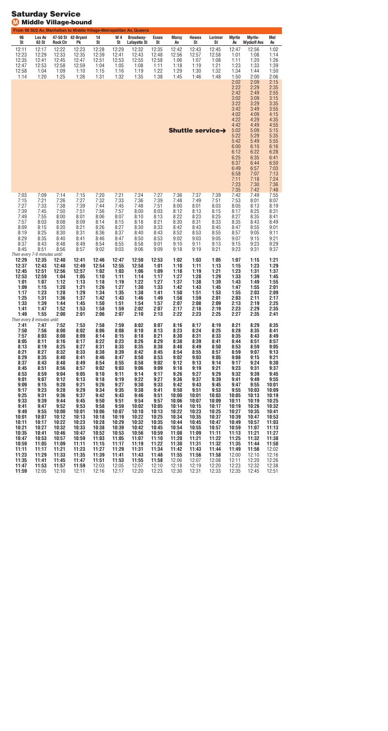### From 96 St/2 Av, Manhattan to Middle Village-Metropolitan Av, Queens **6 L e x Av 7 - 5 0 S t 4 2 - B r y a n t 4 W 4**  Broadway-**E s s e x Marcy H e w e s Lorimer Myrtle M y r t l e - M e t S t 3 S t R o c k C t r P k S t S t Lafayette St S t Av S t S t Av Wyckoff Avs Av** 2 : 1 1 2 : 1 7 2 : 2 2 2 : 2 3 2 : 2 8 12:29 2 : 3 2 2 : 3 5 2 : 4 2 2 : 4 3 2 : 4 5 2 : 4 7 2 : 5 6 : 0 2 2 : 2 3 12:29 2 : 3 3 2 : 3 5 2 : 3 9 2 : 4 1 2 : 4 3 2 : 4 8 2 : 5 6 2 : 5 7 2 : 5 8 : 0 1 : 0 8 : 1 4 2 : 3 5 2 : 4 1 2 : 4 5 2 : 4 7 2 : 5 1 2 : 5 3 2 : 5 5 2 : 5 8 : 0 6 : 0 7 : 0 8  $1:11$  : 2 0 : 2 6 2 : 4 7 2 : 5 3 2 : 5 8 2 : 5 9 : 0 4 : 0 5 : 0 8 : 1 1 : 1 8 : 1 9 : 2 1 : 2 3 : 3 3 : 3 9 2 : 5 8 : 0 4 : 0 9  $1:10$  $1:15$  : 1 6 : 1 9 : 2 2 : 2 9 : 3 0 : 3 2 : 3 4  $1:44$  : 5 0  $1:14$  : 2 0 : 2 5 : 2 6 : 3 1 : 3 2 : 3 5 : 3 8 : 4 5 : 4 6 : 4 8 : 5 0  $2:00$  : 0 6  $2:02$  $2:09$  $2:15$  $2:22$  $2:29$  : 3 5  $2:42$  : 4 9 : 5 5 : 0 2 : 0 9  $3:15$  $3:22$  $3:29$  : 3 5  $3:42$  : 4 9 : 5 5 : 0 2 : 0 9  $4:15$  : 2 2 : 2 9 : 3 5 : 4 2 : 4 9 : 5 5 : 0 2 : 0 9  $5:15$  $5:22$  : 2 9 : 3 5 : 4 2 : 4 9 : 5 5 : 0 0 6:10  $6:16$  $6:12$  $6:22$  : 2 8 6:25 : 3 5  $6:41$  : 3 7 6:44 : 5 0 : 4 9 : 5 7 : 0 3 : 5 8 : 0 7 : 1 3  $7:11$  : 1 8 : 2 4 : 2 3 : 3 0 : 3 6 : 3 5 : 4 2 : 4 8 : 0 3 : 0 9  $7:14$  : 1 5 : 2 0  $7:21$  : 2 4 : 2 7 : 3 6 : 3 7 : 3 9 : 4 2 : 4 9 : 5 5 : 1 5 : 2 1 : 2 6 : 2 7 : 3 2 : 3 3 : 3 6 : 3 9 : 4 8 : 4 9 : 5 1 : 5 3 : 0 1 : 0 7 : 2 7 : 3 3 : 3 8 : 3 9 : 4 4 : 4 5 : 4 8 : 5 1 : 0 0 : 0 1 : 0 3 : 0 5 : 1 3  $8:19$  : 3 9 : 4 5 : 5 0 : 5 1 : 5 6 : 5 7 : 0 0 : 0 3 8:12 8:13 8:15 : 1 7 : 2 5  $8:31$  : 4 9 : 5 5 : 0 0 : 0 1 : 0 6 : 0 7 8:10 8:13 : 2 2 : 2 3 : 2 5 : 2 7 : 3 5  $8:41$  : 5 7 : 0 3 : 0 8 : 0 9 : 1 4  $8:15$  : 1 8  $8:21$  : 3 0 8:31 : 3 3 : 3 5 : 4 3 : 4 9 : 0 9 8:15 : 2 0  $8:21$  : 2 6 : 2 7 : 3 0 : 3 3 8:42 : 4 3 : 4 5 : 4 7 : 5 5  $9:01$ 8:19 : 2 5 : 3 0 : 3 1 : 3 6 : 3 7 8:40 : 4 3 : 5 2 : 5 3 : 5 5 : 5 7 : 0 5  $9:11$  : 2 9 : 3 5 8:40  $8:41$  : 4 6 : 4 7 : 5 0 : 5 3 : 0 2 : 0 3 : 0 5 : 0 7 : 1 5  $9:21$  : 3 7 : 4 3 : 4 8 : 4 9 : 5 4 : 5 5 : 5 8 9:01 9:10  $9:11$  : 1 3  $9:15$  : 2 3  $9:29$  : 4 5 : 5 1 : 5 6 : 5 7 : 0 2 : 0 3 : 0 6 : 0 9 : 1 8 9:19 9:21 : 2 3 9:31 : 3 7 *Th en e ve ry 7- 9 m in u tes u n til:* **2 : 2 9 2 : 3 5 2 : 4 0 2 : 4 1 2 : 4 6 2 : 4 7 2 : 5 0 2 : 5 3 : 0 2 : 0 3 : 0 5 : 0 7 : 1 5 : 2 1 2 : 3 7 2 : 4 3 2 : 4 8 2 : 4 9 2 : 5 4 2 : 5 5 2 : 5 8 1:01 : 1 0**   $1:11$  **: 1 3 : 1 5 : 2 3 : 2 9 2 : 4 5 2 : 5 1 2 : 5 6 2 : 5 7 : 0 2 : 0 3 : 0 6 : 0 9 : 1 8 : 1 9 : 2 1 : 2 3 1:31 : 3 7 2 : 5 3 2 : 5 9 : 0 4 : 0 5 : 1 0 : 1 1 : 1 4 : 1 7 : 2 7 : 2 8 : 2 9 : 3 3 : 3 9 : 4 5 1:01 : 0 7 : 1 2 : 1 3 : 1 8 : 1 9 : 2 2 : 2 7 : 3 7 : 3 8 : 3 9 : 4 3 : 4 9 : 5 5 : 0 9 : 1 5 : 2 0 : 2 1 : 2 6 : 2 7 : 3 0 : 3 3 : 4 2 : 4 3 : 4 5 : 4 7 : 5 5 : 0 1 : 1 7 : 2 3 : 2 8 : 2 9 : 3 4 : 3 5 : 3 8 : 4 1 : 5 0 : 5 1 : 5 3 : 5 5 : 0 3 : 0 9 : 2 5 : 3 1 : 3 6 : 3 7 : 4 2 : 4 3 : 4 6 : 4 9 : 5 8 : 5 9 : 0 1 : 0 3 : 1 1 : 1 7 : 3 3 : 3 9 : 4 4 : 4 5 : 5 0 : 5 1 : 5 4 : 5 7 : 0 7 : 0 8 : 0 9 : 1 3 : 1 9 : 2 5 : 4 1 : 4 7 : 5 2 : 5 3 : 5 8 : 5 9 : 0 2 : 0 7 : 1 7 : 1 8 : 1 9 : 2 3 : 2 9 : 3 5 : 4 9 : 5 5 : 0 0 : 0 1 : 0 6 : 0 7 : 1 0 : 1 3 : 2 2 : 2 3 : 2 5 : 2 7 : 3 5 : 4 1** *Th en e ve ry 8 m in u tes u n til:* **: 4 1 : 4 7 : 5 2 : 5 3 : 5 8 : 5 9 : 0 2 : 0 7 : 1 6 : 1 7 : 1 9 : 2 1 : 2 9 : 3 5 : 5 0 : 5 6 : 0 0 : 0 2 : 0 6 : 0 8 : 1 0 : 1 3 : 2 3 : 2 4 : 2 5 : 2 8 : 3 5 : 4 1 : 5 7 : 0 3 : 0 8 : 0 9 : 1 4 : 1 5 : 1 8 : 2 1 : 3 0 : 3 1 : 3 3 : 3 5 : 4 3 : 4 9 : 0 5 : 1 1 : 1 6 : 1 7 : 2 2 : 2 3 : 2 6 : 2 9 : 3 8 : 3 9 : 4 1 : 4 4 : 5 1 : 5 7 : 1 3 : 1 9 : 2 5 : 2 7 : 3 1 : 3 3 : 3 5 : 3 8 : 4 8 : 4 9 : 5 0 : 5 3 : 5 9 : 0 5 : 2 1 : 2 7 : 3 2 : 3 3 : 3 8 : 3 9 : 4 2 : 4 5 : 5 4 : 5 5 : 5 7 : 5 9 : 0 7 : 1 3 : 2 9 : 3 5 : 4 0 : 4 1 : 4 6 : 4 7 : 5 0 : 5 3 : 0 2 : 0 3 : 0 5 : 0 8 : 1 5 : 2 1 : 3 7 : 4 3 : 4 8 : 4 9 : 5 4 : 5 5 : 5 8 : 0 2 : 1 2 : 1 3 : 1 4 : 1 7 : 2 4 : 3 0 : 4 5 : 5 1 : 5 6 : 5 7 : 0 2 : 0 3 : 0 6 : 0 9 9:18 : 1 9 : 2 1 : 2 3 : 3 1 : 3 7 : 5 3 : 5 9 : 0 4 : 0 5 : 1 0 : 1 1 : 1 4 : 1 7 : 2 6 : 2 7 : 2 9 : 3 2 : 3 9 : 4 5 : 0 1 : 0 7 : 1 2 : 1 3 : 1 8 : 1 9 : 2 2 : 2 7 : 3 6 : 3 7 : 3 9 : 4 1 : 4 9 : 5 5 : 0 9 : 1 5 : 2 0 : 2 1 : 2 6 : 2 7 : 3 0 : 3 3 : 4 2 : 4 3 : 4 5 : 4 7 : 5 5 0 : 0 1 : 1 7 : 2 3 : 2 8 : 2 9 : 3 4 : 3 5 : 3 8 : 4 1 : 5 0 : 5 1 : 5 3 : 5 5 0 : 0 3 0 : 0 9 : 2 5 : 3 1 : 3 6 : 3 7 : 4 2 : 4 3 : 4 6 : 5 1 0 : 0 0 0 : 0 1 0 : 0 3 0 : 0 5 0 : 1 3 0 : 1 9 : 3 3 : 3 9 : 4 4 : 4 5 : 5 0 : 5 1 : 5 4 : 5 7 0 : 0 6 0 : 0 7 0 : 0 9 0 : 1 1 0 : 1 9 0 : 2 5 : 4 1 : 4 7 : 5 2 : 5 3 : 5 8 : 5 9 0 : 0 2 0 : 0 5 0 : 1 4 0 : 1 5 0 : 1 7 0 : 1 9 0 : 2 6 0 : 3 2 : 4 9 : 5 5 0 : 0 0 0 : 0 1 0 : 0 6 0 : 0 7 0 : 1 0 0 : 1 3 0 : 2 2 0 : 2 3 0 : 2 5 0 : 2 7 0 : 3 5 0 : 4 1 0 : 0 1 0 : 0 7 0 : 1 2 0 : 1 3 0 : 1 8 0 : 1 9 0 : 2 2 0 : 2 5 0 : 3 4 0 : 3 5 0 : 3 7 0 : 3 9 0 : 4 7 0 : 5 3 0 : 1 1 0 : 1 7 0 : 2 2 0 : 2 3 0 : 2 8 0 : 2 9 0 : 3 2 0 : 3 5 0 : 4 4 0 : 4 5 0 : 4 7 0 : 4 9 0 : 5 7 1 : 0 3 0 : 2 1 0 : 2 7 0 : 3 2 0 : 3 3 0 : 3 8 0 : 3 9 0 : 4 2 0 : 4 5 0 : 5 4 0 : 5 5 0 : 5 7 0 : 5 9 1 : 0 7 1 : 1 3 0 : 3 5 0 : 4 1 0 : 4 6 0 : 4 7 0 : 5 2 0 : 5 3 0 : 5 6 0 : 5 9 1 : 0 8 1 : 0 9 1 : 1 1 1 : 1 3 1 : 2 1 1 : 2 7 0 : 4 7 0 : 5 3 0 : 5 7 0 : 5 9 1 : 0 3 1 : 0 5 1 : 0 7 1 : 1 0 1 : 2 0 1 : 2 1 1 : 2 2 1 : 2 5 1 : 3 2 1 : 3 8 0 : 5 9 1 : 0 5 1 : 0 9 1 : 1 1 1 : 1 5 1 : 1 7 1 : 1 9 1 : 2 2 1 : 3 0 1 : 3 1 1 : 3 2 1 : 3 5 1 : 4 4 1 : 5 0 1 : 1 1 1 : 1 7 1 : 2 1 1 : 2 3 1 : 2 7 1 : 2 9 1 : 3 1 1 : 3 4 1 : 4 2 1 : 4 3 1 : 4 4 1 : 4 9 1 : 5 6** 2 : 0 2 **1 : 2 3 1 : 2 9 1 : 3 3 1 : 3 5 1 : 3 9 1 : 4 1 1 : 4 3 1 : 4 8 1 : 5 5 1 : 5 6 1 : 5 8** 2 : 0 0 12:10 12:16 **1 : 3 5 1 : 4 1 1 : 4 5 1 : 4 7 1 : 5 1 1 : 5 3 1 : 5 5 1 : 5 8** 2 : 0 6 2 : 0 7 2 : 0 8  $12:11$ 12:20 2 : 2 6 **1 : 4 7 1 : 5 3 1 : 5 7 1 : 5 9** 2 : 0 3 2 : 0 5 2 : 0 7  $12:10$ 12:18  $12:19$ 12:20 2 : 2 3 2 : 3 2 2 : 3 8 Shuttle service $\rightarrow$

# **Saturday Service Middle Village-bound**

**1 : 5 9**

2 : 0 5

12:10

2 : 1 1

12:16

2 : 1 7

12:20

2 : 2 3

2 : 3 0

2 : 3 1

2 : 3 3

2 : 3 5

2 : 4 5

2 : 5 1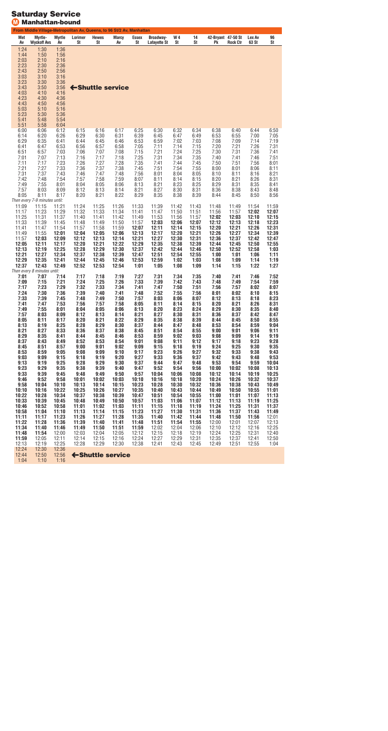### **Saturday Service M Manhattan-bound**

|                                                                                                                                                                                                                                                                                  | From Middle Village-Metropolitan Av, Queens, to 96 St/2 Av, Manhattan                                                                                                                                                                                                                                            |                                                                                                                                                                                                                                                                                   |                                                                                                                                                                                                                                                                           |                                                                                                                                                                                                                                                                           |                                                                                                                                                                                                                                                                           |                                                                                                                                                                                                                                                                           |                                                                                                                                                                                                                                                                            |                                                                                                                                                                                                                                                                            |                                                                                                                                                                                                                                                                            |                                                                                                                                                                                                                                                                             |                                                                                                                                                                                                                                                                             |                                                                                                                                                                                                                                                                             |                                                                                                                                                                                                                                                                             |
|----------------------------------------------------------------------------------------------------------------------------------------------------------------------------------------------------------------------------------------------------------------------------------|------------------------------------------------------------------------------------------------------------------------------------------------------------------------------------------------------------------------------------------------------------------------------------------------------------------|-----------------------------------------------------------------------------------------------------------------------------------------------------------------------------------------------------------------------------------------------------------------------------------|---------------------------------------------------------------------------------------------------------------------------------------------------------------------------------------------------------------------------------------------------------------------------|---------------------------------------------------------------------------------------------------------------------------------------------------------------------------------------------------------------------------------------------------------------------------|---------------------------------------------------------------------------------------------------------------------------------------------------------------------------------------------------------------------------------------------------------------------------|---------------------------------------------------------------------------------------------------------------------------------------------------------------------------------------------------------------------------------------------------------------------------|----------------------------------------------------------------------------------------------------------------------------------------------------------------------------------------------------------------------------------------------------------------------------|----------------------------------------------------------------------------------------------------------------------------------------------------------------------------------------------------------------------------------------------------------------------------|----------------------------------------------------------------------------------------------------------------------------------------------------------------------------------------------------------------------------------------------------------------------------|-----------------------------------------------------------------------------------------------------------------------------------------------------------------------------------------------------------------------------------------------------------------------------|-----------------------------------------------------------------------------------------------------------------------------------------------------------------------------------------------------------------------------------------------------------------------------|-----------------------------------------------------------------------------------------------------------------------------------------------------------------------------------------------------------------------------------------------------------------------------|-----------------------------------------------------------------------------------------------------------------------------------------------------------------------------------------------------------------------------------------------------------------------------|
| Met<br>Av                                                                                                                                                                                                                                                                        | Myrtle-<br><b>Wyckoff Avs</b>                                                                                                                                                                                                                                                                                    | <b>Myrtle</b><br>Av                                                                                                                                                                                                                                                               | Lorimer<br>St                                                                                                                                                                                                                                                             | <b>Hewes</b><br>St                                                                                                                                                                                                                                                        | <b>Marcy</b><br>Av                                                                                                                                                                                                                                                        | Essex<br>St                                                                                                                                                                                                                                                               | <b>Broadway-</b><br>Lafayette St                                                                                                                                                                                                                                           | W 4<br>St                                                                                                                                                                                                                                                                  | 14<br>St                                                                                                                                                                                                                                                                   | 42-Bryant 47-50 St<br>Pk                                                                                                                                                                                                                                                    | <b>Rock Ctr</b>                                                                                                                                                                                                                                                             | Lex Av<br>63 St                                                                                                                                                                                                                                                             | 96<br>St                                                                                                                                                                                                                                                                    |
| 1:24<br>1:44<br>2:03<br>2:23<br>2:43<br>3:03<br>3:23<br>3:43<br>4:03<br>4:23<br>4:43<br>5:03<br>5:23<br>5:41<br>5:51                                                                                                                                                             | 1:30<br>1:50<br>2:10<br>2:30<br>2:50<br>3:10<br>3:30<br>3:50<br>4:10<br>4:30<br>4:50<br>5:10<br>5:30<br>5:48<br>5:58                                                                                                                                                                                             | 1:36<br>1:56<br>2:16<br>2:36<br>2:56<br>3:16<br>3:36<br>3:56<br>4:16<br>4:36<br>4:56<br>5:16<br>5:36<br>5:54<br>6:04                                                                                                                                                              |                                                                                                                                                                                                                                                                           |                                                                                                                                                                                                                                                                           | ← Shuttle service                                                                                                                                                                                                                                                         |                                                                                                                                                                                                                                                                           |                                                                                                                                                                                                                                                                            |                                                                                                                                                                                                                                                                            |                                                                                                                                                                                                                                                                            |                                                                                                                                                                                                                                                                             |                                                                                                                                                                                                                                                                             |                                                                                                                                                                                                                                                                             |                                                                                                                                                                                                                                                                             |
| 6:00<br>6:14<br>6:29<br>6:41<br>6:51<br>7:01<br>7:11<br>7:21<br>7:31<br>7:42<br>7:49<br>7:57<br>8:05                                                                                                                                                                             | 6:06<br>6:20<br>6:35<br>6:47<br>6:57<br>7:07<br>7:17<br>7:27<br>7:37<br>7:48<br>7:55<br>8:03<br>8:11<br>Then every 7-9 minutes until:                                                                                                                                                                            | 6:12<br>6:26<br>6:41<br>6:53<br>7:03<br>7:13<br>7:23<br>7:33<br>7:43<br>7:54<br>8:01<br>8:09<br>8:17                                                                                                                                                                              | 6:15<br>6:29<br>6:44<br>6:56<br>7:06<br>7:16<br>7:26<br>7:36<br>7:46<br>7:57<br>8:04<br>8:12<br>8:20                                                                                                                                                                      | 6:16<br>6:30<br>6:45<br>6:57<br>7:07<br>7:17<br>7:27<br>7:37<br>7:47<br>7:58<br>8:05<br>8:13<br>8:21                                                                                                                                                                      | 6:17<br>6:31<br>6:46<br>6:58<br>7:08<br>7:18<br>7:28<br>7:38<br>7:48<br>7:59<br>8:06<br>8:14<br>8:22                                                                                                                                                                      | 6:25<br>6:39<br>6:53<br>7:05<br>7:15<br>7:25<br>7:35<br>7:45<br>7:56<br>8:07<br>8:13<br>8:21<br>8:29                                                                                                                                                                      | 6:30<br>6:45<br>6:59<br>7:11<br>7:21<br>7:31<br>7:41<br>7:51<br>8:01<br>8:11<br>8:21<br>8:27<br>8:35                                                                                                                                                                       | 6:32<br>6:47<br>7:02<br>7:14<br>7:24<br>7:34<br>7:44<br>7:54<br>8:04<br>8:14<br>8:23<br>8:30<br>8:38                                                                                                                                                                       | 6:34<br>6:49<br>7:03<br>7:15<br>7:25<br>7:35<br>7:45<br>7:55<br>8:05<br>8:15<br>8:25<br>8:31<br>8:39                                                                                                                                                                       | 6:38<br>6:53<br>7:08<br>7:20<br>7:30<br>7:40<br>7:50<br>8:00<br>8:10<br>8:20<br>8:29<br>8:36<br>8:44                                                                                                                                                                        | 6:40<br>6:55<br>7:09<br>7:21<br>7:31<br>7:41<br>7:51<br>8:01<br>8:11<br>8:21<br>8:31<br>8:38<br>8:45                                                                                                                                                                        | 6:44<br>7:00<br>7:14<br>7:26<br>7:36<br>7:46<br>7:56<br>8:06<br>8:16<br>8:26<br>8:35<br>8:43<br>8:50                                                                                                                                                                        | 6:50<br>7:05<br>7:19<br>7:31<br>7:41<br>7:51<br>8:01<br>8:11<br>8:21<br>8:31<br>8:41<br>8:48<br>8:56                                                                                                                                                                        |
| 11:09<br>11:17<br>11:25<br>11:33<br>11:41<br>11:49<br>11:57<br>12:05<br>12:13<br>12:21<br>12:29<br>12:37                                                                                                                                                                         | 11:15<br>11:23<br>11:31<br>11:39<br>11:47<br>11:55<br>12:03<br>12:11<br>12:19<br>12:27<br>12:35<br>12:43                                                                                                                                                                                                         | 11:21<br>11:29<br>11:37<br>11:45<br>11:54<br>12:01<br>12:09<br>12:17<br>12:25<br>12:34<br>12:41<br>12:49                                                                                                                                                                          | 11:24<br>11:32<br>11:40<br>11:48<br>11:57<br>12:04<br>12:12<br>12:20<br>12:28<br>12:37<br>12:44<br>12:52                                                                                                                                                                  | 11:25<br>11:33<br>11:41<br>11:49<br>11:58<br>12:05<br>12:13<br>12:21<br>12:29<br>12:38<br>12:45<br>12:53                                                                                                                                                                  | 11:26<br>11:34<br>11:42<br>11:50<br>11:59<br>12:06<br>12:14<br>12:22<br>12:30<br>12:39<br>12:46<br>12:54                                                                                                                                                                  | 11:33<br>11:41<br>11:49<br>11:57<br>12:07<br>12:13<br>12:21<br>12:29<br>12:37<br>12:47<br>12:53<br>1:01                                                                                                                                                                   | 11:39<br>11:47<br>11:53<br>12:03<br>12:11<br>12:17<br>12:27<br>12:35<br>12:42<br>12:51<br>12:59<br>1:05                                                                                                                                                                    | 11:42<br>11:50<br>11:56<br>12:06<br>12:14<br>12:20<br>12:30<br>12:38<br>12:44<br>12:54<br>1:02<br>1:08                                                                                                                                                                     | 11:43<br>11:51<br>11:57<br>12:07<br>12:15<br>12:21<br>12:31<br>12:39<br>12:46<br>12:55<br>1:03<br>1:09                                                                                                                                                                     | 11:48<br>11:56<br>12:02<br>12:12<br>12:20<br>12:26<br>12:36<br>12:44<br>12:50<br>1:00<br>1:08<br>1:14                                                                                                                                                                       | 11:49<br>11:57<br>12:03<br>12:13<br>12:21<br>12:27<br>12:37<br>12:45<br>12:52<br>1:01<br>1:09<br>1:15                                                                                                                                                                       | 11:54<br>12:02<br>12:10<br>12:18<br>12:26<br>12:34<br>12:42<br>12:50<br>12:58<br>1:06<br>1:14<br>1:22                                                                                                                                                                       | 11:59<br>12:07<br>12:15<br>12:23<br>12:31<br>12:39<br>12:47<br>12:55<br>1:03<br>1:11<br>1:19<br>1:27                                                                                                                                                                        |
| 7:01<br>7:09<br>7:17<br>7:24<br>7:33<br>7:41<br>7:49<br>7:57<br>8:05<br>8:13<br>8:21<br>8:29<br>8:37<br>8:45<br>8:53<br>9:03<br>9:13<br>9:23<br>9:33<br>9:46<br>9:58<br>10:10<br>10:22<br>10:33<br>10:46<br>10:58<br>11:11<br>11:22<br>11:34<br>11:48<br>11:59<br>12:13<br>12:24 | Then every 8 minutes until:<br>7:07<br>7:15<br>7:23<br>7:30<br>7:39<br>7:47<br>7:55<br>8:03<br>8:11<br>8:19<br>8:27<br>8:35<br>8:43<br>8:51<br>8:59<br>9:09<br>9:19<br>9:29<br>9:39<br>9:52<br>10:04<br>10:16<br>10:28<br>10:39<br>10:52<br>11:04<br>11:17<br>11:28<br>11:40<br>11:54<br>12:05<br>12:19<br>12:30 | 7:14<br>7:21<br>7:29<br>7:36<br>7:45<br>7:53<br>8:01<br>8:09<br>8:17<br>8:25<br>8:33<br>8:41<br>8:49<br>8:57<br>9:05<br>9:15<br>9:25<br>9:35<br>9:45<br>9:58<br>10:10<br>10:22<br>10:34<br>10:45<br>10:58<br>11:10<br>11:23<br>11:36<br>11:46<br>12:00<br>12:11<br>12:25<br>12:36 | 7:17<br>7:24<br>7:32<br>7:39<br>7:48<br>7:56<br>8:04<br>8:12<br>8:20<br>8:28<br>8:36<br>8:44<br>8:52<br>9:00<br>9:08<br>9:18<br>9:28<br>9:38<br>9:48<br>10:01<br>10:13<br>10:25<br>10:37<br>10:48<br>11:01<br>11:13<br>11:26<br>11:39<br>11:49<br>12:03<br>12:14<br>12:28 | 7:18<br>7:25<br>7:33<br>7:40<br>7:49<br>7:57<br>8:05<br>8:13<br>8:21<br>8:29<br>8:37<br>8:45<br>8:53<br>9:01<br>9:09<br>9:19<br>9:29<br>9:39<br>9:49<br>10:02<br>10:14<br>10:26<br>10:38<br>10:49<br>11:02<br>11:14<br>11:27<br>11:40<br>11:50<br>12:04<br>12:15<br>12:29 | 7:19<br>7:26<br>7:34<br>7:41<br>7:50<br>7:58<br>8:06<br>8:14<br>8:22<br>8:30<br>8:38<br>8:46<br>8:54<br>9:02<br>9:10<br>9:20<br>9:30<br>9:40<br>9:50<br>10:03<br>10:15<br>10:27<br>10:39<br>10:50<br>11:03<br>11:15<br>11:28<br>11:41<br>11:51<br>12:05<br>12:16<br>12:30 | 7:27<br>7:33<br>7:41<br>7:48<br>7:57<br>8:05<br>8:13<br>8:21<br>8:29<br>8:37<br>8:45<br>8:53<br>9:01<br>9:09<br>9:17<br>9:27<br>9:37<br>9:47<br>9:57<br>10:10<br>10:23<br>10:35<br>10:47<br>10:57<br>11:11<br>11:23<br>11:35<br>11:48<br>11:59<br>12:12<br>12:24<br>12:38 | 7:31<br>7:39<br>7:47<br>7:52<br>8:03<br>8:11<br>8:20<br>8:27<br>8:35<br>8:44<br>8:51<br>8:59<br>9:08<br>9:15<br>9:23<br>9:33<br>9:44<br>9:52<br>10:04<br>10:16<br>10:28<br>10:40<br>10:51<br>11:03<br>11:15<br>11:27<br>11:40<br>11:51<br>12:02<br>12:15<br>12:27<br>12:41 | 7:34<br>7:42<br>7:50<br>7:55<br>8:06<br>8:14<br>8:23<br>8:30<br>8:38<br>8:47<br>8:54<br>9:02<br>9:11<br>9:18<br>9:26<br>9:36<br>9:47<br>9:54<br>10:06<br>10:18<br>10:30<br>10:43<br>10:54<br>11:06<br>11:18<br>11:30<br>11:42<br>11:54<br>12:04<br>12:18<br>12:29<br>12:43 | 7:35<br>7:43<br>7:51<br>7:56<br>8:07<br>8:15<br>8:24<br>8:31<br>8:39<br>8:48<br>8:55<br>9:03<br>9:12<br>9:19<br>9:27<br>9:37<br>9:48<br>9:56<br>10:08<br>10:20<br>10:32<br>10:44<br>10:55<br>11:07<br>11:19<br>11:31<br>11:44<br>11:55<br>12:06<br>12:19<br>12:31<br>12:45 | 7:40<br>7:48<br>7:56<br>8:01<br>8:12<br>8:20<br>8:29<br>8:36<br>8:44<br>8:53<br>9:00<br>9:08<br>9:17<br>9:24<br>9:32<br>9:42<br>9:53<br>10:00<br>10:12<br>10:24<br>10:36<br>10:49<br>11:00<br>11:12<br>11:24<br>11:36<br>11:48<br>12:00<br>12:10<br>12:24<br>12:35<br>12:49 | 7:41<br>7:49<br>7:57<br>8:02<br>8:13<br>8:21<br>8:30<br>8:37<br>8:45<br>8:54<br>9:01<br>9:09<br>9:18<br>9:25<br>9:33<br>9:43<br>9:54<br>10:02<br>10:14<br>10:26<br>10:38<br>10:50<br>11:01<br>11:13<br>11:25<br>11:37<br>11:50<br>12:01<br>12:12<br>12:25<br>12:37<br>12:51 | 7:46<br>7:54<br>8:02<br>8:10<br>8:18<br>8:26<br>8:35<br>8:42<br>8:50<br>8:59<br>9:06<br>9:14<br>9:23<br>9:30<br>9:38<br>9:48<br>9:59<br>10:08<br>10:19<br>10:32<br>10:43<br>10:55<br>11:07<br>11:19<br>11:31<br>11:43<br>11:56<br>12:07<br>12:16<br>12:31<br>12:41<br>12:55 | 7:52<br>7:59<br>8:07<br>8:15<br>8:23<br>8:31<br>8:40<br>8:47<br>8:55<br>9:04<br>9:11<br>9:19<br>9:28<br>9:35<br>9:43<br>9:53<br>10:04<br>10:13<br>10:25<br>10:37<br>10:49<br>11:01<br>11:13<br>11:25<br>11:37<br>11:49<br>12:01<br>12:13<br>12:25<br>12:40<br>12:50<br>1:04 |
| 12:44<br>1:04                                                                                                                                                                                                                                                                    | 12:50<br>1:10                                                                                                                                                                                                                                                                                                    | 12:56<br>1:16                                                                                                                                                                                                                                                                     |                                                                                                                                                                                                                                                                           |                                                                                                                                                                                                                                                                           | ← Shuttle service                                                                                                                                                                                                                                                         |                                                                                                                                                                                                                                                                           |                                                                                                                                                                                                                                                                            |                                                                                                                                                                                                                                                                            |                                                                                                                                                                                                                                                                            |                                                                                                                                                                                                                                                                             |                                                                                                                                                                                                                                                                             |                                                                                                                                                                                                                                                                             |                                                                                                                                                                                                                                                                             |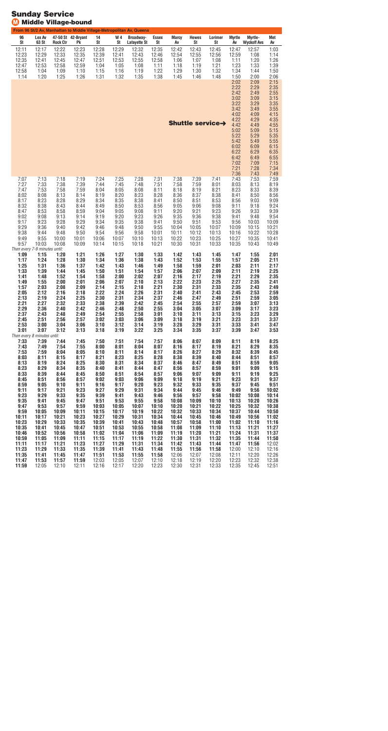|                                                                                                                                                                                                                                       | ישאוי                                                                                                                                                                                                   |                                                                                                                                                                                                         | winagc-pound                                                                                                                                                                                            |                                                                                                                                                                                                          |                                                                                                                                                                                                          |                                                                                                                                                                                                          |                                                                                                                                                                                                          |                                                                                                                                                                                                           |                                                                                                                                                                                                           |                                                                                                                                                                                                           |                                                                                                                                                                                                            |                                                                                                                                                                                                            |                                                                                                                                                                                                             |
|---------------------------------------------------------------------------------------------------------------------------------------------------------------------------------------------------------------------------------------|---------------------------------------------------------------------------------------------------------------------------------------------------------------------------------------------------------|---------------------------------------------------------------------------------------------------------------------------------------------------------------------------------------------------------|---------------------------------------------------------------------------------------------------------------------------------------------------------------------------------------------------------|----------------------------------------------------------------------------------------------------------------------------------------------------------------------------------------------------------|----------------------------------------------------------------------------------------------------------------------------------------------------------------------------------------------------------|----------------------------------------------------------------------------------------------------------------------------------------------------------------------------------------------------------|----------------------------------------------------------------------------------------------------------------------------------------------------------------------------------------------------------|-----------------------------------------------------------------------------------------------------------------------------------------------------------------------------------------------------------|-----------------------------------------------------------------------------------------------------------------------------------------------------------------------------------------------------------|-----------------------------------------------------------------------------------------------------------------------------------------------------------------------------------------------------------|------------------------------------------------------------------------------------------------------------------------------------------------------------------------------------------------------------|------------------------------------------------------------------------------------------------------------------------------------------------------------------------------------------------------------|-------------------------------------------------------------------------------------------------------------------------------------------------------------------------------------------------------------|
| 96<br>St                                                                                                                                                                                                                              | Lex Av<br>63 St                                                                                                                                                                                         | <b>Rock Ctr</b>                                                                                                                                                                                         | 47-50 St 42-Bryant<br>Pk                                                                                                                                                                                | 14<br>St                                                                                                                                                                                                 | W4<br>St                                                                                                                                                                                                 | From 96 St/2 Av, Manhattan to Middle Village-Metropolitan Av, Queens<br>Broadway-<br><b>Lafayette St</b>                                                                                                 | <b>Essex</b><br>St                                                                                                                                                                                       | <b>Marcy</b><br>Av                                                                                                                                                                                        | <b>Hewes</b><br>St                                                                                                                                                                                        | Lorimer<br>St                                                                                                                                                                                             | <b>Myrtle</b><br>Av                                                                                                                                                                                        | Myrtle-<br><b>Wyckoff Avs</b>                                                                                                                                                                              | Met<br>Av                                                                                                                                                                                                   |
| 12:11<br>12:23<br>12:35<br>12:47<br>12:58<br>1:14                                                                                                                                                                                     | 12:17<br>12:29<br>12:41<br>12:53<br>1:04<br>1:20                                                                                                                                                        | 12:22<br>12:33<br>12:45<br>12:58<br>1:09<br>1:25                                                                                                                                                        | 12:23<br>12:35<br>12:47<br>12:59<br>1:10<br>1:26                                                                                                                                                        | 12:28<br>12:39<br>12:51<br>1:04<br>1:15<br>1:31                                                                                                                                                          | 12:29<br>12:41<br>12:53<br>1:05<br>1:16<br>1:32                                                                                                                                                          | 12:32<br>12:43<br>12:55<br>1:08<br>1:19<br>1:35                                                                                                                                                          | 12:35<br>12:46<br>12:58<br>1:11<br>1:22<br>1:38                                                                                                                                                          | 12:42<br>12:54<br>1:06<br>1:18<br>1:29<br>1:45                                                                                                                                                            | 12:43<br>12:55<br>1:07<br>1:19<br>1:30<br>1:46                                                                                                                                                            | 12:45<br>12:56<br>1:08<br>1:21<br>1:32<br>1:48                                                                                                                                                            | 12:47<br>12:59<br>1:11<br>1:23<br>1:34<br>1:50                                                                                                                                                             | 12:57<br>1:08<br>1:20<br>1:33<br>1:44<br>2:00                                                                                                                                                              | 1:03<br>1:14<br>1:26<br>1:39<br>1:50<br>2:06                                                                                                                                                                |
|                                                                                                                                                                                                                                       |                                                                                                                                                                                                         |                                                                                                                                                                                                         |                                                                                                                                                                                                         |                                                                                                                                                                                                          |                                                                                                                                                                                                          |                                                                                                                                                                                                          |                                                                                                                                                                                                          |                                                                                                                                                                                                           |                                                                                                                                                                                                           | Shuttle service->                                                                                                                                                                                         | 2:02<br>2:22<br>2:42<br>3:02<br>3:22<br>3:42<br>4:02<br>4:22<br>4:42<br>5:02<br>5:22<br>5:42<br>6:02<br>6:22<br>6:42<br>7:02<br>7:21<br>7:36                                                               | 2:09<br>2:29<br>2:49<br>3:09<br>3:29<br>3:49<br>4:09<br>4:29<br>4:49<br>5:09<br>5:29<br>5:49<br>6:09<br>6:29<br>6:49<br>7:09<br>7:28<br>7:43                                                               | 2:15<br>2:35<br>2:55<br>3:15<br>3:35<br>3:55<br>4:15<br>4:35<br>4:55<br>5:15<br>5:35<br>5:55<br>6:15<br>6:35<br>6:55<br>7:15<br>7:34<br>7:49                                                                |
| 7:07<br>7:27<br>7:47<br>8:02<br>8:17<br>8:32<br>8:47<br>9:02<br>9:17<br>9:29<br>9:38<br>9:49<br>9:57<br>Then every 7-9 minutes until:                                                                                                 | 7:13<br>7:33<br>7:53<br>8:08<br>8:23<br>8:38<br>8:53<br>9:08<br>9:23<br>9:36<br>9:44<br>9:55<br>10:03                                                                                                   | 7:18<br>7:38<br>7:58<br>8:13<br>8:28<br>8:43<br>8:58<br>9:13<br>9:28<br>9:40<br>9:48<br>10:00<br>10:08                                                                                                  | 7:19<br>7:39<br>7:59<br>8:14<br>8:29<br>8:44<br>8:59<br>9:14<br>9:29<br>9:42<br>9:50<br>10:01<br>10:09                                                                                                  | 7:24<br>7:44<br>8:04<br>8:19<br>8:34<br>8:49<br>9:04<br>9:19<br>9:34<br>9:46<br>9:54<br>10:06<br>10:14                                                                                                   | 7:25<br>7:45<br>8:05<br>8:20<br>8:35<br>8:50<br>9:05<br>9:20<br>9:35<br>9:48<br>9:56<br>10:07<br>10:15                                                                                                   | 7:28<br>7:48<br>8:08<br>8:23<br>8:38<br>8:53<br>9:08<br>9:23<br>9:38<br>9:50<br>9:58<br>10:10<br>10:18                                                                                                   | 7:31<br>7:51<br>8:11<br>8:28<br>8:41<br>8:56<br>9:11<br>9:26<br>9:41<br>9:55<br>10:01<br>10:13<br>10:21                                                                                                  | 7:38<br>7:58<br>8:18<br>8:36<br>8:50<br>9:05<br>9:20<br>9:35<br>9:50<br>10:04<br>10:11<br>10:22<br>10:30                                                                                                  | 7:39<br>7:59<br>8:19<br>8:37<br>8:51<br>9:06<br>9:21<br>9:36<br>9:51<br>10:05<br>10:12<br>10:23<br>10:31                                                                                                  | 7:41<br>8:01<br>8:21<br>8:38<br>8:53<br>9:08<br>9:23<br>9:38<br>9:53<br>10:07<br>10:13<br>10:25<br>10:33                                                                                                  | 7:43<br>8:03<br>8:23<br>8:41<br>8:56<br>9:11<br>9:26<br>9:41<br>9:56<br>10:09<br>10:16<br>10:27<br>10:35                                                                                                   | 7:53<br>8:13<br>8:33<br>8:50<br>9:03<br>9:18<br>9:33<br>9:48<br>10:03<br>10:15<br>10:22<br>10:35<br>10:43                                                                                                  | 7:59<br>8:19<br>8:39<br>8:56<br>9:09<br>9:24<br>9:39<br>9:54<br>10:09<br>10:21<br>10:28<br>10:41<br>10:49                                                                                                   |
| 1:09<br>1:17<br>1:25<br>1:33<br>1:41<br>1:49<br>1:57<br>2:05<br>2:13<br>2:21<br>2:29<br>2:37<br>2:45<br>2:53<br>3:01                                                                                                                  | 1:15<br>1:24<br>1:31<br>1:39<br>1:48<br>1:55<br>2:03<br>2:12<br>2:19<br>2:27<br>2:36<br>2:43<br>2:51<br>3:00<br>3:07                                                                                    | 1:20<br>1:28<br>1:36<br>1:44<br>1:52<br>2:00<br>2:08<br>2:16<br>2:24<br>2:32<br>2:40<br>2:48<br>2:56<br>3:04<br>3:12                                                                                    | 1:21<br>1:30<br>1:37<br>1:45<br>1:54<br>2:01<br>2:09<br>2:18<br>2:25<br>2:33<br>2:42<br>2:49<br>2:57<br>3:06<br>3:13                                                                                    | 1:26<br>1:34<br>1:42<br>1:50<br>1:58<br>2:06<br>2:14<br>2:22<br>2:30<br>2:38<br>2:46<br>2:54<br>3:02<br>3:10<br>3:18                                                                                     | 1:27<br>1:36<br>1:43<br>1:51<br>2:00<br>2:07<br>2:15<br>2:24<br>2:31<br>2:39<br>2:48<br>2:55<br>3:03<br>3:12<br>3:19                                                                                     | 1:30<br>1:38<br>1:46<br>1:54<br>2:02<br>2:10<br>2:18<br>2:26<br>2:34<br>2:42<br>2:50<br>2:58<br>3:06<br>3:14<br>3:22                                                                                     | 1:33<br>1:43<br>1:49<br>1:57<br>2:07<br>2:13<br>2:21<br>2:31<br>2:37<br>2:45<br>2:55<br>3:01<br>3:09<br>3:19<br>3:25                                                                                     | 1:42<br>1:52<br>1:58<br>2:06<br>2:16<br>2:22<br>2:30<br>2:40<br>2:46<br>2:54<br>3:04<br>3:10<br>3:18<br>3:28<br>3:34                                                                                      | 1:43<br>1:53<br>1:59<br>2:07<br>2:17<br>2:23<br>2:31<br>2:41<br>2:47<br>2:55<br>3:05<br>3:11<br>3:19<br>3:29<br>3:35                                                                                      | 1:45<br>1:55<br>2:01<br>2:09<br>2:19<br>2:25<br>2:33<br>2:43<br>2:49<br>2:57<br>3:07<br>3:13<br>3:21<br>3:31<br>3:37                                                                                      | 1:47<br>1:57<br>2:03<br>2:11<br>2:21<br>2:27<br>2:35<br>2:45<br>2:51<br>2:59<br>3:09<br>3:15<br>3:23<br>3:33<br>3:39                                                                                       | 1:55<br>2:05<br>2:11<br>2:19<br>2:29<br>2:35<br>2:43<br>2:53<br>2:59<br>3:07<br>3:17<br>3:23<br>3:31<br>3:41<br>3:47                                                                                       | 2:01<br>2:11<br>2:17<br>2:25<br>2:35<br>2:41<br>2:49<br>2:59<br>3:05<br>3:13<br>3:23<br>3:29<br>3:37<br>3:47<br>3:53                                                                                        |
| Then every 8 minutes until:<br>7:33<br>7:43<br>7:53<br>8:03<br>8:13<br>8:23<br>8:33<br>8:45<br>8:59<br>9:11<br>9:23<br>9:35<br>9:47<br>9:59<br>10:11<br>10:23<br>10:35<br>10:46<br>10:59<br>11:11<br>11:23<br>11:35<br>11:47<br>11:59 | 7:39<br>7:49<br>7:59<br>8:11<br>8:19<br>8:29<br>8:39<br>8:51<br>9:05<br>9:17<br>9:29<br>9:41<br>9:53<br>10:05<br>10:17<br>10:29<br>10:41<br>10:52<br>11:05<br>11:17<br>11:29<br>11:41<br>11:53<br>12:05 | 7:44<br>7:54<br>8:04<br>8:15<br>8:24<br>8:34<br>8:44<br>8:56<br>9:10<br>9:21<br>9:33<br>9:45<br>9:57<br>10:09<br>10:21<br>10:33<br>10:45<br>10:56<br>11:09<br>11:21<br>11:33<br>11:45<br>11:57<br>12:10 | 7:45<br>7:55<br>8:05<br>8:17<br>8:25<br>8:35<br>8:45<br>8:57<br>9:11<br>9:23<br>9:35<br>9:47<br>9:59<br>10:11<br>10:23<br>10:35<br>10:47<br>10:58<br>11:11<br>11:23<br>11:35<br>11:47<br>11:59<br>12:11 | 7:50<br>8:00<br>8:10<br>8:21<br>8:30<br>8:40<br>8:50<br>9:02<br>9:16<br>9:27<br>9:39<br>9:51<br>10:03<br>10:15<br>10:27<br>10:39<br>10:51<br>11:02<br>11:15<br>11:27<br>11:39<br>11:51<br>12:03<br>12:16 | 7:51<br>8:01<br>8:11<br>8:23<br>8:31<br>8:41<br>8:51<br>9:03<br>9:17<br>9:29<br>9:41<br>9:53<br>10:05<br>10:17<br>10:29<br>10:41<br>10:53<br>11:04<br>11:17<br>11:29<br>11:41<br>11:53<br>12:05<br>12:17 | 7:54<br>8:04<br>8:14<br>8:25<br>8:34<br>8:44<br>8:54<br>9:06<br>9:20<br>9:31<br>9:43<br>9:55<br>10:07<br>10:19<br>10:31<br>10:43<br>10:55<br>11:06<br>11:19<br>11:31<br>11:43<br>11:55<br>12:07<br>12:20 | 7:57<br>8:07<br>8:17<br>8:28<br>8:37<br>8:47<br>8:57<br>9:09<br>9:23<br>9:34<br>9:46<br>9:58<br>10:10<br>10:22<br>10:34<br>10:48<br>10:58<br>11:09<br>11:22<br>11:34<br>11:48<br>11:58<br>12:10<br>12:23 | 8:06<br>8:16<br>8:26<br>8:38<br>8:46<br>8:56<br>9:06<br>9:18<br>9:32<br>9:44<br>9:56<br>10:08<br>10:20<br>10:32<br>10:44<br>10:57<br>11:08<br>11:19<br>11:30<br>11:42<br>11:55<br>12:06<br>12:18<br>12:30 | 8:07<br>8:17<br>8:27<br>8:39<br>8:47<br>8:57<br>9:07<br>9:19<br>9:33<br>9:45<br>9:57<br>10:09<br>10:21<br>10:33<br>10:45<br>10:58<br>11:09<br>11:20<br>11:31<br>11:43<br>11:56<br>12:07<br>12:19<br>12:31 | 8:09<br>8:19<br>8:29<br>8:40<br>8:49<br>8:59<br>9:09<br>9:21<br>9:35<br>9:46<br>9:58<br>10:10<br>10:22<br>10:34<br>10:46<br>11:00<br>11:10<br>11:21<br>11:32<br>11:44<br>11:58<br>12:08<br>12:20<br>12:33 | 8:11<br>8:21<br>8:32<br>8:44<br>8:51<br>9:01<br>9:11<br>9:23<br>9:37<br>9:49<br>10:02<br>10:13<br>10:25<br>10:37<br>10:49<br>11:02<br>11:13<br>11:24<br>11:35<br>11:47<br>12:00<br>12:11<br>12:23<br>12:35 | 8:19<br>8:29<br>8:39<br>8:51<br>8:59<br>9:09<br>9:19<br>9:31<br>9:45<br>9:56<br>10:08<br>10:20<br>10:32<br>10:44<br>10:56<br>11:10<br>11:21<br>11:31<br>11:44<br>11:56<br>12:10<br>12:20<br>12:32<br>12:45 | 8:25<br>8:35<br>8:45<br>8:57<br>9:05<br>9:15<br>9:25<br>9:37<br>9:51<br>10:02<br>10:14<br>10:26<br>10:38<br>10:50<br>11:02<br>11:16<br>11:27<br>11:37<br>11:50<br>12:02<br>12:16<br>12:26<br>12:38<br>12:51 |

### **Sunday Service** M **M i d d l e V i l l a g e - b o u n d**